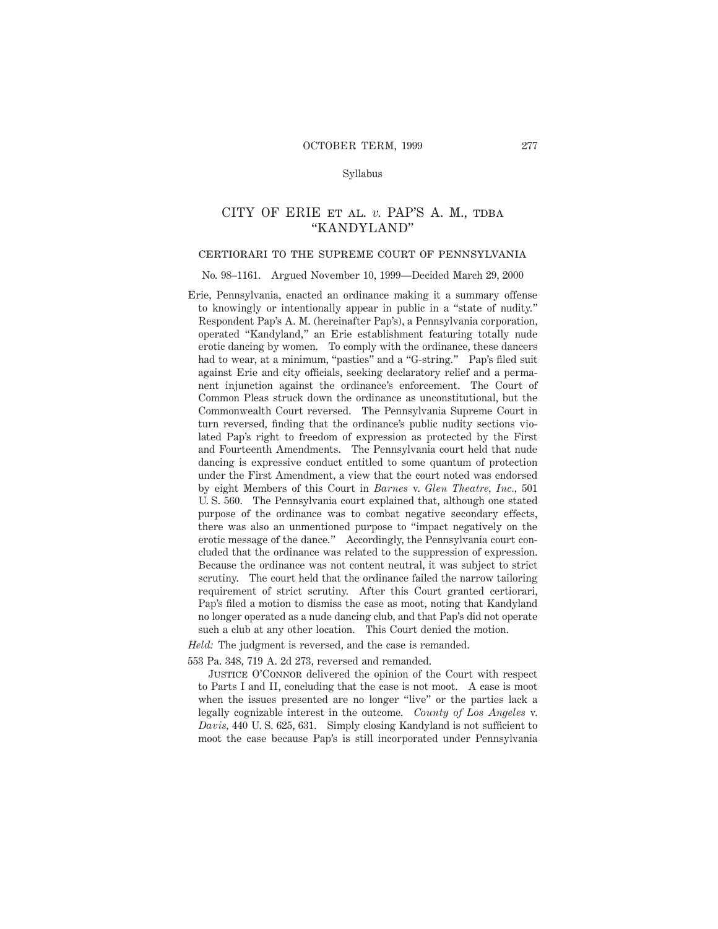# CITY OF ERIE ET AL. *v.* PAP'S A. M., TDBA "KANDYLAND"

#### certiorari to the supreme court of pennsylvania

No. 98–1161. Argued November 10, 1999—Decided March 29, 2000

Erie, Pennsylvania, enacted an ordinance making it a summary offense to knowingly or intentionally appear in public in a "state of nudity." Respondent Pap's A. M. (hereinafter Pap's), a Pennsylvania corporation, operated "Kandyland," an Erie establishment featuring totally nude erotic dancing by women. To comply with the ordinance, these dancers had to wear, at a minimum, "pasties" and a "G-string." Pap's filed suit against Erie and city officials, seeking declaratory relief and a permanent injunction against the ordinance's enforcement. The Court of Common Pleas struck down the ordinance as unconstitutional, but the Commonwealth Court reversed. The Pennsylvania Supreme Court in turn reversed, finding that the ordinance's public nudity sections violated Pap's right to freedom of expression as protected by the First and Fourteenth Amendments. The Pennsylvania court held that nude dancing is expressive conduct entitled to some quantum of protection under the First Amendment, a view that the court noted was endorsed by eight Members of this Court in *Barnes* v. *Glen Theatre, Inc.,* 501 U. S. 560. The Pennsylvania court explained that, although one stated purpose of the ordinance was to combat negative secondary effects, there was also an unmentioned purpose to "impact negatively on the erotic message of the dance." Accordingly, the Pennsylvania court concluded that the ordinance was related to the suppression of expression. Because the ordinance was not content neutral, it was subject to strict scrutiny. The court held that the ordinance failed the narrow tailoring requirement of strict scrutiny. After this Court granted certiorari, Pap's filed a motion to dismiss the case as moot, noting that Kandyland no longer operated as a nude dancing club, and that Pap's did not operate such a club at any other location. This Court denied the motion.

*Held:* The judgment is reversed, and the case is remanded.

553 Pa. 348, 719 A. 2d 273, reversed and remanded.

Justice O'Connor delivered the opinion of the Court with respect to Parts I and II, concluding that the case is not moot. A case is moot when the issues presented are no longer "live" or the parties lack a legally cognizable interest in the outcome. *County of Los Angeles* v. *Davis,* 440 U. S. 625, 631. Simply closing Kandyland is not sufficient to moot the case because Pap's is still incorporated under Pennsylvania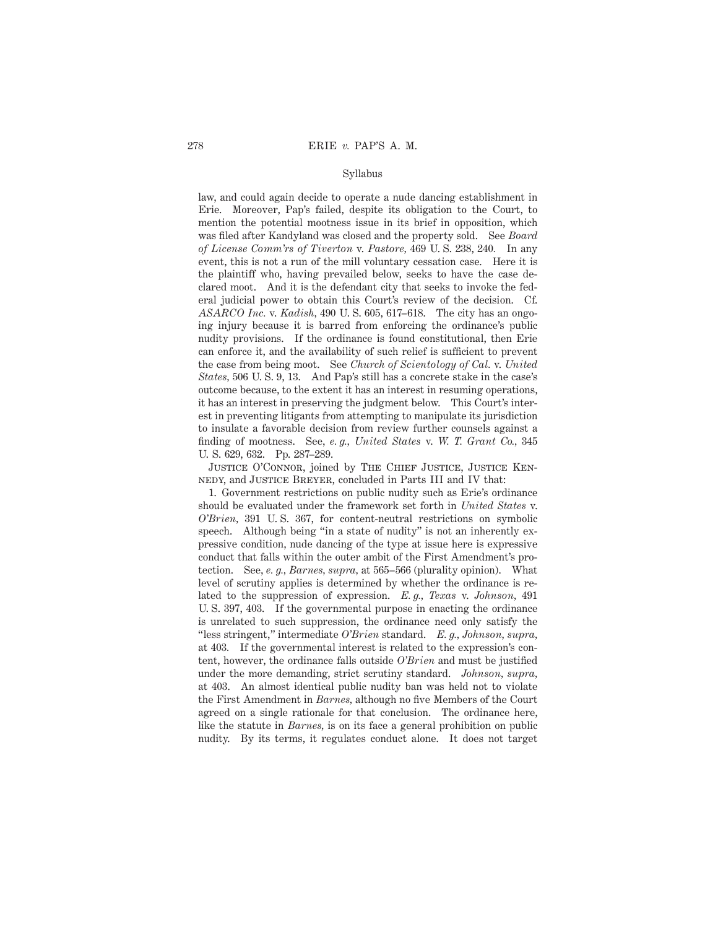law, and could again decide to operate a nude dancing establishment in Erie. Moreover, Pap's failed, despite its obligation to the Court, to mention the potential mootness issue in its brief in opposition, which was filed after Kandyland was closed and the property sold. See *Board of License Comm'rs of Tiverton* v. *Pastore,* 469 U. S. 238, 240*.* In any event, this is not a run of the mill voluntary cessation case. Here it is the plaintiff who, having prevailed below, seeks to have the case declared moot. And it is the defendant city that seeks to invoke the federal judicial power to obtain this Court's review of the decision. Cf. *ASARCO Inc.* v. *Kadish,* 490 U. S. 605, 617–618. The city has an ongoing injury because it is barred from enforcing the ordinance's public nudity provisions. If the ordinance is found constitutional, then Erie can enforce it, and the availability of such relief is sufficient to prevent the case from being moot. See *Church of Scientology of Cal.* v. *United States,* 506 U. S. 9, 13. And Pap's still has a concrete stake in the case's outcome because, to the extent it has an interest in resuming operations, it has an interest in preserving the judgment below. This Court's interest in preventing litigants from attempting to manipulate its jurisdiction to insulate a favorable decision from review further counsels against a finding of mootness. See, *e. g., United States* v. *W. T. Grant Co.,* 345 U. S. 629, 632. Pp. 287–289.

JUSTICE O'CONNOR, joined by THE CHIEF JUSTICE, JUSTICE KENnedy, and Justice Breyer, concluded in Parts III and IV that:

1. Government restrictions on public nudity such as Erie's ordinance should be evaluated under the framework set forth in *United States* v. *O'Brien,* 391 U. S. 367, for content-neutral restrictions on symbolic speech. Although being "in a state of nudity" is not an inherently expressive condition, nude dancing of the type at issue here is expressive conduct that falls within the outer ambit of the First Amendment's protection. See, *e. g., Barnes, supra,* at 565–566 (plurality opinion). What level of scrutiny applies is determined by whether the ordinance is related to the suppression of expression. *E. g., Texas* v. *Johnson,* 491 U. S. 397, 403. If the governmental purpose in enacting the ordinance is unrelated to such suppression, the ordinance need only satisfy the "less stringent," intermediate *O'Brien* standard. *E. g., Johnson, supra,* at 403*.* If the governmental interest is related to the expression's content, however, the ordinance falls outside *O'Brien* and must be justified under the more demanding, strict scrutiny standard. *Johnson, supra,* at 403. An almost identical public nudity ban was held not to violate the First Amendment in *Barnes,* although no five Members of the Court agreed on a single rationale for that conclusion. The ordinance here, like the statute in *Barnes,* is on its face a general prohibition on public nudity. By its terms, it regulates conduct alone. It does not target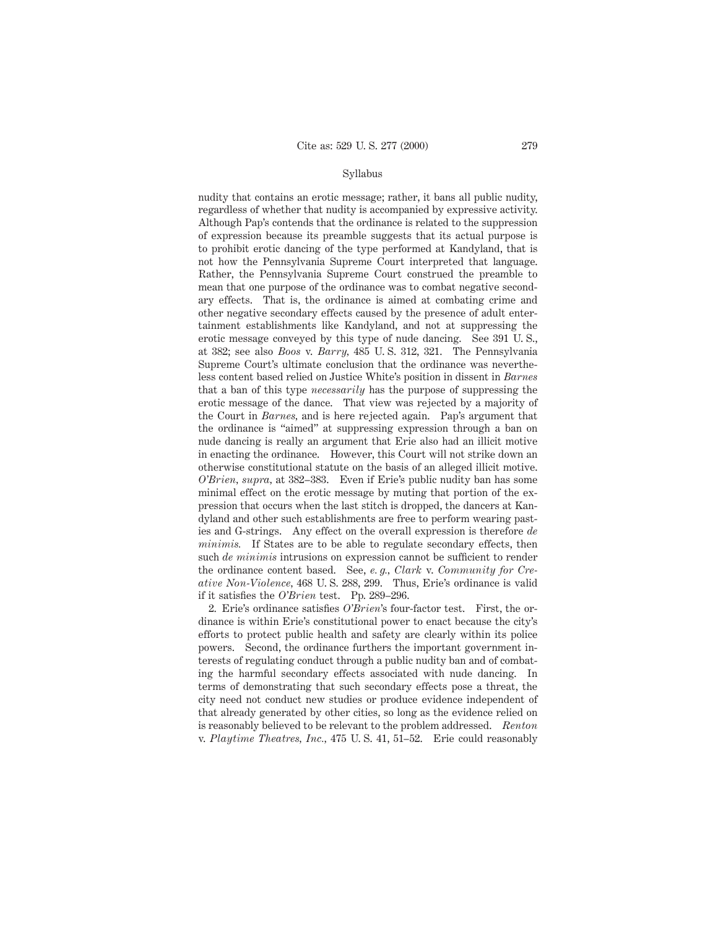nudity that contains an erotic message; rather, it bans all public nudity, regardless of whether that nudity is accompanied by expressive activity. Although Pap's contends that the ordinance is related to the suppression of expression because its preamble suggests that its actual purpose is to prohibit erotic dancing of the type performed at Kandyland, that is not how the Pennsylvania Supreme Court interpreted that language. Rather, the Pennsylvania Supreme Court construed the preamble to mean that one purpose of the ordinance was to combat negative secondary effects. That is, the ordinance is aimed at combating crime and other negative secondary effects caused by the presence of adult entertainment establishments like Kandyland, and not at suppressing the erotic message conveyed by this type of nude dancing. See 391 U. S., at 382; see also *Boos* v. *Barry,* 485 U. S. 312, 321. The Pennsylvania Supreme Court's ultimate conclusion that the ordinance was nevertheless content based relied on Justice White's position in dissent in *Barnes* that a ban of this type *necessarily* has the purpose of suppressing the erotic message of the dance. That view was rejected by a majority of the Court in *Barnes,* and is here rejected again. Pap's argument that the ordinance is "aimed" at suppressing expression through a ban on nude dancing is really an argument that Erie also had an illicit motive in enacting the ordinance. However, this Court will not strike down an otherwise constitutional statute on the basis of an alleged illicit motive. *O'Brien, supra,* at 382–383. Even if Erie's public nudity ban has some minimal effect on the erotic message by muting that portion of the expression that occurs when the last stitch is dropped, the dancers at Kandyland and other such establishments are free to perform wearing pasties and G-strings. Any effect on the overall expression is therefore *de minimis.* If States are to be able to regulate secondary effects, then such *de minimis* intrusions on expression cannot be sufficient to render the ordinance content based. See, *e. g., Clark* v. *Community for Creative Non-Violence,* 468 U. S. 288, 299. Thus, Erie's ordinance is valid if it satisfies the *O'Brien* test. Pp. 289–296.

2. Erie's ordinance satisfies *O'Brien*'s four-factor test. First, the ordinance is within Erie's constitutional power to enact because the city's efforts to protect public health and safety are clearly within its police powers. Second, the ordinance furthers the important government interests of regulating conduct through a public nudity ban and of combating the harmful secondary effects associated with nude dancing. In terms of demonstrating that such secondary effects pose a threat, the city need not conduct new studies or produce evidence independent of that already generated by other cities, so long as the evidence relied on is reasonably believed to be relevant to the problem addressed. *Renton* v. *Playtime Theatres, Inc.,* 475 U. S. 41, 51–52. Erie could reasonably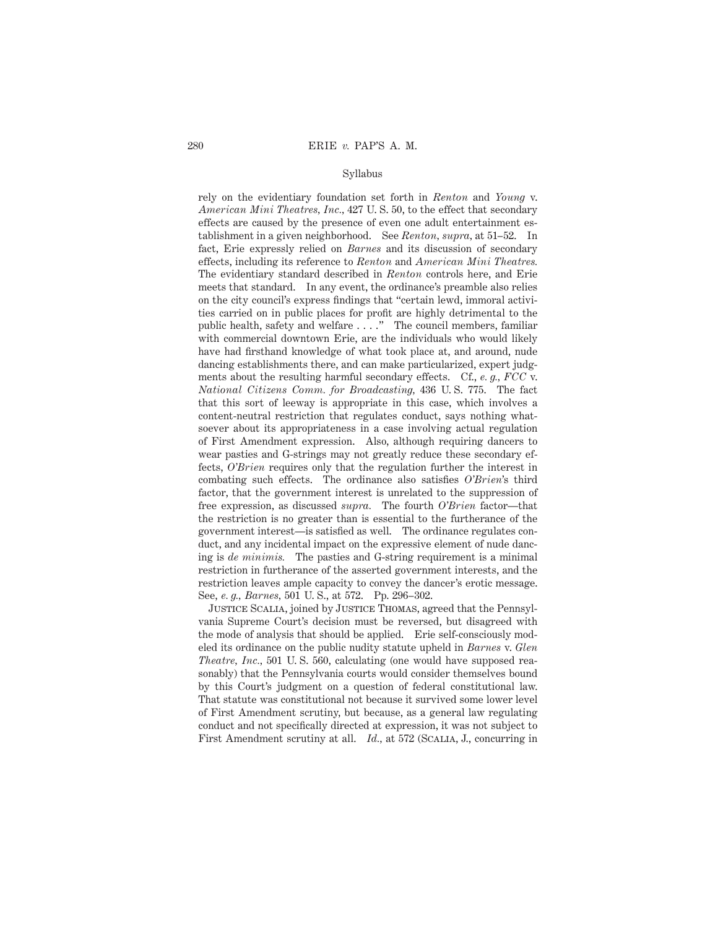rely on the evidentiary foundation set forth in *Renton* and *Young* v. *American Mini Theatres, Inc.,* 427 U. S. 50, to the effect that secondary effects are caused by the presence of even one adult entertainment establishment in a given neighborhood. See *Renton, supra,* at 51–52. In fact, Erie expressly relied on *Barnes* and its discussion of secondary effects, including its reference to *Renton* and *American Mini Theatres.* The evidentiary standard described in *Renton* controls here, and Erie meets that standard. In any event, the ordinance's preamble also relies on the city council's express findings that "certain lewd, immoral activities carried on in public places for profit are highly detrimental to the public health, safety and welfare . . . ." The council members, familiar with commercial downtown Erie, are the individuals who would likely have had firsthand knowledge of what took place at, and around, nude dancing establishments there, and can make particularized, expert judgments about the resulting harmful secondary effects. Cf., *e. g., FCC* v. *National Citizens Comm. for Broadcasting,* 436 U. S. 775. The fact that this sort of leeway is appropriate in this case, which involves a content-neutral restriction that regulates conduct, says nothing whatsoever about its appropriateness in a case involving actual regulation of First Amendment expression. Also, although requiring dancers to wear pasties and G-strings may not greatly reduce these secondary effects, *O'Brien* requires only that the regulation further the interest in combating such effects. The ordinance also satisfies *O'Brien*'s third factor, that the government interest is unrelated to the suppression of free expression, as discussed *supra.* The fourth *O'Brien* factor—that the restriction is no greater than is essential to the furtherance of the government interest—is satisfied as well. The ordinance regulates conduct, and any incidental impact on the expressive element of nude dancing is *de minimis.* The pasties and G-string requirement is a minimal restriction in furtherance of the asserted government interests, and the restriction leaves ample capacity to convey the dancer's erotic message. See, *e. g., Barnes,* 501 U. S., at 572. Pp. 296–302.

Justice Scalia, joined by Justice Thomas, agreed that the Pennsylvania Supreme Court's decision must be reversed, but disagreed with the mode of analysis that should be applied. Erie self-consciously modeled its ordinance on the public nudity statute upheld in *Barnes* v. *Glen Theatre, Inc.,* 501 U. S. 560, calculating (one would have supposed reasonably) that the Pennsylvania courts would consider themselves bound by this Court's judgment on a question of federal constitutional law. That statute was constitutional not because it survived some lower level of First Amendment scrutiny, but because, as a general law regulating conduct and not specifically directed at expression, it was not subject to First Amendment scrutiny at all. *Id.,* at 572 (Scalia, J., concurring in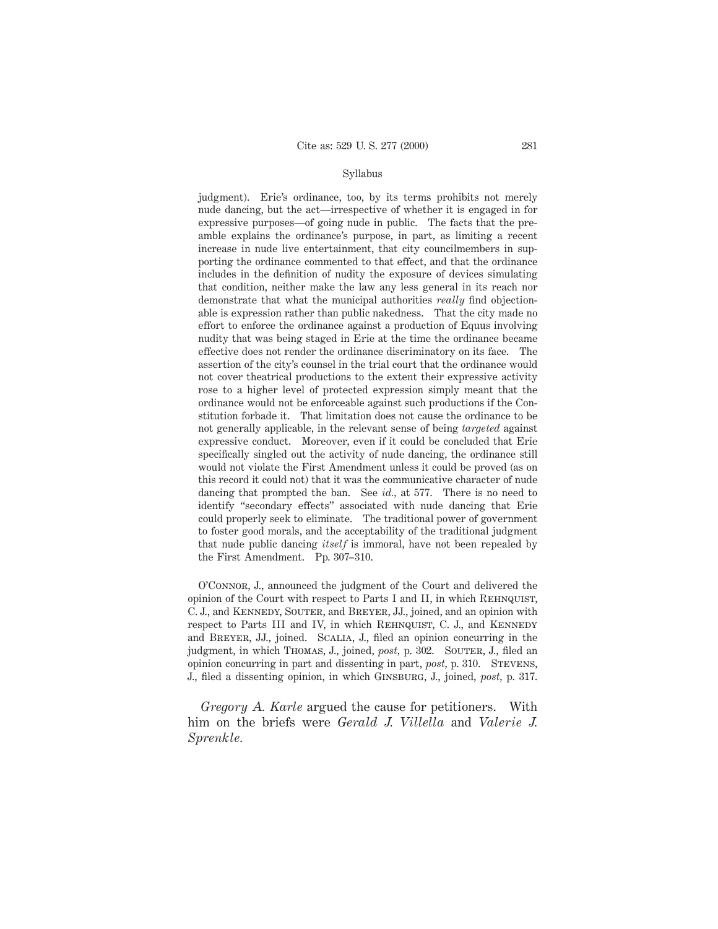judgment). Erie's ordinance, too, by its terms prohibits not merely nude dancing, but the act—irrespective of whether it is engaged in for expressive purposes—of going nude in public. The facts that the preamble explains the ordinance's purpose, in part, as limiting a recent increase in nude live entertainment, that city councilmembers in supporting the ordinance commented to that effect, and that the ordinance includes in the definition of nudity the exposure of devices simulating that condition, neither make the law any less general in its reach nor demonstrate that what the municipal authorities *really* find objectionable is expression rather than public nakedness. That the city made no effort to enforce the ordinance against a production of Equus involving nudity that was being staged in Erie at the time the ordinance became effective does not render the ordinance discriminatory on its face. The assertion of the city's counsel in the trial court that the ordinance would not cover theatrical productions to the extent their expressive activity rose to a higher level of protected expression simply meant that the ordinance would not be enforceable against such productions if the Constitution forbade it. That limitation does not cause the ordinance to be not generally applicable, in the relevant sense of being *targeted* against expressive conduct. Moreover, even if it could be concluded that Erie specifically singled out the activity of nude dancing, the ordinance still would not violate the First Amendment unless it could be proved (as on this record it could not) that it was the communicative character of nude dancing that prompted the ban. See *id.,* at 577. There is no need to identify "secondary effects" associated with nude dancing that Erie could properly seek to eliminate. The traditional power of government to foster good morals, and the acceptability of the traditional judgment that nude public dancing *itself* is immoral, have not been repealed by the First Amendment. Pp. 307–310.

O'Connor, J., announced the judgment of the Court and delivered the opinion of the Court with respect to Parts I and II, in which REHNQUIST, C. J., and KENNEDY, SOUTER, and BREYER, JJ., joined, and an opinion with respect to Parts III and IV, in which REHNQUIST, C. J., and KENNEDY and Breyer, JJ., joined. Scalia, J., filed an opinion concurring in the judgment, in which Thomas, J., joined, *post*, p. 302. SOUTER, J., filed an opinion concurring in part and dissenting in part, *post,* p. 310. Stevens, J., filed a dissenting opinion, in which Ginsburg, J., joined, *post,* p. 317.

*Gregory A. Karle* argued the cause for petitioners. With him on the briefs were *Gerald J. Villella* and *Valerie J. Sprenkle.*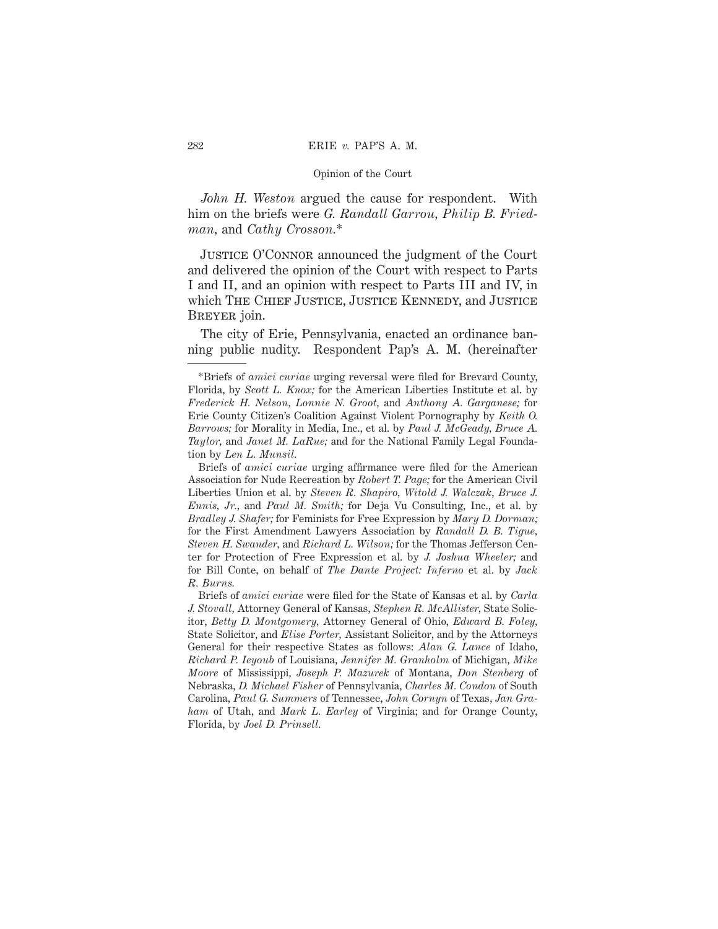*John H. Weston* argued the cause for respondent. With him on the briefs were *G. Randall Garrou, Philip B. Friedman,* and *Cathy Crosson.*\*

JUSTICE O'CONNOR announced the judgment of the Court and delivered the opinion of the Court with respect to Parts I and II, and an opinion with respect to Parts III and IV, in which THE CHIEF JUSTICE, JUSTICE KENNEDY, and JUSTICE Breyer join.

The city of Erie, Pennsylvania, enacted an ordinance banning public nudity. Respondent Pap's A. M. (hereinafter

Briefs of *amici curiae* urging affirmance were filed for the American Association for Nude Recreation by *Robert T. Page;* for the American Civil Liberties Union et al. by *Steven R. Shapiro, Witold J. Walczak, Bruce J. Ennis, Jr.,* and *Paul M. Smith;* for Deja Vu Consulting, Inc., et al. by *Bradley J. Shafer;* for Feminists for Free Expression by *Mary D. Dorman;* for the First Amendment Lawyers Association by *Randall D. B. Tigue, Steven H. Swander,* and *Richard L. Wilson;* for the Thomas Jefferson Center for Protection of Free Expression et al. by *J. Joshua Wheeler;* and for Bill Conte, on behalf of *The Dante Project: Inferno* et al. by *Jack R. Burns.*

Briefs of *amici curiae* were filed for the State of Kansas et al. by *Carla J. Stovall,* Attorney General of Kansas, *Stephen R. McAllister,* State Solicitor, *Betty D. Montgomery,* Attorney General of Ohio, *Edward B. Foley,* State Solicitor, and *Elise Porter,* Assistant Solicitor, and by the Attorneys General for their respective States as follows: *Alan G. Lance* of Idaho, *Richard P. Ieyoub* of Louisiana, *Jennifer M. Granholm* of Michigan, *Mike Moore* of Mississippi, *Joseph P. Mazurek* of Montana, *Don Stenberg* of Nebraska, *D. Michael Fisher* of Pennsylvania, *Charles M. Condon* of South Carolina, *Paul G. Summers* of Tennessee, *John Cornyn* of Texas, *Jan Graham* of Utah, and *Mark L. Earley* of Virginia; and for Orange County, Florida, by *Joel D. Prinsell.*

<sup>\*</sup>Briefs of *amici curiae* urging reversal were filed for Brevard County, Florida, by *Scott L. Knox;* for the American Liberties Institute et al. by *Frederick H. Nelson, Lonnie N. Groot,* and *Anthony A. Garganese;* for Erie County Citizen's Coalition Against Violent Pornography by *Keith O. Barrows;* for Morality in Media, Inc., et al. by *Paul J. McGeady, Bruce A. Taylor,* and *Janet M. LaRue;* and for the National Family Legal Foundation by *Len L. Munsil.*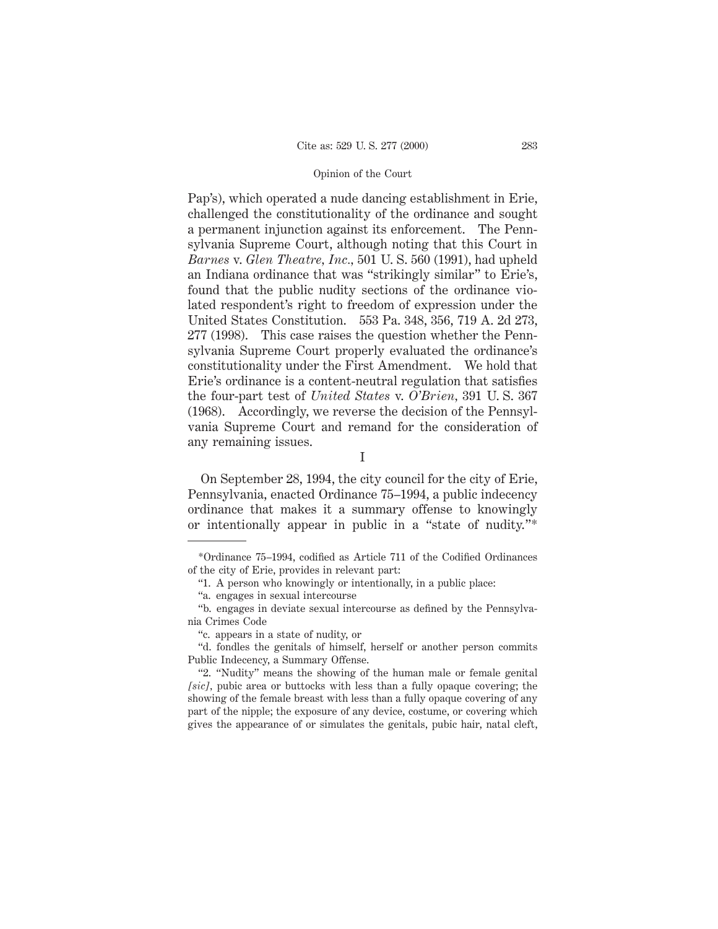Pap's), which operated a nude dancing establishment in Erie, challenged the constitutionality of the ordinance and sought a permanent injunction against its enforcement. The Pennsylvania Supreme Court, although noting that this Court in *Barnes* v. *Glen Theatre, Inc.,* 501 U. S. 560 (1991), had upheld an Indiana ordinance that was "strikingly similar" to Erie's, found that the public nudity sections of the ordinance violated respondent's right to freedom of expression under the United States Constitution. 553 Pa. 348, 356, 719 A. 2d 273, 277 (1998). This case raises the question whether the Pennsylvania Supreme Court properly evaluated the ordinance's constitutionality under the First Amendment. We hold that Erie's ordinance is a content-neutral regulation that satisfies the four-part test of *United States* v. *O'Brien,* 391 U. S. 367 (1968). Accordingly, we reverse the decision of the Pennsylvania Supreme Court and remand for the consideration of any remaining issues.

I

On September 28, 1994, the city council for the city of Erie, Pennsylvania, enacted Ordinance 75–1994, a public indecency ordinance that makes it a summary offense to knowingly or intentionally appear in public in a "state of nudity."\*

<sup>\*</sup>Ordinance 75–1994, codified as Article 711 of the Codified Ordinances of the city of Erie, provides in relevant part:

<sup>&</sup>quot;1. A person who knowingly or intentionally, in a public place:

<sup>&</sup>quot;a. engages in sexual intercourse

<sup>&</sup>quot;b. engages in deviate sexual intercourse as defined by the Pennsylvania Crimes Code

<sup>&</sup>quot;c. appears in a state of nudity, or

<sup>&</sup>quot;d. fondles the genitals of himself, herself or another person commits Public Indecency, a Summary Offense.

<sup>&</sup>quot;2. "Nudity" means the showing of the human male or female genital *[sic],* pubic area or buttocks with less than a fully opaque covering; the showing of the female breast with less than a fully opaque covering of any part of the nipple; the exposure of any device, costume, or covering which gives the appearance of or simulates the genitals, pubic hair, natal cleft,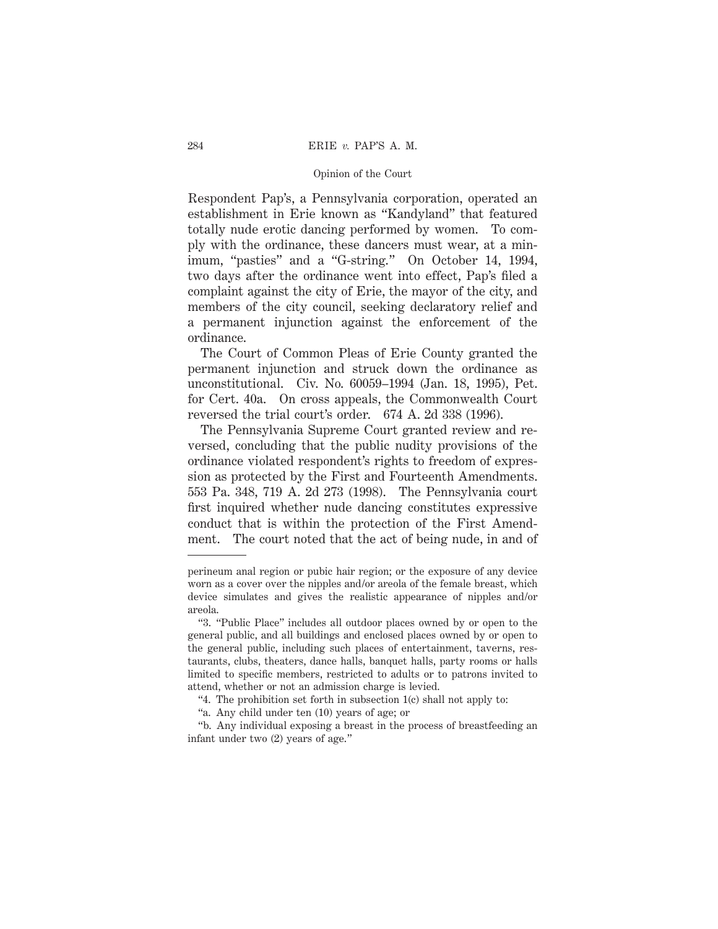Respondent Pap's, a Pennsylvania corporation, operated an establishment in Erie known as "Kandyland" that featured totally nude erotic dancing performed by women. To comply with the ordinance, these dancers must wear, at a minimum, "pasties" and a "G-string." On October 14, 1994, two days after the ordinance went into effect, Pap's filed a complaint against the city of Erie, the mayor of the city, and members of the city council, seeking declaratory relief and a permanent injunction against the enforcement of the ordinance.

The Court of Common Pleas of Erie County granted the permanent injunction and struck down the ordinance as unconstitutional. Civ. No. 60059–1994 (Jan. 18, 1995), Pet. for Cert. 40a. On cross appeals, the Commonwealth Court reversed the trial court's order. 674 A. 2d 338 (1996).

The Pennsylvania Supreme Court granted review and reversed, concluding that the public nudity provisions of the ordinance violated respondent's rights to freedom of expression as protected by the First and Fourteenth Amendments. 553 Pa. 348, 719 A. 2d 273 (1998). The Pennsylvania court first inquired whether nude dancing constitutes expressive conduct that is within the protection of the First Amendment. The court noted that the act of being nude, in and of

perineum anal region or pubic hair region; or the exposure of any device worn as a cover over the nipples and/or areola of the female breast, which device simulates and gives the realistic appearance of nipples and/or areola.

<sup>&</sup>quot;3. "Public Place" includes all outdoor places owned by or open to the general public, and all buildings and enclosed places owned by or open to the general public, including such places of entertainment, taverns, restaurants, clubs, theaters, dance halls, banquet halls, party rooms or halls limited to specific members, restricted to adults or to patrons invited to attend, whether or not an admission charge is levied.

<sup>&</sup>quot;4. The prohibition set forth in subsection 1(c) shall not apply to:

<sup>&</sup>quot;a. Any child under ten (10) years of age; or

<sup>&</sup>quot;b. Any individual exposing a breast in the process of breastfeeding an infant under two (2) years of age."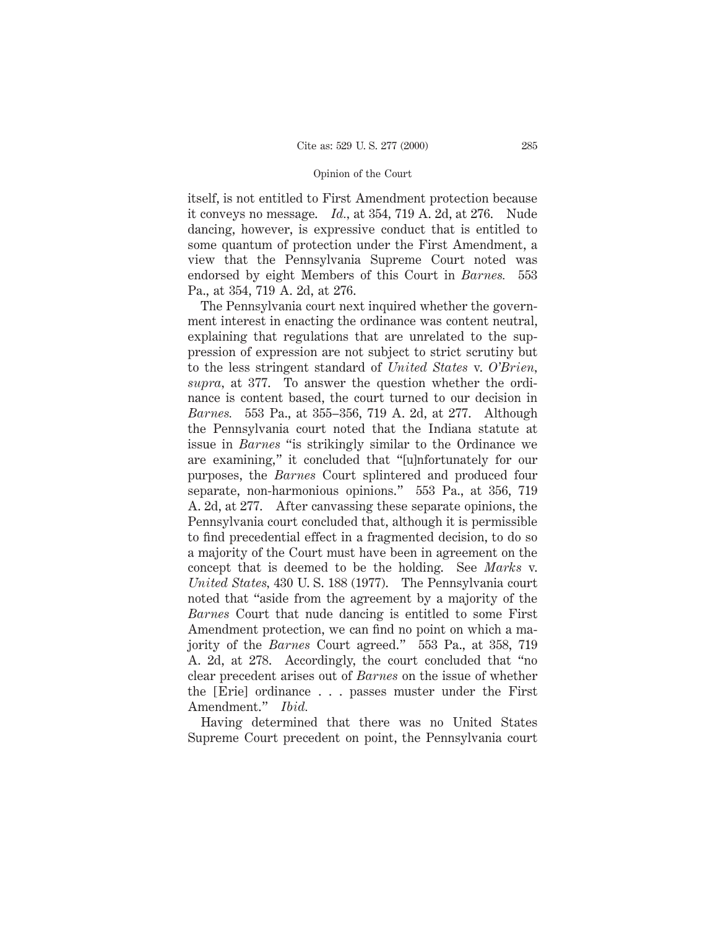itself, is not entitled to First Amendment protection because it conveys no message. *Id.,* at 354*,* 719 A. 2d, at 276. Nude dancing, however, is expressive conduct that is entitled to some quantum of protection under the First Amendment, a view that the Pennsylvania Supreme Court noted was endorsed by eight Members of this Court in *Barnes.* 553 Pa., at 354, 719 A. 2d, at 276.

The Pennsylvania court next inquired whether the government interest in enacting the ordinance was content neutral, explaining that regulations that are unrelated to the suppression of expression are not subject to strict scrutiny but to the less stringent standard of *United States* v. *O'Brien, supra,* at 377. To answer the question whether the ordinance is content based, the court turned to our decision in *Barnes.* 553 Pa., at 355–356, 719 A. 2d, at 277. Although the Pennsylvania court noted that the Indiana statute at issue in *Barnes* "is strikingly similar to the Ordinance we are examining," it concluded that "[u]nfortunately for our purposes, the *Barnes* Court splintered and produced four separate, non-harmonious opinions." 553 Pa., at 356, 719 A. 2d, at 277. After canvassing these separate opinions, the Pennsylvania court concluded that, although it is permissible to find precedential effect in a fragmented decision, to do so a majority of the Court must have been in agreement on the concept that is deemed to be the holding. See *Marks* v. *United States,* 430 U. S. 188 (1977). The Pennsylvania court noted that "aside from the agreement by a majority of the *Barnes* Court that nude dancing is entitled to some First Amendment protection, we can find no point on which a majority of the *Barnes* Court agreed." 553 Pa., at 358, 719 A. 2d, at 278. Accordingly, the court concluded that "no clear precedent arises out of *Barnes* on the issue of whether the [Erie] ordinance . . . passes muster under the First Amendment." *Ibid.*

Having determined that there was no United States Supreme Court precedent on point, the Pennsylvania court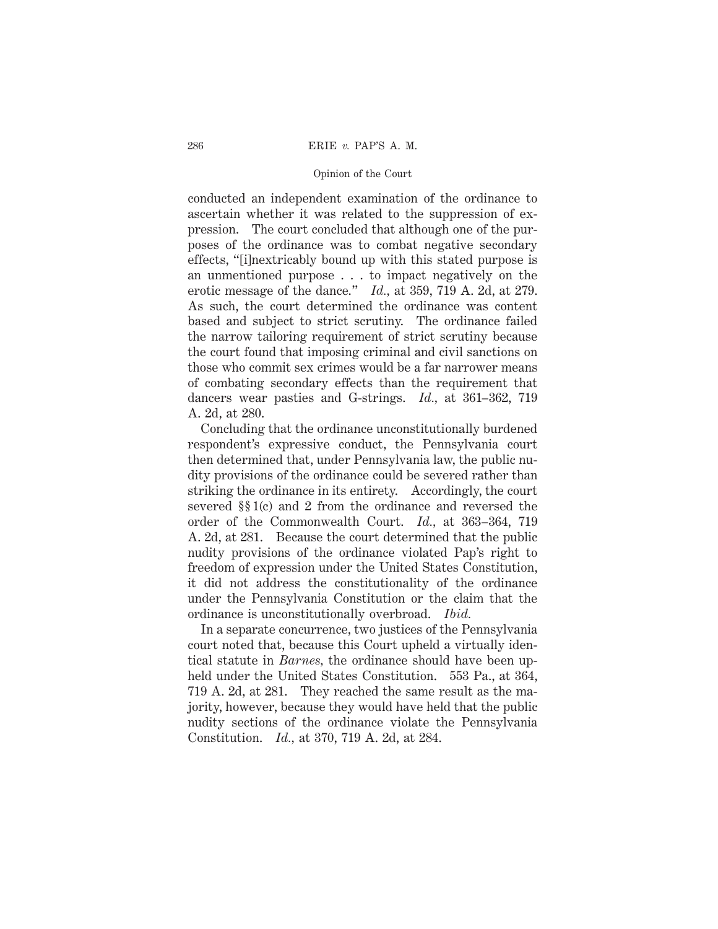conducted an independent examination of the ordinance to ascertain whether it was related to the suppression of expression. The court concluded that although one of the purposes of the ordinance was to combat negative secondary effects, "[i]nextricably bound up with this stated purpose is an unmentioned purpose . . . to impact negatively on the erotic message of the dance." *Id.,* at 359, 719 A. 2d, at 279. As such, the court determined the ordinance was content based and subject to strict scrutiny. The ordinance failed the narrow tailoring requirement of strict scrutiny because the court found that imposing criminal and civil sanctions on those who commit sex crimes would be a far narrower means of combating secondary effects than the requirement that dancers wear pasties and G-strings. *Id.,* at 361–362, 719 A. 2d, at 280.

Concluding that the ordinance unconstitutionally burdened respondent's expressive conduct, the Pennsylvania court then determined that, under Pennsylvania law, the public nudity provisions of the ordinance could be severed rather than striking the ordinance in its entirety. Accordingly, the court severed §§ 1(c) and 2 from the ordinance and reversed the order of the Commonwealth Court. *Id.,* at 363–364, 719 A. 2d, at 281. Because the court determined that the public nudity provisions of the ordinance violated Pap's right to freedom of expression under the United States Constitution, it did not address the constitutionality of the ordinance under the Pennsylvania Constitution or the claim that the ordinance is unconstitutionally overbroad. *Ibid.*

In a separate concurrence, two justices of the Pennsylvania court noted that, because this Court upheld a virtually identical statute in *Barnes,* the ordinance should have been upheld under the United States Constitution. 553 Pa., at 364, 719 A. 2d, at 281. They reached the same result as the majority, however, because they would have held that the public nudity sections of the ordinance violate the Pennsylvania Constitution. *Id.,* at 370, 719 A. 2d, at 284.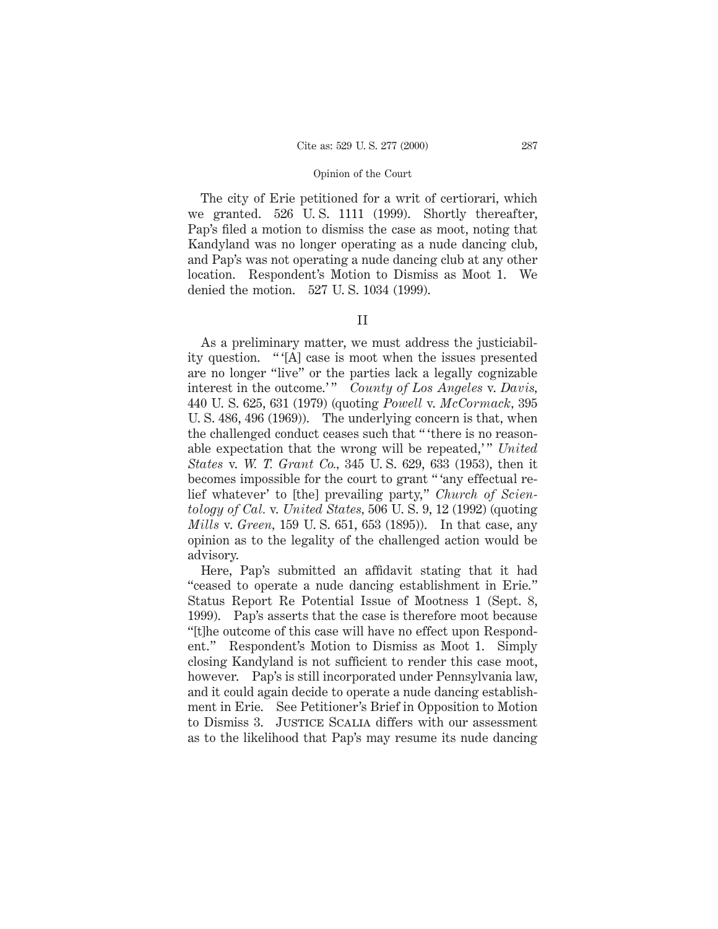The city of Erie petitioned for a writ of certiorari, which we granted. 526 U. S. 1111 (1999). Shortly thereafter, Pap's filed a motion to dismiss the case as moot, noting that Kandyland was no longer operating as a nude dancing club, and Pap's was not operating a nude dancing club at any other location. Respondent's Motion to Dismiss as Moot 1. We denied the motion. 527 U. S. 1034 (1999).

II

As a preliminary matter, we must address the justiciability question. " '[A] case is moot when the issues presented are no longer "live" or the parties lack a legally cognizable interest in the outcome.'" *County of Los Angeles v. Davis,* 440 U. S. 625, 631 (1979) (quoting *Powell* v. *McCormack,* 395 U. S. 486, 496 (1969)). The underlying concern is that, when the challenged conduct ceases such that " 'there is no reasonable expectation that the wrong will be repeated,'" *United States* v. *W. T. Grant Co.,* 345 U. S. 629, 633 (1953), then it becomes impossible for the court to grant " 'any effectual relief whatever' to [the] prevailing party," *Church of Scientology of Cal.* v. *United States,* 506 U. S. 9, 12 (1992) (quoting *Mills* v. *Green,* 159 U. S. 651, 653 (1895)). In that case, any opinion as to the legality of the challenged action would be advisory.

Here, Pap's submitted an affidavit stating that it had "ceased to operate a nude dancing establishment in Erie." Status Report Re Potential Issue of Mootness 1 (Sept. 8, 1999). Pap's asserts that the case is therefore moot because "[t]he outcome of this case will have no effect upon Respondent." Respondent's Motion to Dismiss as Moot 1. Simply closing Kandyland is not sufficient to render this case moot, however. Pap's is still incorporated under Pennsylvania law, and it could again decide to operate a nude dancing establishment in Erie. See Petitioner's Brief in Opposition to Motion to Dismiss 3. Justice Scalia differs with our assessment as to the likelihood that Pap's may resume its nude dancing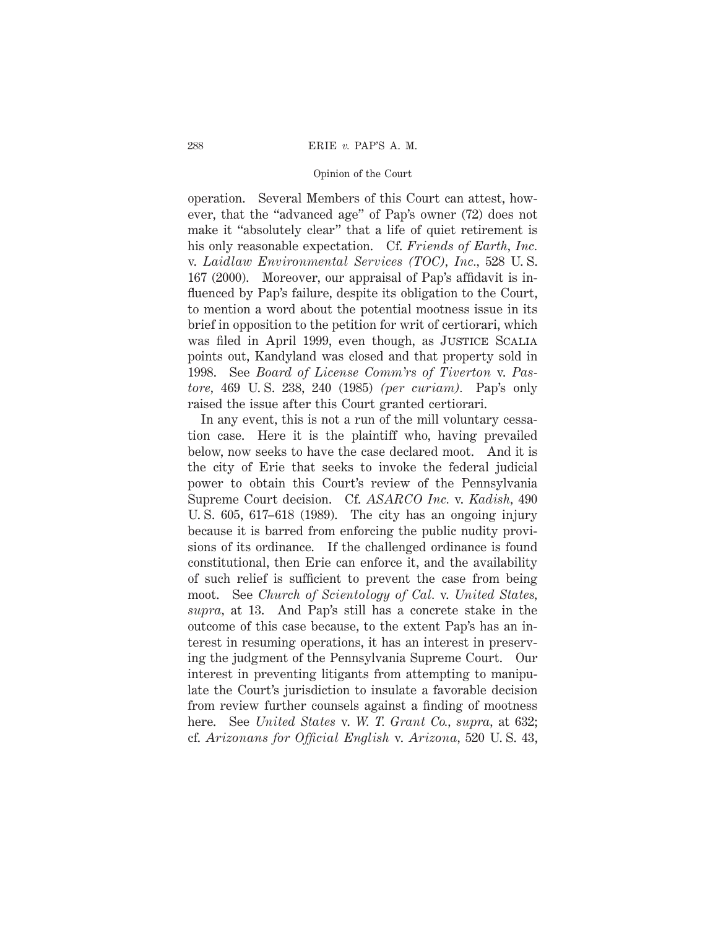operation. Several Members of this Court can attest, however, that the "advanced age" of Pap's owner (72) does not make it "absolutely clear" that a life of quiet retirement is his only reasonable expectation. Cf. *Friends of Earth, Inc.* v. *Laidlaw Environmental Services (TOC), Inc.,* 528 U. S. 167 (2000). Moreover, our appraisal of Pap's affidavit is influenced by Pap's failure, despite its obligation to the Court, to mention a word about the potential mootness issue in its brief in opposition to the petition for writ of certiorari, which was filed in April 1999, even though, as JUSTICE SCALIA points out, Kandyland was closed and that property sold in 1998. See *Board of License Comm'rs of Tiverton* v. *Pastore,* 469 U. S. 238, 240 (1985) *(per curiam).* Pap's only raised the issue after this Court granted certiorari.

In any event, this is not a run of the mill voluntary cessation case. Here it is the plaintiff who, having prevailed below, now seeks to have the case declared moot. And it is the city of Erie that seeks to invoke the federal judicial power to obtain this Court's review of the Pennsylvania Supreme Court decision. Cf. *ASARCO Inc.* v. *Kadish,* 490 U. S. 605, 617–618 (1989). The city has an ongoing injury because it is barred from enforcing the public nudity provisions of its ordinance. If the challenged ordinance is found constitutional, then Erie can enforce it, and the availability of such relief is sufficient to prevent the case from being moot. See *Church of Scientology of Cal.* v. *United States, supra,* at 13. And Pap's still has a concrete stake in the outcome of this case because, to the extent Pap's has an interest in resuming operations, it has an interest in preserving the judgment of the Pennsylvania Supreme Court. Our interest in preventing litigants from attempting to manipulate the Court's jurisdiction to insulate a favorable decision from review further counsels against a finding of mootness here. See *United States* v. *W. T. Grant Co., supra,* at 632; cf. *Arizonans for Official English* v. *Arizona,* 520 U. S. 43,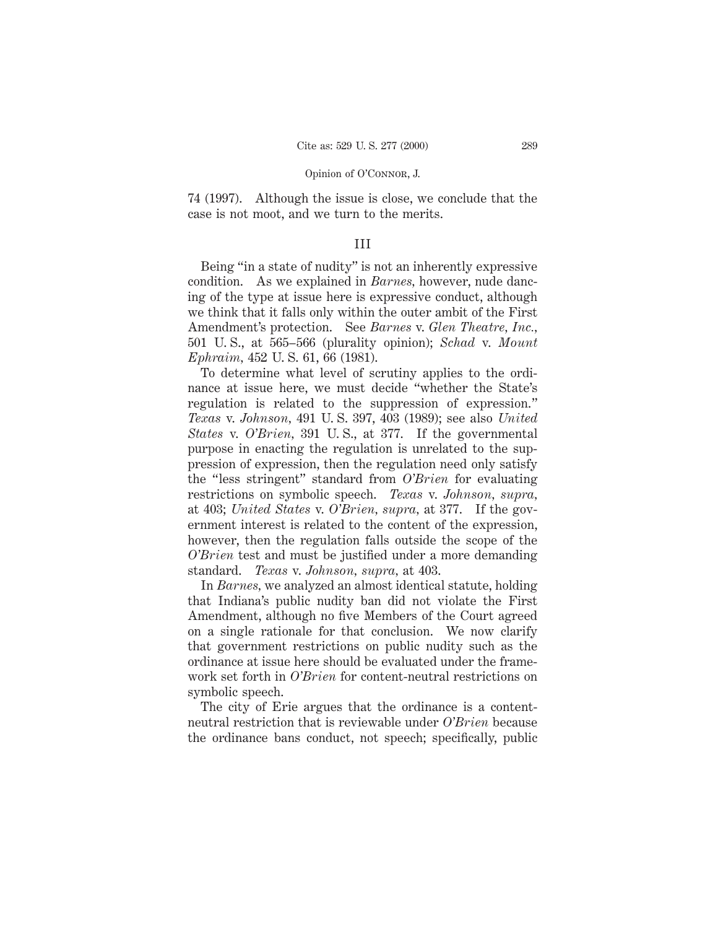74 (1997). Although the issue is close, we conclude that the case is not moot, and we turn to the merits.

# III

Being "in a state of nudity" is not an inherently expressive condition. As we explained in *Barnes,* however, nude dancing of the type at issue here is expressive conduct, although we think that it falls only within the outer ambit of the First Amendment's protection. See *Barnes* v. *Glen Theatre, Inc.,* 501 U. S., at 565–566 (plurality opinion); *Schad* v. *Mount Ephraim,* 452 U. S. 61, 66 (1981).

To determine what level of scrutiny applies to the ordinance at issue here, we must decide "whether the State's regulation is related to the suppression of expression." *Texas* v. *Johnson,* 491 U. S. 397, 403 (1989); see also *United States* v. *O'Brien,* 391 U. S., at 377. If the governmental purpose in enacting the regulation is unrelated to the suppression of expression, then the regulation need only satisfy the "less stringent" standard from *O'Brien* for evaluating restrictions on symbolic speech. *Texas* v. *Johnson, supra,* at 403; *United States* v. *O'Brien, supra,* at 377. If the government interest is related to the content of the expression, however, then the regulation falls outside the scope of the *O'Brien* test and must be justified under a more demanding standard. *Texas* v. *Johnson, supra,* at 403.

In *Barnes,* we analyzed an almost identical statute, holding that Indiana's public nudity ban did not violate the First Amendment, although no five Members of the Court agreed on a single rationale for that conclusion. We now clarify that government restrictions on public nudity such as the ordinance at issue here should be evaluated under the framework set forth in *O'Brien* for content-neutral restrictions on symbolic speech.

The city of Erie argues that the ordinance is a contentneutral restriction that is reviewable under *O'Brien* because the ordinance bans conduct, not speech; specifically, public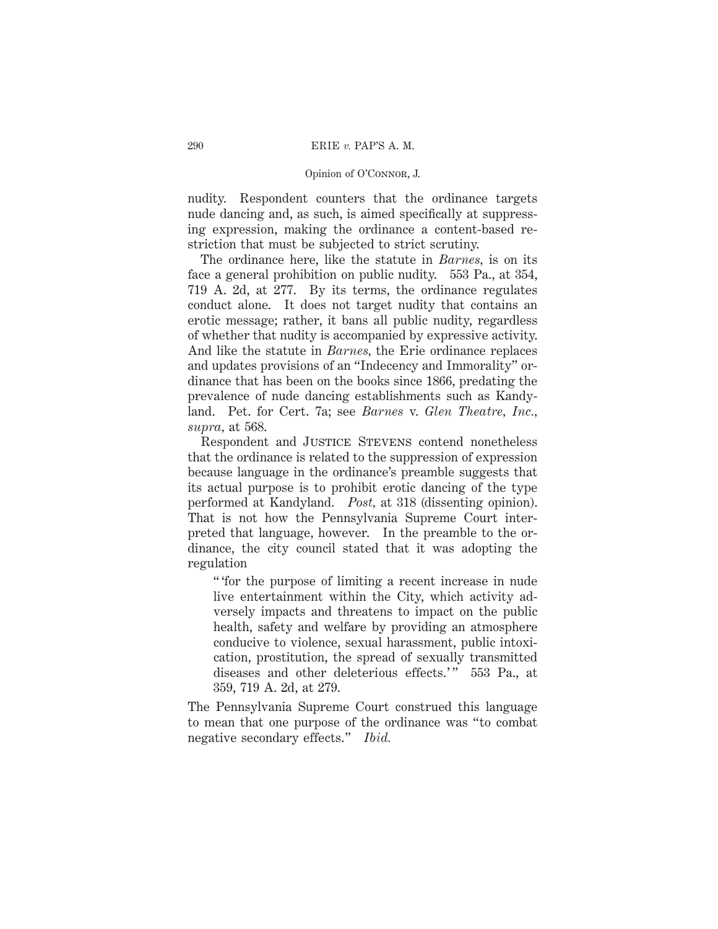nudity. Respondent counters that the ordinance targets nude dancing and, as such, is aimed specifically at suppressing expression, making the ordinance a content-based restriction that must be subjected to strict scrutiny.

The ordinance here, like the statute in *Barnes,* is on its face a general prohibition on public nudity. 553 Pa., at 354, 719 A. 2d, at 277. By its terms, the ordinance regulates conduct alone. It does not target nudity that contains an erotic message; rather, it bans all public nudity, regardless of whether that nudity is accompanied by expressive activity. And like the statute in *Barnes,* the Erie ordinance replaces and updates provisions of an "Indecency and Immorality" ordinance that has been on the books since 1866, predating the prevalence of nude dancing establishments such as Kandyland. Pet. for Cert. 7a; see *Barnes* v. *Glen Theatre, Inc., supra,* at 568.

Respondent and JUSTICE STEVENS contend nonetheless that the ordinance is related to the suppression of expression because language in the ordinance's preamble suggests that its actual purpose is to prohibit erotic dancing of the type performed at Kandyland. *Post,* at 318 (dissenting opinion). That is not how the Pennsylvania Supreme Court interpreted that language, however. In the preamble to the ordinance, the city council stated that it was adopting the regulation

" 'for the purpose of limiting a recent increase in nude live entertainment within the City, which activity adversely impacts and threatens to impact on the public health, safety and welfare by providing an atmosphere conducive to violence, sexual harassment, public intoxication, prostitution, the spread of sexually transmitted diseases and other deleterious effects.'" 553 Pa., at 359, 719 A. 2d, at 279.

The Pennsylvania Supreme Court construed this language to mean that one purpose of the ordinance was "to combat negative secondary effects." *Ibid.*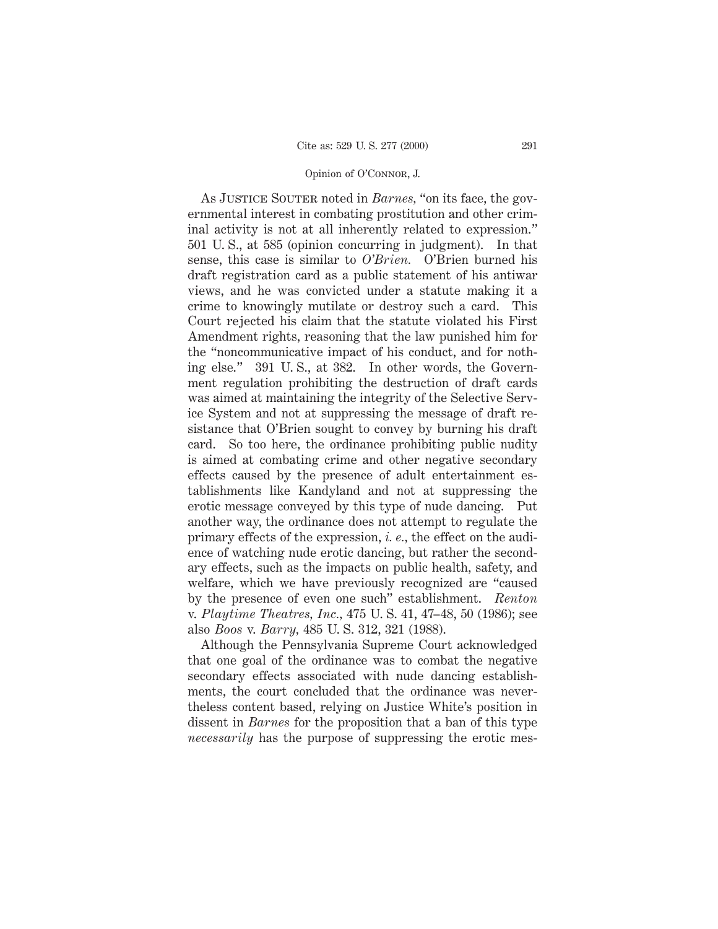As JUSTICE SOUTER noted in *Barnes*, "on its face, the governmental interest in combating prostitution and other criminal activity is not at all inherently related to expression." 501 U. S., at 585 (opinion concurring in judgment). In that sense, this case is similar to *O'Brien.* O'Brien burned his draft registration card as a public statement of his antiwar views, and he was convicted under a statute making it a crime to knowingly mutilate or destroy such a card. This Court rejected his claim that the statute violated his First Amendment rights, reasoning that the law punished him for the "noncommunicative impact of his conduct, and for nothing else." 391 U. S., at 382. In other words, the Government regulation prohibiting the destruction of draft cards was aimed at maintaining the integrity of the Selective Service System and not at suppressing the message of draft resistance that O'Brien sought to convey by burning his draft card. So too here, the ordinance prohibiting public nudity is aimed at combating crime and other negative secondary effects caused by the presence of adult entertainment establishments like Kandyland and not at suppressing the erotic message conveyed by this type of nude dancing. Put another way, the ordinance does not attempt to regulate the primary effects of the expression, *i. e.,* the effect on the audience of watching nude erotic dancing, but rather the secondary effects, such as the impacts on public health, safety, and welfare, which we have previously recognized are "caused by the presence of even one such" establishment. *Renton* v. *Playtime Theatres, Inc.,* 475 U. S. 41, 47–48, 50 (1986); see also *Boos* v. *Barry,* 485 U. S. 312, 321 (1988).

Although the Pennsylvania Supreme Court acknowledged that one goal of the ordinance was to combat the negative secondary effects associated with nude dancing establishments, the court concluded that the ordinance was nevertheless content based, relying on Justice White's position in dissent in *Barnes* for the proposition that a ban of this type *necessarily* has the purpose of suppressing the erotic mes-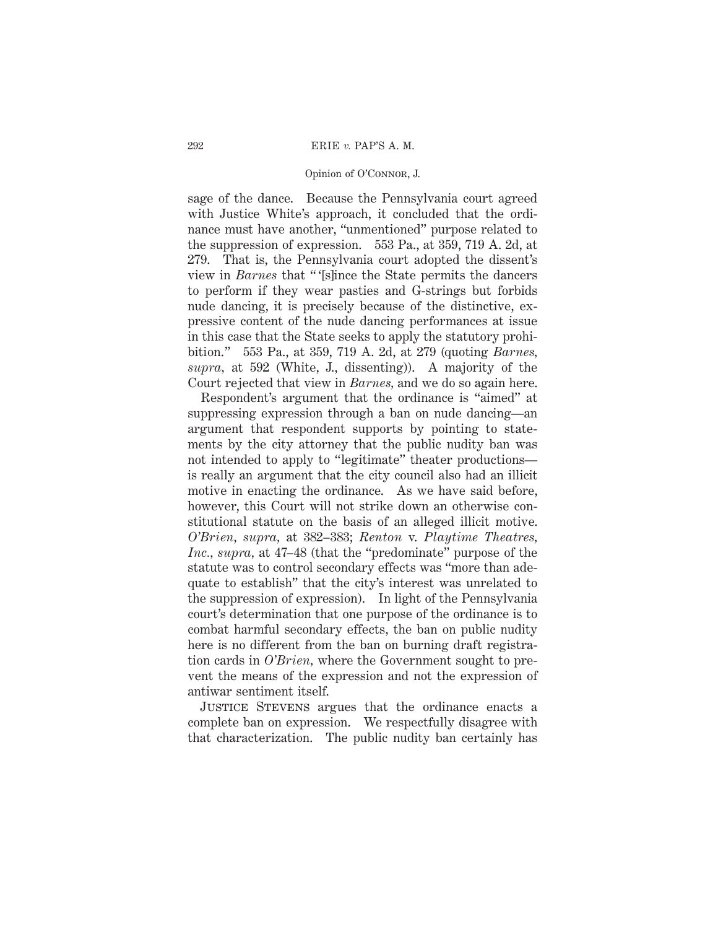sage of the dance. Because the Pennsylvania court agreed with Justice White's approach, it concluded that the ordinance must have another, "unmentioned" purpose related to the suppression of expression. 553 Pa., at 359, 719 A. 2d, at 279. That is, the Pennsylvania court adopted the dissent's view in *Barnes* that " '[s]ince the State permits the dancers to perform if they wear pasties and G-strings but forbids nude dancing, it is precisely because of the distinctive, expressive content of the nude dancing performances at issue in this case that the State seeks to apply the statutory prohibition." 553 Pa., at 359, 719 A. 2d, at 279 (quoting *Barnes, supra,* at 592 (White, J., dissenting)). A majority of the Court rejected that view in *Barnes,* and we do so again here.

Respondent's argument that the ordinance is "aimed" at suppressing expression through a ban on nude dancing—an argument that respondent supports by pointing to statements by the city attorney that the public nudity ban was not intended to apply to "legitimate" theater productions is really an argument that the city council also had an illicit motive in enacting the ordinance. As we have said before, however, this Court will not strike down an otherwise constitutional statute on the basis of an alleged illicit motive. *O'Brien, supra,* at 382–383; *Renton* v. *Playtime Theatres, Inc., supra,* at 47–48 (that the "predominate" purpose of the statute was to control secondary effects was "more than adequate to establish" that the city's interest was unrelated to the suppression of expression). In light of the Pennsylvania court's determination that one purpose of the ordinance is to combat harmful secondary effects, the ban on public nudity here is no different from the ban on burning draft registration cards in *O'Brien,* where the Government sought to prevent the means of the expression and not the expression of antiwar sentiment itself.

Justice Stevens argues that the ordinance enacts a complete ban on expression. We respectfully disagree with that characterization. The public nudity ban certainly has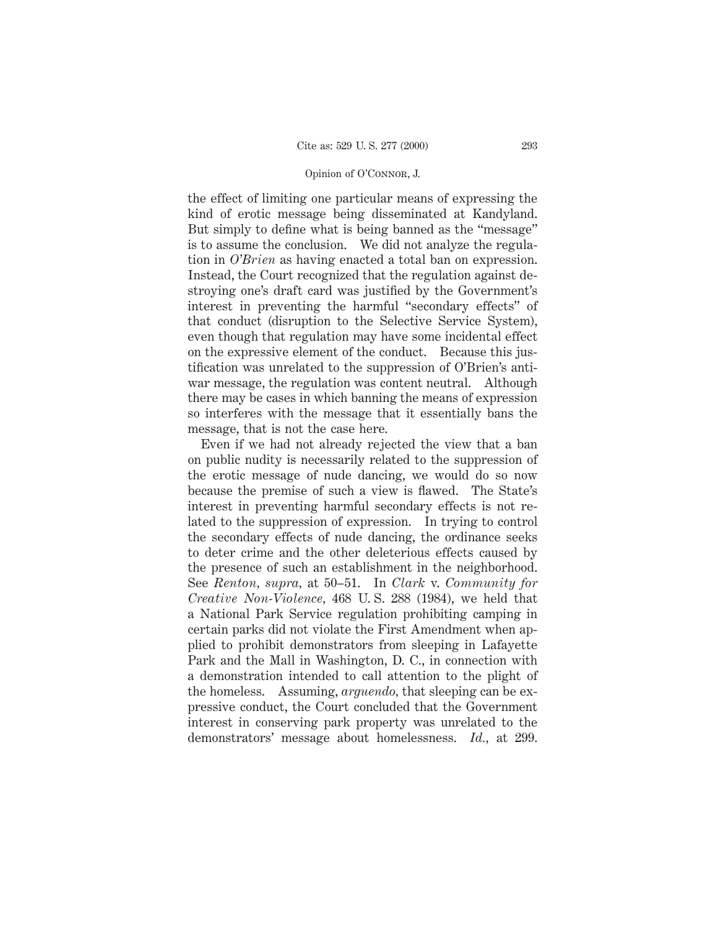the effect of limiting one particular means of expressing the kind of erotic message being disseminated at Kandyland. But simply to define what is being banned as the "message" is to assume the conclusion. We did not analyze the regulation in *O'Brien* as having enacted a total ban on expression. Instead, the Court recognized that the regulation against destroying one's draft card was justified by the Government's interest in preventing the harmful "secondary effects" of that conduct (disruption to the Selective Service System), even though that regulation may have some incidental effect on the expressive element of the conduct. Because this justification was unrelated to the suppression of O'Brien's antiwar message, the regulation was content neutral. Although there may be cases in which banning the means of expression so interferes with the message that it essentially bans the message, that is not the case here.

Even if we had not already rejected the view that a ban on public nudity is necessarily related to the suppression of the erotic message of nude dancing, we would do so now because the premise of such a view is flawed. The State's interest in preventing harmful secondary effects is not related to the suppression of expression. In trying to control the secondary effects of nude dancing, the ordinance seeks to deter crime and the other deleterious effects caused by the presence of such an establishment in the neighborhood. See *Renton, supra,* at 50–51. In *Clark* v. *Community for Creative Non-Violence,* 468 U. S. 288 (1984), we held that a National Park Service regulation prohibiting camping in certain parks did not violate the First Amendment when applied to prohibit demonstrators from sleeping in Lafayette Park and the Mall in Washington, D. C., in connection with a demonstration intended to call attention to the plight of the homeless. Assuming, *arguendo,* that sleeping can be expressive conduct, the Court concluded that the Government interest in conserving park property was unrelated to the demonstrators' message about homelessness. *Id.,* at 299.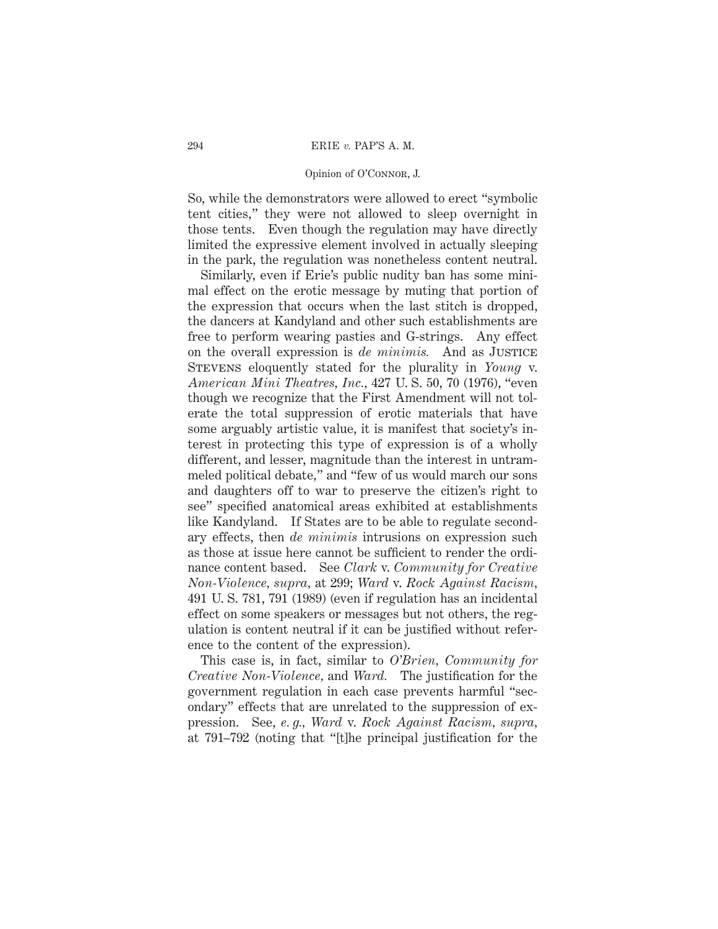So, while the demonstrators were allowed to erect "symbolic tent cities," they were not allowed to sleep overnight in those tents. Even though the regulation may have directly limited the expressive element involved in actually sleeping in the park, the regulation was nonetheless content neutral.

Similarly, even if Erie's public nudity ban has some minimal effect on the erotic message by muting that portion of the expression that occurs when the last stitch is dropped, the dancers at Kandyland and other such establishments are free to perform wearing pasties and G-strings. Any effect on the overall expression is *de minimis*. And as JUSTICE Stevens eloquently stated for the plurality in *Young* v. *American Mini Theatres, Inc.,* 427 U. S. 50, 70 (1976), "even though we recognize that the First Amendment will not tolerate the total suppression of erotic materials that have some arguably artistic value, it is manifest that society's interest in protecting this type of expression is of a wholly different, and lesser, magnitude than the interest in untrammeled political debate," and "few of us would march our sons and daughters off to war to preserve the citizen's right to see" specified anatomical areas exhibited at establishments like Kandyland. If States are to be able to regulate secondary effects, then *de minimis* intrusions on expression such as those at issue here cannot be sufficient to render the ordinance content based. See *Clark* v. *Community for Creative Non-Violence, supra,* at 299; *Ward* v. *Rock Against Racism,* 491 U. S. 781, 791 (1989) (even if regulation has an incidental effect on some speakers or messages but not others, the regulation is content neutral if it can be justified without reference to the content of the expression).

This case is, in fact, similar to *O'Brien, Community for Creative Non-Violence,* and *Ward.* The justification for the government regulation in each case prevents harmful "secondary" effects that are unrelated to the suppression of expression. See, *e. g., Ward* v. *Rock Against Racism, supra,* at 791–792 (noting that "[t]he principal justification for the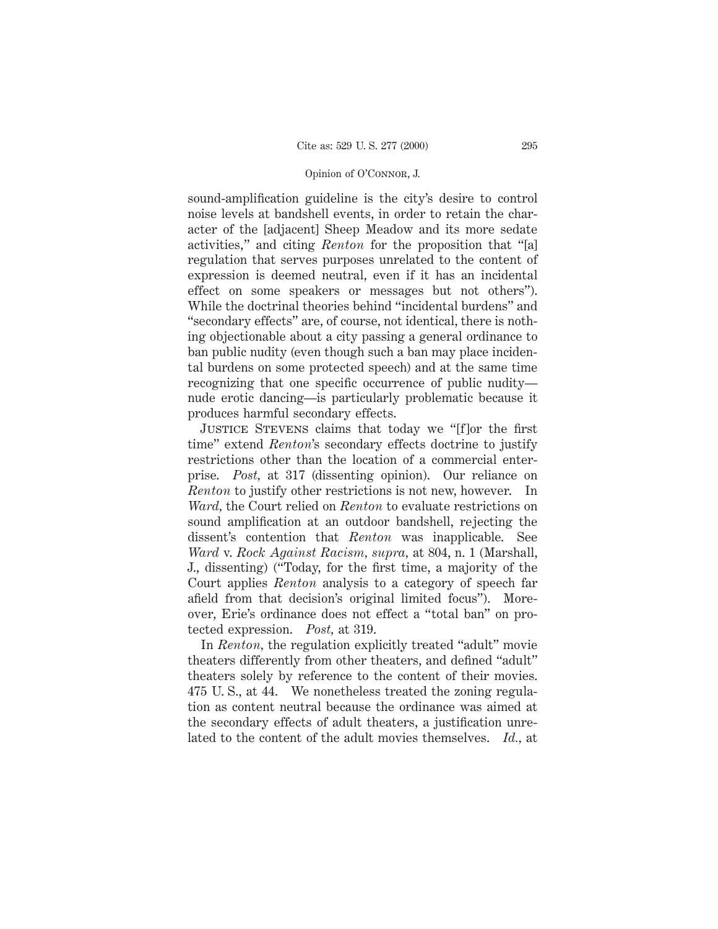sound-amplification guideline is the city's desire to control noise levels at bandshell events, in order to retain the character of the [adjacent] Sheep Meadow and its more sedate activities," and citing *Renton* for the proposition that "[a] regulation that serves purposes unrelated to the content of expression is deemed neutral, even if it has an incidental effect on some speakers or messages but not others"). While the doctrinal theories behind "incidental burdens" and "secondary effects" are, of course, not identical, there is nothing objectionable about a city passing a general ordinance to ban public nudity (even though such a ban may place incidental burdens on some protected speech) and at the same time recognizing that one specific occurrence of public nudity nude erotic dancing—is particularly problematic because it produces harmful secondary effects.

Justice Stevens claims that today we "[f]or the first time" extend *Renton*'s secondary effects doctrine to justify restrictions other than the location of a commercial enterprise. *Post,* at 317 (dissenting opinion). Our reliance on *Renton* to justify other restrictions is not new, however. In *Ward,* the Court relied on *Renton* to evaluate restrictions on sound amplification at an outdoor bandshell, rejecting the dissent's contention that *Renton* was inapplicable. See *Ward* v. *Rock Against Racism, supra,* at 804, n. 1 (Marshall, J., dissenting) ("Today, for the first time, a majority of the Court applies *Renton* analysis to a category of speech far afield from that decision's original limited focus"). Moreover, Erie's ordinance does not effect a "total ban" on protected expression. *Post,* at 319.

In *Renton,* the regulation explicitly treated "adult" movie theaters differently from other theaters, and defined "adult" theaters solely by reference to the content of their movies. 475 U. S., at 44. We nonetheless treated the zoning regulation as content neutral because the ordinance was aimed at the secondary effects of adult theaters, a justification unrelated to the content of the adult movies themselves. *Id.,* at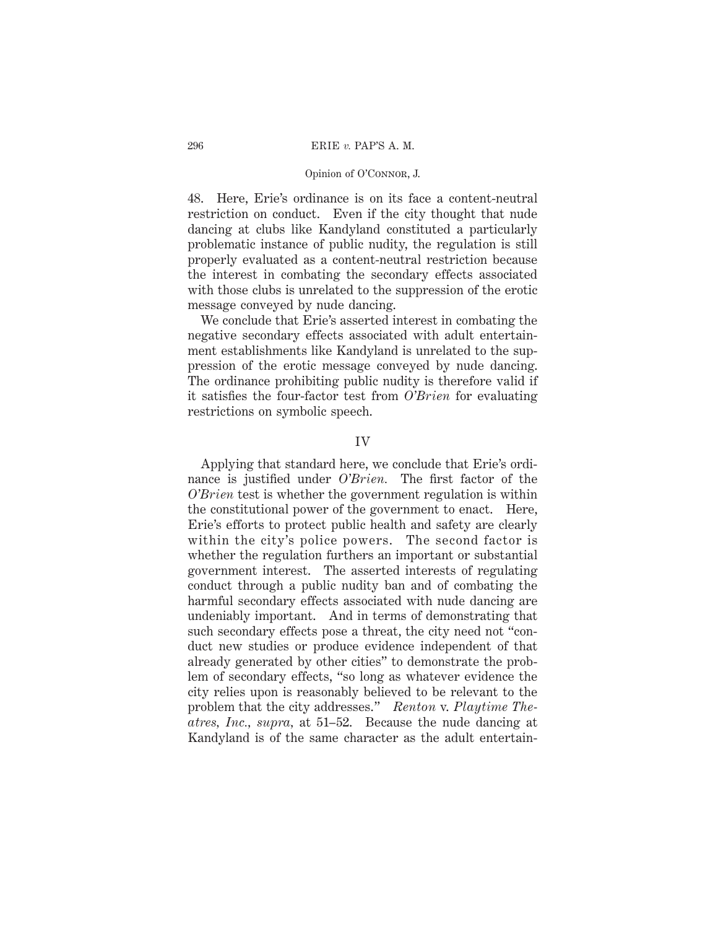48. Here, Erie's ordinance is on its face a content-neutral restriction on conduct. Even if the city thought that nude dancing at clubs like Kandyland constituted a particularly problematic instance of public nudity, the regulation is still properly evaluated as a content-neutral restriction because the interest in combating the secondary effects associated with those clubs is unrelated to the suppression of the erotic message conveyed by nude dancing.

We conclude that Erie's asserted interest in combating the negative secondary effects associated with adult entertainment establishments like Kandyland is unrelated to the suppression of the erotic message conveyed by nude dancing. The ordinance prohibiting public nudity is therefore valid if it satisfies the four-factor test from *O'Brien* for evaluating restrictions on symbolic speech.

# IV

Applying that standard here, we conclude that Erie's ordinance is justified under *O'Brien.* The first factor of the *O'Brien* test is whether the government regulation is within the constitutional power of the government to enact. Here, Erie's efforts to protect public health and safety are clearly within the city's police powers. The second factor is whether the regulation furthers an important or substantial government interest. The asserted interests of regulating conduct through a public nudity ban and of combating the harmful secondary effects associated with nude dancing are undeniably important. And in terms of demonstrating that such secondary effects pose a threat, the city need not "conduct new studies or produce evidence independent of that already generated by other cities" to demonstrate the problem of secondary effects, "so long as whatever evidence the city relies upon is reasonably believed to be relevant to the problem that the city addresses." *Renton* v. *Playtime Theatres, Inc., supra,* at 51–52. Because the nude dancing at Kandyland is of the same character as the adult entertain-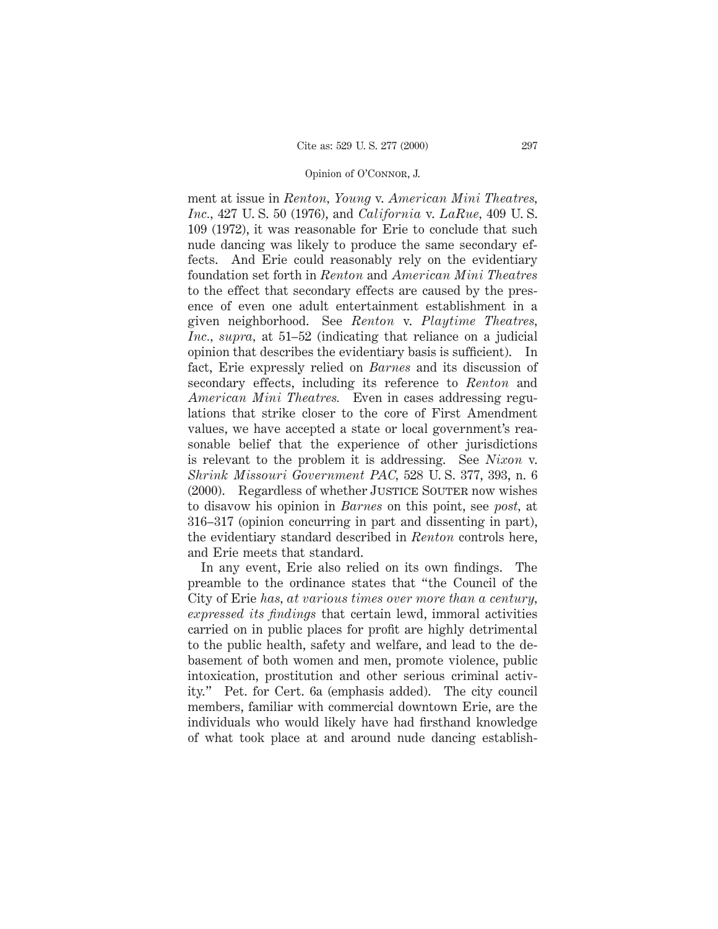ment at issue in *Renton, Young* v. *American Mini Theatres, Inc.,* 427 U. S. 50 (1976), and *California* v. *LaRue,* 409 U. S. 109 (1972), it was reasonable for Erie to conclude that such nude dancing was likely to produce the same secondary effects. And Erie could reasonably rely on the evidentiary foundation set forth in *Renton* and *American Mini Theatres* to the effect that secondary effects are caused by the presence of even one adult entertainment establishment in a given neighborhood. See *Renton* v. *Playtime Theatres, Inc., supra,* at 51–52 (indicating that reliance on a judicial opinion that describes the evidentiary basis is sufficient). In fact, Erie expressly relied on *Barnes* and its discussion of secondary effects, including its reference to *Renton* and *American Mini Theatres.* Even in cases addressing regulations that strike closer to the core of First Amendment values, we have accepted a state or local government's reasonable belief that the experience of other jurisdictions is relevant to the problem it is addressing. See *Nixon* v. *Shrink Missouri Government PAC,* 528 U. S. 377, 393, n. 6 (2000). Regardless of whether JUSTICE SOUTER now wishes to disavow his opinion in *Barnes* on this point, see *post,* at 316–317 (opinion concurring in part and dissenting in part), the evidentiary standard described in *Renton* controls here, and Erie meets that standard.

In any event, Erie also relied on its own findings. The preamble to the ordinance states that "the Council of the City of Erie *has, at various times over more than a century, expressed its findings* that certain lewd, immoral activities carried on in public places for profit are highly detrimental to the public health, safety and welfare, and lead to the debasement of both women and men, promote violence, public intoxication, prostitution and other serious criminal activity." Pet. for Cert. 6a (emphasis added). The city council members, familiar with commercial downtown Erie, are the individuals who would likely have had firsthand knowledge of what took place at and around nude dancing establish-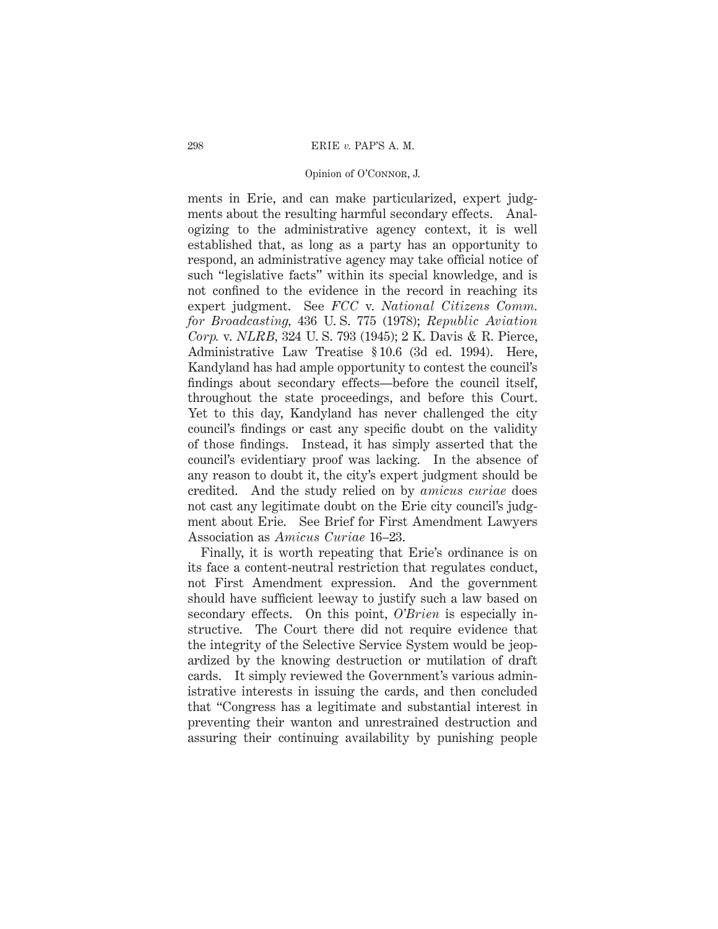ments in Erie, and can make particularized, expert judgments about the resulting harmful secondary effects. Analogizing to the administrative agency context, it is well established that, as long as a party has an opportunity to respond, an administrative agency may take official notice of such "legislative facts" within its special knowledge, and is not confined to the evidence in the record in reaching its expert judgment. See *FCC* v. *National Citizens Comm. for Broadcasting,* 436 U. S. 775 (1978); *Republic Aviation Corp.* v. *NLRB,* 324 U. S. 793 (1945); 2 K. Davis & R. Pierce, Administrative Law Treatise § 10.6 (3d ed. 1994). Here, Kandyland has had ample opportunity to contest the council's findings about secondary effects—before the council itself, throughout the state proceedings, and before this Court. Yet to this day, Kandyland has never challenged the city council's findings or cast any specific doubt on the validity of those findings. Instead, it has simply asserted that the council's evidentiary proof was lacking. In the absence of any reason to doubt it, the city's expert judgment should be credited. And the study relied on by *amicus curiae* does not cast any legitimate doubt on the Erie city council's judgment about Erie. See Brief for First Amendment Lawyers Association as *Amicus Curiae* 16–23.

Finally, it is worth repeating that Erie's ordinance is on its face a content-neutral restriction that regulates conduct, not First Amendment expression. And the government should have sufficient leeway to justify such a law based on secondary effects. On this point, *O'Brien* is especially instructive. The Court there did not require evidence that the integrity of the Selective Service System would be jeopardized by the knowing destruction or mutilation of draft cards. It simply reviewed the Government's various administrative interests in issuing the cards, and then concluded that "Congress has a legitimate and substantial interest in preventing their wanton and unrestrained destruction and assuring their continuing availability by punishing people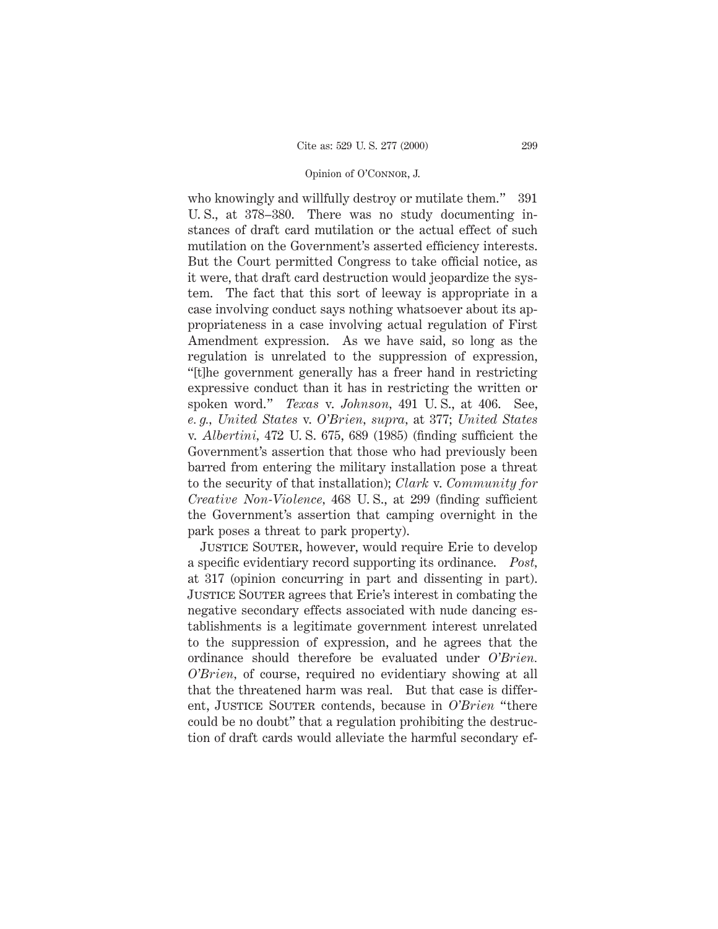who knowingly and willfully destroy or mutilate them." 391 U. S., at 378–380. There was no study documenting instances of draft card mutilation or the actual effect of such mutilation on the Government's asserted efficiency interests. But the Court permitted Congress to take official notice, as it were, that draft card destruction would jeopardize the system. The fact that this sort of leeway is appropriate in a case involving conduct says nothing whatsoever about its appropriateness in a case involving actual regulation of First Amendment expression. As we have said, so long as the regulation is unrelated to the suppression of expression, "[t]he government generally has a freer hand in restricting expressive conduct than it has in restricting the written or spoken word." *Texas* v. *Johnson,* 491 U. S., at 406. See, *e. g., United States* v. *O'Brien, supra,* at 377; *United States* v. *Albertini,* 472 U. S. 675, 689 (1985) (finding sufficient the Government's assertion that those who had previously been barred from entering the military installation pose a threat to the security of that installation); *Clark* v. *Community for Creative Non-Violence,* 468 U. S., at 299 (finding sufficient the Government's assertion that camping overnight in the park poses a threat to park property).

JUSTICE SOUTER, however, would require Erie to develop a specific evidentiary record supporting its ordinance. *Post,* at 317 (opinion concurring in part and dissenting in part). Justice Souter agrees that Erie's interest in combating the negative secondary effects associated with nude dancing establishments is a legitimate government interest unrelated to the suppression of expression, and he agrees that the ordinance should therefore be evaluated under *O'Brien. O'Brien,* of course, required no evidentiary showing at all that the threatened harm was real. But that case is different, JUSTICE SOUTER contends, because in *O'Brien* "there could be no doubt" that a regulation prohibiting the destruction of draft cards would alleviate the harmful secondary ef-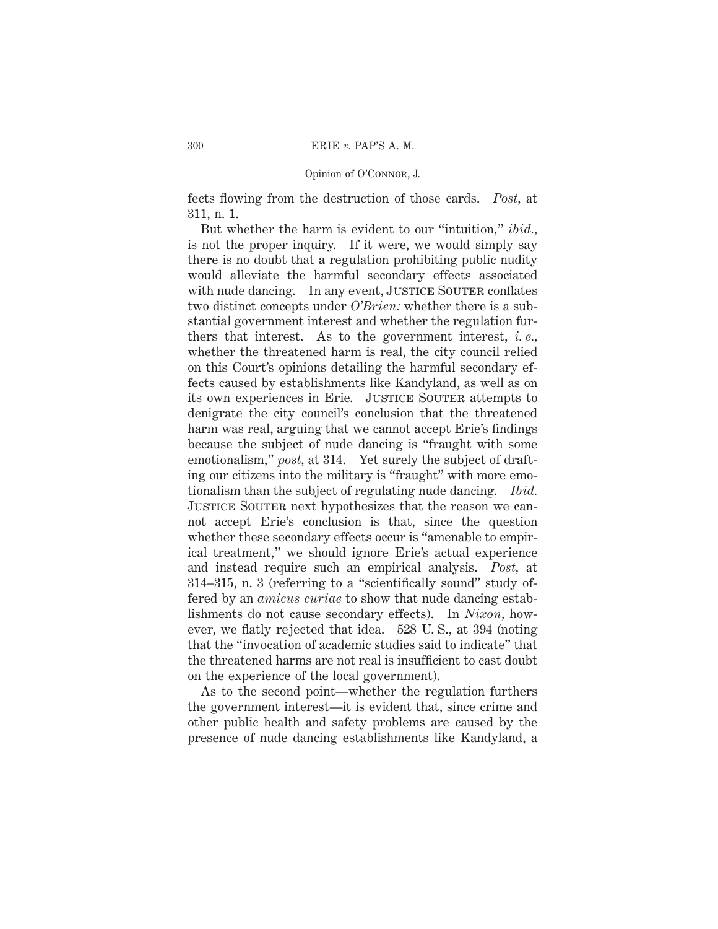fects flowing from the destruction of those cards. *Post,* at 311, n. 1.

But whether the harm is evident to our "intuition," *ibid.,* is not the proper inquiry. If it were, we would simply say there is no doubt that a regulation prohibiting public nudity would alleviate the harmful secondary effects associated with nude dancing. In any event, JUSTICE SOUTER conflates two distinct concepts under *O'Brien:* whether there is a substantial government interest and whether the regulation furthers that interest. As to the government interest, *i. e.,* whether the threatened harm is real, the city council relied on this Court's opinions detailing the harmful secondary effects caused by establishments like Kandyland, as well as on its own experiences in Erie. Justice Souter attempts to denigrate the city council's conclusion that the threatened harm was real, arguing that we cannot accept Erie's findings because the subject of nude dancing is "fraught with some emotionalism," *post,* at 314. Yet surely the subject of drafting our citizens into the military is "fraught" with more emotionalism than the subject of regulating nude dancing. *Ibid.* JUSTICE SOUTER next hypothesizes that the reason we cannot accept Erie's conclusion is that, since the question whether these secondary effects occur is "amenable to empirical treatment," we should ignore Erie's actual experience and instead require such an empirical analysis. *Post,* at 314–315, n. 3 (referring to a "scientifically sound" study offered by an *amicus curiae* to show that nude dancing establishments do not cause secondary effects). In *Nixon,* however, we flatly rejected that idea. 528 U. S., at 394 (noting that the "invocation of academic studies said to indicate" that the threatened harms are not real is insufficient to cast doubt on the experience of the local government).

As to the second point—whether the regulation furthers the government interest—it is evident that, since crime and other public health and safety problems are caused by the presence of nude dancing establishments like Kandyland, a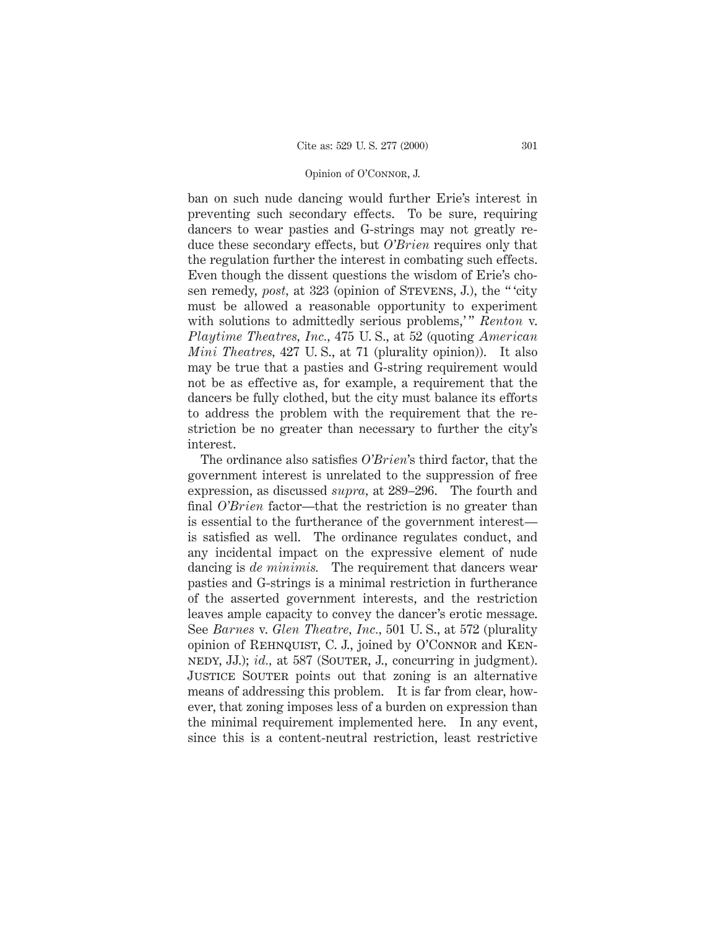ban on such nude dancing would further Erie's interest in preventing such secondary effects. To be sure, requiring dancers to wear pasties and G-strings may not greatly reduce these secondary effects, but *O'Brien* requires only that the regulation further the interest in combating such effects. Even though the dissent questions the wisdom of Erie's chosen remedy, *post,* at 323 (opinion of Stevens, J.), the " 'city must be allowed a reasonable opportunity to experiment with solutions to admittedly serious problems," Renton v. *Playtime Theatres, Inc.,* 475 U. S., at 52 (quoting *American Mini Theatres,* 427 U. S., at 71 (plurality opinion)). It also may be true that a pasties and G-string requirement would not be as effective as, for example, a requirement that the dancers be fully clothed, but the city must balance its efforts to address the problem with the requirement that the restriction be no greater than necessary to further the city's interest.

The ordinance also satisfies *O'Brien*'s third factor, that the government interest is unrelated to the suppression of free expression, as discussed *supra,* at 289–296. The fourth and final *O'Brien* factor—that the restriction is no greater than is essential to the furtherance of the government interest is satisfied as well. The ordinance regulates conduct, and any incidental impact on the expressive element of nude dancing is *de minimis*. The requirement that dancers wear pasties and G-strings is a minimal restriction in furtherance of the asserted government interests, and the restriction leaves ample capacity to convey the dancer's erotic message. See *Barnes* v. *Glen Theatre, Inc.,* 501 U. S., at 572 (plurality opinion of Rehnquist, C. J., joined by O'Connor and Kennedy, JJ.); *id.,* at 587 (Souter, J., concurring in judgment). JUSTICE SOUTER points out that zoning is an alternative means of addressing this problem. It is far from clear, however, that zoning imposes less of a burden on expression than the minimal requirement implemented here. In any event, since this is a content-neutral restriction, least restrictive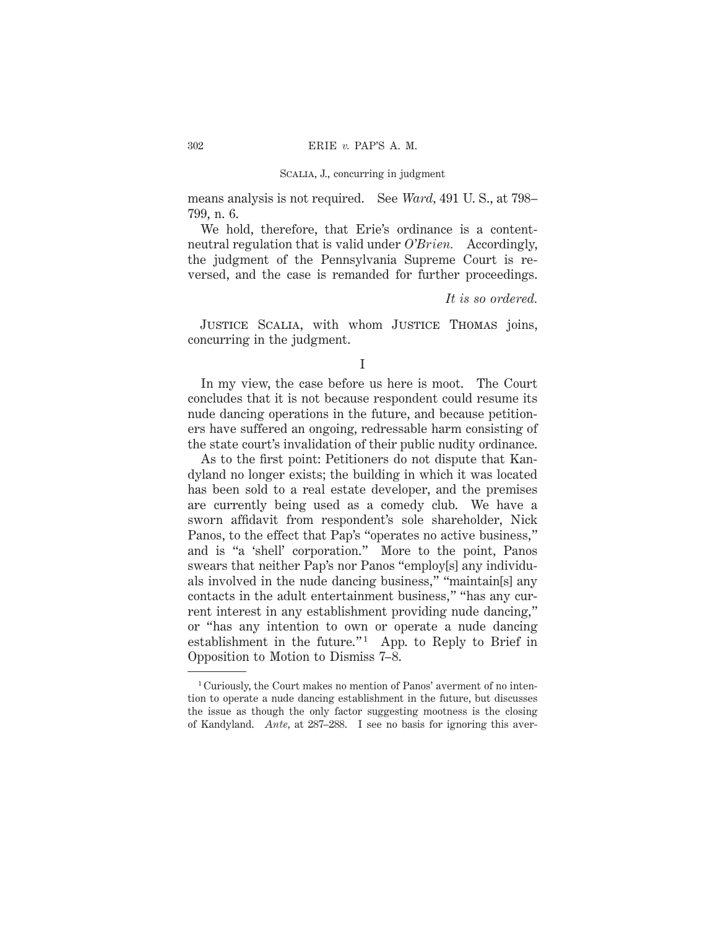means analysis is not required. See *Ward,* 491 U. S., at 798– 799, n. 6.

We hold, therefore, that Erie's ordinance is a contentneutral regulation that is valid under *O'Brien*. Accordingly, the judgment of the Pennsylvania Supreme Court is reversed, and the case is remanded for further proceedings.

*It is so ordered.*

Justice Scalia, with whom Justice Thomas joins, concurring in the judgment.

#### I

In my view, the case before us here is moot. The Court concludes that it is not because respondent could resume its nude dancing operations in the future, and because petitioners have suffered an ongoing, redressable harm consisting of the state court's invalidation of their public nudity ordinance.

As to the first point: Petitioners do not dispute that Kandyland no longer exists; the building in which it was located has been sold to a real estate developer, and the premises are currently being used as a comedy club. We have a sworn affidavit from respondent's sole shareholder, Nick Panos, to the effect that Pap's "operates no active business," and is "a 'shell' corporation." More to the point, Panos swears that neither Pap's nor Panos "employ[s] any individuals involved in the nude dancing business," "maintain[s] any contacts in the adult entertainment business," "has any current interest in any establishment providing nude dancing," or "has any intention to own or operate a nude dancing establishment in the future."<sup>1</sup> App. to Reply to Brief in Opposition to Motion to Dismiss 7–8.

<sup>1</sup> Curiously, the Court makes no mention of Panos' averment of no intention to operate a nude dancing establishment in the future, but discusses the issue as though the only factor suggesting mootness is the closing of Kandyland. *Ante,* at 287–288. I see no basis for ignoring this aver-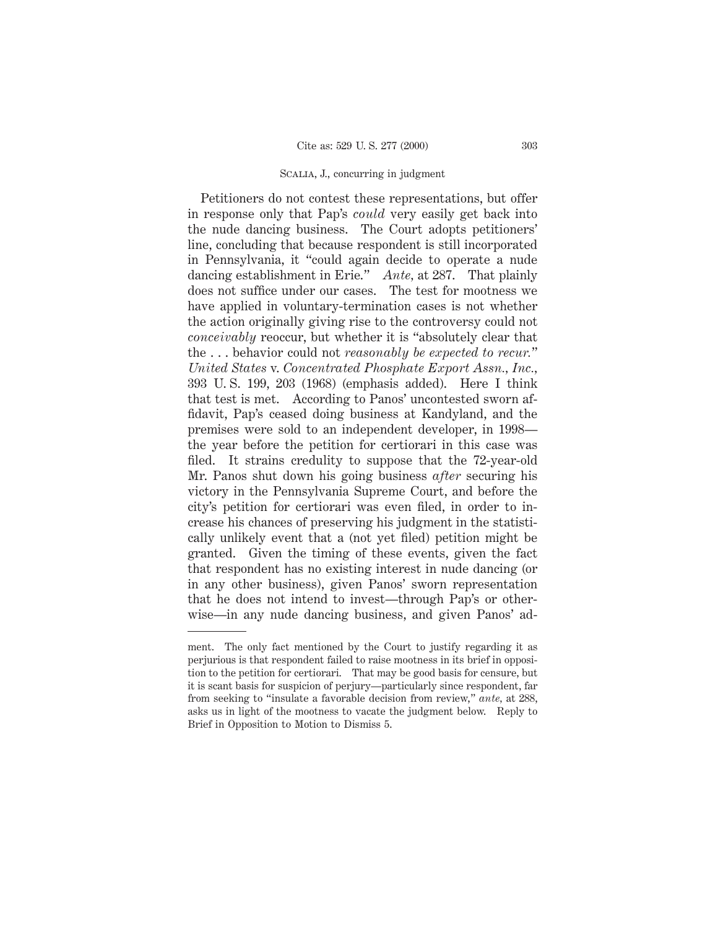Petitioners do not contest these representations, but offer in response only that Pap's *could* very easily get back into the nude dancing business. The Court adopts petitioners' line, concluding that because respondent is still incorporated in Pennsylvania, it "could again decide to operate a nude dancing establishment in Erie." *Ante,* at 287. That plainly does not suffice under our cases. The test for mootness we have applied in voluntary-termination cases is not whether the action originally giving rise to the controversy could not *conceivably* reoccur, but whether it is "absolutely clear that the . . . behavior could not *reasonably be expected to recur.*" *United States* v. *Concentrated Phosphate Export Assn., Inc.,* 393 U. S. 199, 203 (1968) (emphasis added). Here I think that test is met. According to Panos' uncontested sworn affidavit, Pap's ceased doing business at Kandyland, and the premises were sold to an independent developer, in 1998 the year before the petition for certiorari in this case was filed. It strains credulity to suppose that the 72-year-old Mr. Panos shut down his going business *after* securing his victory in the Pennsylvania Supreme Court, and before the city's petition for certiorari was even filed, in order to increase his chances of preserving his judgment in the statistically unlikely event that a (not yet filed) petition might be granted. Given the timing of these events, given the fact that respondent has no existing interest in nude dancing (or in any other business), given Panos' sworn representation that he does not intend to invest—through Pap's or otherwise—in any nude dancing business, and given Panos' ad-

ment. The only fact mentioned by the Court to justify regarding it as perjurious is that respondent failed to raise mootness in its brief in opposition to the petition for certiorari. That may be good basis for censure, but it is scant basis for suspicion of perjury—particularly since respondent, far from seeking to "insulate a favorable decision from review," *ante,* at 288, asks us in light of the mootness to vacate the judgment below. Reply to Brief in Opposition to Motion to Dismiss 5.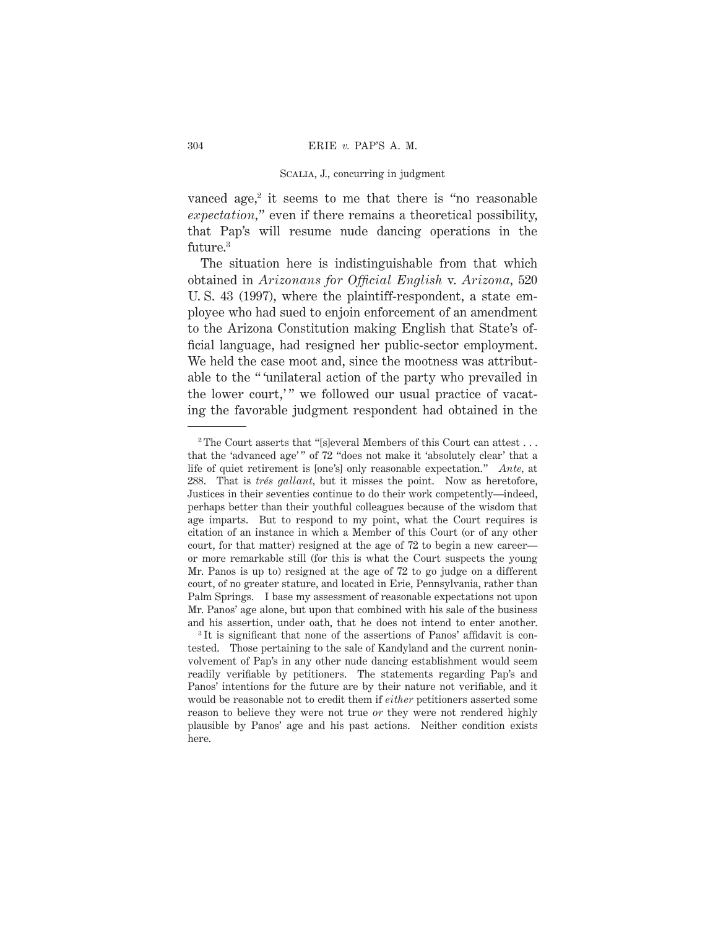vanced age, $2$  it seems to me that there is "no reasonable *expectation,*" even if there remains a theoretical possibility, that Pap's will resume nude dancing operations in the future.<sup>3</sup>

The situation here is indistinguishable from that which obtained in *Arizonans for Official English* v. *Arizona,* 520 U. S. 43 (1997), where the plaintiff-respondent, a state employee who had sued to enjoin enforcement of an amendment to the Arizona Constitution making English that State's official language, had resigned her public-sector employment. We held the case moot and, since the mootness was attributable to the " 'unilateral action of the party who prevailed in the lower court,'" we followed our usual practice of vacating the favorable judgment respondent had obtained in the

<sup>&</sup>lt;sup>2</sup>The Court asserts that "[s]everal Members of this Court can attest... that the 'advanced age' " of 72 "does not make it 'absolutely clear' that a life of quiet retirement is [one's] only reasonable expectation." *Ante,* at 288. That is *trés gallant*, but it misses the point. Now as heretofore, Justices in their seventies continue to do their work competently—indeed, perhaps better than their youthful colleagues because of the wisdom that age imparts. But to respond to my point, what the Court requires is citation of an instance in which a Member of this Court (or of any other court, for that matter) resigned at the age of 72 to begin a new career or more remarkable still (for this is what the Court suspects the young Mr. Panos is up to) resigned at the age of 72 to go judge on a different court, of no greater stature, and located in Erie, Pennsylvania, rather than Palm Springs. I base my assessment of reasonable expectations not upon Mr. Panos' age alone, but upon that combined with his sale of the business and his assertion, under oath, that he does not intend to enter another.

<sup>&</sup>lt;sup>3</sup>It is significant that none of the assertions of Panos' affidavit is contested. Those pertaining to the sale of Kandyland and the current noninvolvement of Pap's in any other nude dancing establishment would seem readily verifiable by petitioners. The statements regarding Pap's and Panos' intentions for the future are by their nature not verifiable, and it would be reasonable not to credit them if *either* petitioners asserted some reason to believe they were not true *or* they were not rendered highly plausible by Panos' age and his past actions. Neither condition exists here.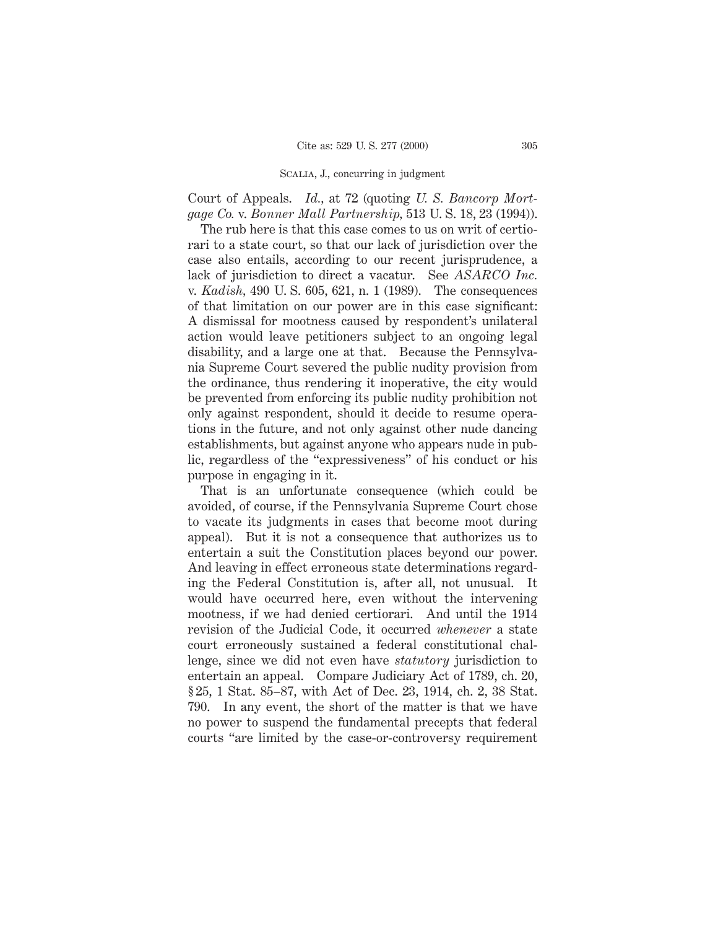Court of Appeals. *Id.,* at 72 (quoting *U. S. Bancorp Mortgage Co.* v. *Bonner Mall Partnership,* 513 U. S. 18, 23 (1994)).

The rub here is that this case comes to us on writ of certiorari to a state court, so that our lack of jurisdiction over the case also entails, according to our recent jurisprudence, a lack of jurisdiction to direct a vacatur. See *ASARCO Inc.* v. *Kadish,* 490 U. S. 605, 621, n. 1 (1989). The consequences of that limitation on our power are in this case significant: A dismissal for mootness caused by respondent's unilateral action would leave petitioners subject to an ongoing legal disability, and a large one at that. Because the Pennsylvania Supreme Court severed the public nudity provision from the ordinance, thus rendering it inoperative, the city would be prevented from enforcing its public nudity prohibition not only against respondent, should it decide to resume operations in the future, and not only against other nude dancing establishments, but against anyone who appears nude in public, regardless of the "expressiveness" of his conduct or his purpose in engaging in it.

That is an unfortunate consequence (which could be avoided, of course, if the Pennsylvania Supreme Court chose to vacate its judgments in cases that become moot during appeal). But it is not a consequence that authorizes us to entertain a suit the Constitution places beyond our power. And leaving in effect erroneous state determinations regarding the Federal Constitution is, after all, not unusual. It would have occurred here, even without the intervening mootness, if we had denied certiorari. And until the 1914 revision of the Judicial Code, it occurred *whenever* a state court erroneously sustained a federal constitutional challenge, since we did not even have *statutory* jurisdiction to entertain an appeal. Compare Judiciary Act of 1789, ch. 20, § 25, 1 Stat. 85–87, with Act of Dec. 23, 1914, ch. 2, 38 Stat. 790. In any event, the short of the matter is that we have no power to suspend the fundamental precepts that federal courts "are limited by the case-or-controversy requirement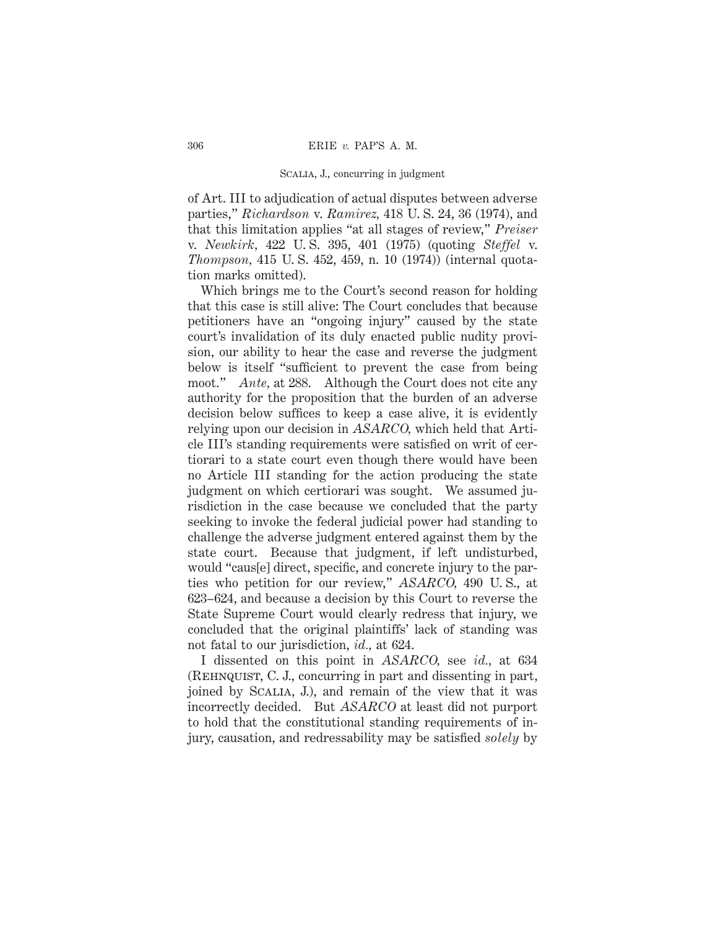of Art. III to adjudication of actual disputes between adverse parties," *Richardson* v. *Ramirez,* 418 U. S. 24, 36 (1974), and that this limitation applies "at all stages of review," *Preiser* v. *Newkirk,* 422 U. S. 395, 401 (1975) (quoting *Steffel* v. *Thompson,* 415 U. S. 452, 459, n. 10 (1974)) (internal quotation marks omitted).

Which brings me to the Court's second reason for holding that this case is still alive: The Court concludes that because petitioners have an "ongoing injury" caused by the state court's invalidation of its duly enacted public nudity provision, our ability to hear the case and reverse the judgment below is itself "sufficient to prevent the case from being moot." *Ante,* at 288. Although the Court does not cite any authority for the proposition that the burden of an adverse decision below suffices to keep a case alive, it is evidently relying upon our decision in *ASARCO,* which held that Article III's standing requirements were satisfied on writ of certiorari to a state court even though there would have been no Article III standing for the action producing the state judgment on which certiorari was sought. We assumed jurisdiction in the case because we concluded that the party seeking to invoke the federal judicial power had standing to challenge the adverse judgment entered against them by the state court. Because that judgment, if left undisturbed, would "caus[e] direct, specific, and concrete injury to the parties who petition for our review," *ASARCO,* 490 U. S., at 623–624, and because a decision by this Court to reverse the State Supreme Court would clearly redress that injury, we concluded that the original plaintiffs' lack of standing was not fatal to our jurisdiction, *id.,* at 624.

I dissented on this point in *ASARCO,* see *id.,* at 634 (Rehnquist, C. J., concurring in part and dissenting in part, joined by Scalia, J.), and remain of the view that it was incorrectly decided. But *ASARCO* at least did not purport to hold that the constitutional standing requirements of injury, causation, and redressability may be satisfied *solely* by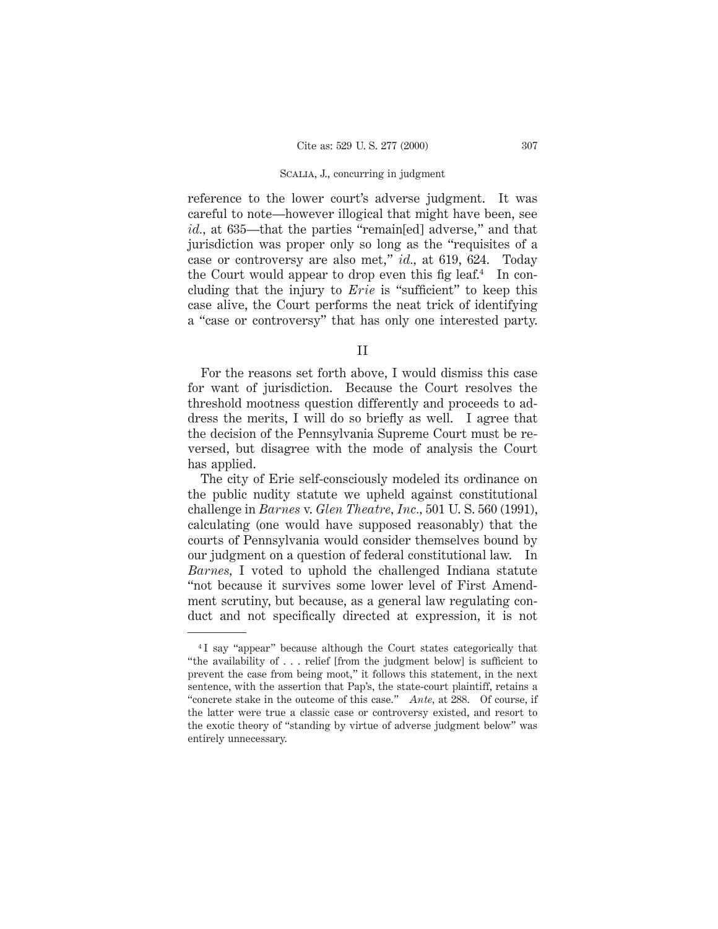reference to the lower court's adverse judgment. It was careful to note—however illogical that might have been, see *id.,* at 635—that the parties "remain[ed] adverse," and that jurisdiction was proper only so long as the "requisites of a case or controversy are also met," *id.,* at 619, 624. Today the Court would appear to drop even this fig leaf.<sup>4</sup> In concluding that the injury to *Erie* is "sufficient" to keep this case alive, the Court performs the neat trick of identifying a "case or controversy" that has only one interested party.

II

For the reasons set forth above, I would dismiss this case for want of jurisdiction. Because the Court resolves the threshold mootness question differently and proceeds to address the merits, I will do so briefly as well. I agree that the decision of the Pennsylvania Supreme Court must be reversed, but disagree with the mode of analysis the Court has applied.

The city of Erie self-consciously modeled its ordinance on the public nudity statute we upheld against constitutional challenge in *Barnes* v. *Glen Theatre, Inc.,* 501 U. S. 560 (1991), calculating (one would have supposed reasonably) that the courts of Pennsylvania would consider themselves bound by our judgment on a question of federal constitutional law. In *Barnes,* I voted to uphold the challenged Indiana statute "not because it survives some lower level of First Amendment scrutiny, but because, as a general law regulating conduct and not specifically directed at expression, it is not

<sup>4</sup> I say "appear" because although the Court states categorically that "the availability of . . . relief [from the judgment below] is sufficient to prevent the case from being moot," it follows this statement, in the next sentence, with the assertion that Pap's, the state-court plaintiff, retains a "concrete stake in the outcome of this case." *Ante,* at 288. Of course, if the latter were true a classic case or controversy existed, and resort to the exotic theory of "standing by virtue of adverse judgment below" was entirely unnecessary.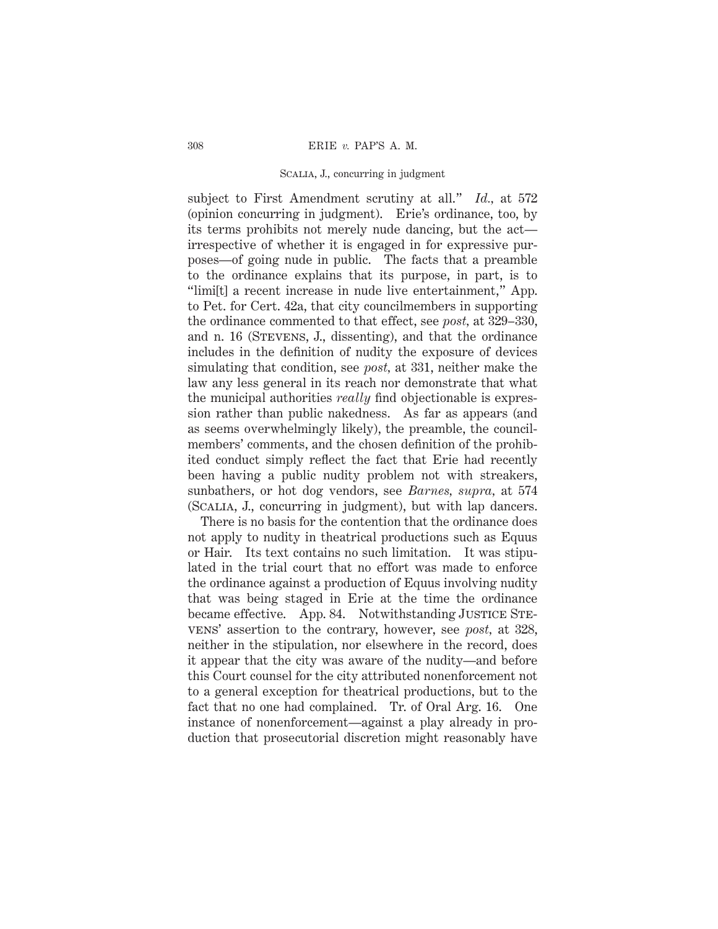subject to First Amendment scrutiny at all." *Id.,* at 572 (opinion concurring in judgment). Erie's ordinance, too, by its terms prohibits not merely nude dancing, but the act irrespective of whether it is engaged in for expressive purposes—of going nude in public. The facts that a preamble to the ordinance explains that its purpose, in part, is to "limi[t] a recent increase in nude live entertainment," App. to Pet. for Cert. 42a, that city councilmembers in supporting the ordinance commented to that effect, see *post,* at 329–330, and n. 16 (Stevens, J., dissenting), and that the ordinance includes in the definition of nudity the exposure of devices simulating that condition, see *post,* at 331, neither make the law any less general in its reach nor demonstrate that what the municipal authorities *really* find objectionable is expression rather than public nakedness. As far as appears (and as seems overwhelmingly likely), the preamble, the councilmembers' comments, and the chosen definition of the prohibited conduct simply reflect the fact that Erie had recently been having a public nudity problem not with streakers, sunbathers, or hot dog vendors, see *Barnes, supra,* at 574 (Scalia, J., concurring in judgment), but with lap dancers.

There is no basis for the contention that the ordinance does not apply to nudity in theatrical productions such as Equus or Hair. Its text contains no such limitation. It was stipulated in the trial court that no effort was made to enforce the ordinance against a production of Equus involving nudity that was being staged in Erie at the time the ordinance became effective. App. 84. Notwithstanding JUSTICE STEvens' assertion to the contrary, however, see *post,* at 328, neither in the stipulation, nor elsewhere in the record, does it appear that the city was aware of the nudity—and before this Court counsel for the city attributed nonenforcement not to a general exception for theatrical productions, but to the fact that no one had complained. Tr. of Oral Arg. 16. One instance of nonenforcement—against a play already in production that prosecutorial discretion might reasonably have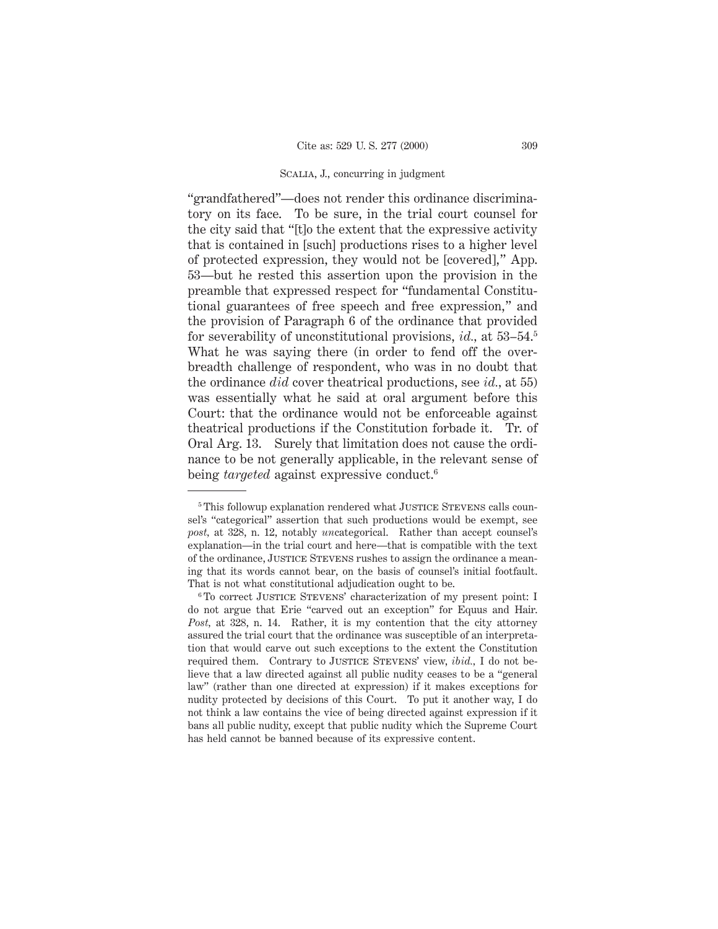"grandfathered"—does not render this ordinance discriminatory on its face. To be sure, in the trial court counsel for the city said that "[t]o the extent that the expressive activity that is contained in [such] productions rises to a higher level of protected expression, they would not be [covered]," App. 53—but he rested this assertion upon the provision in the preamble that expressed respect for "fundamental Constitutional guarantees of free speech and free expression," and the provision of Paragraph 6 of the ordinance that provided for severability of unconstitutional provisions, *id.,* at 53–54.5 What he was saying there (in order to fend off the overbreadth challenge of respondent, who was in no doubt that the ordinance *did* cover theatrical productions, see *id.,* at 55) was essentially what he said at oral argument before this Court: that the ordinance would not be enforceable against theatrical productions if the Constitution forbade it. Tr. of Oral Arg. 13. Surely that limitation does not cause the ordinance to be not generally applicable, in the relevant sense of being *targeted* against expressive conduct.6

<sup>&</sup>lt;sup>5</sup> This followup explanation rendered what JUSTICE STEVENS calls counsel's "categorical" assertion that such productions would be exempt, see *post,* at 328, n. 12, notably *un*categorical. Rather than accept counsel's explanation—in the trial court and here—that is compatible with the text of the ordinance, Justice Stevens rushes to assign the ordinance a meaning that its words cannot bear, on the basis of counsel's initial footfault. That is not what constitutional adjudication ought to be.

<sup>&</sup>lt;sup>6</sup>To correct JUSTICE STEVENS' characterization of my present point: I do not argue that Erie "carved out an exception" for Equus and Hair. *Post,* at 328, n. 14. Rather, it is my contention that the city attorney assured the trial court that the ordinance was susceptible of an interpretation that would carve out such exceptions to the extent the Constitution required them. Contrary to JUSTICE STEVENS' view, *ibid.*, I do not believe that a law directed against all public nudity ceases to be a "general law" (rather than one directed at expression) if it makes exceptions for nudity protected by decisions of this Court. To put it another way, I do not think a law contains the vice of being directed against expression if it bans all public nudity, except that public nudity which the Supreme Court has held cannot be banned because of its expressive content.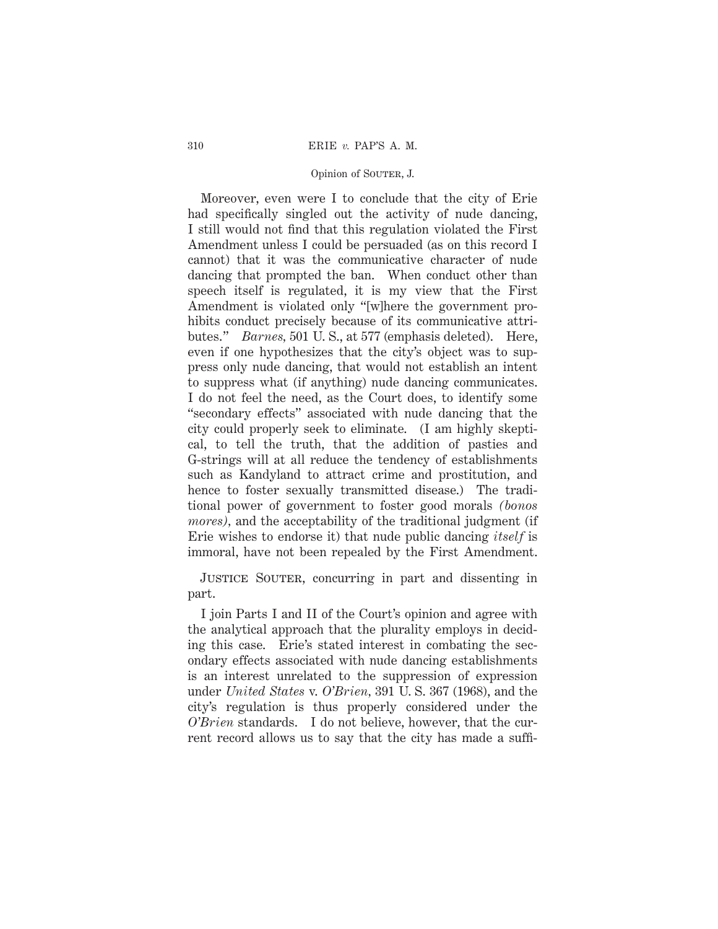Moreover, even were I to conclude that the city of Erie had specifically singled out the activity of nude dancing, I still would not find that this regulation violated the First Amendment unless I could be persuaded (as on this record I cannot) that it was the communicative character of nude dancing that prompted the ban. When conduct other than speech itself is regulated, it is my view that the First Amendment is violated only "[w]here the government prohibits conduct precisely because of its communicative attributes." *Barnes,* 501 U. S., at 577 (emphasis deleted). Here, even if one hypothesizes that the city's object was to suppress only nude dancing, that would not establish an intent to suppress what (if anything) nude dancing communicates. I do not feel the need, as the Court does, to identify some "secondary effects" associated with nude dancing that the city could properly seek to eliminate. (I am highly skeptical, to tell the truth, that the addition of pasties and G-strings will at all reduce the tendency of establishments such as Kandyland to attract crime and prostitution, and hence to foster sexually transmitted disease.) The traditional power of government to foster good morals *(bonos mores*), and the acceptability of the traditional judgment (if Erie wishes to endorse it) that nude public dancing *itself* is immoral, have not been repealed by the First Amendment.

JUSTICE SOUTER, concurring in part and dissenting in part.

I join Parts I and II of the Court's opinion and agree with the analytical approach that the plurality employs in deciding this case. Erie's stated interest in combating the secondary effects associated with nude dancing establishments is an interest unrelated to the suppression of expression under *United States* v. *O'Brien,* 391 U. S. 367 (1968), and the city's regulation is thus properly considered under the *O'Brien* standards. I do not believe, however, that the current record allows us to say that the city has made a suffi-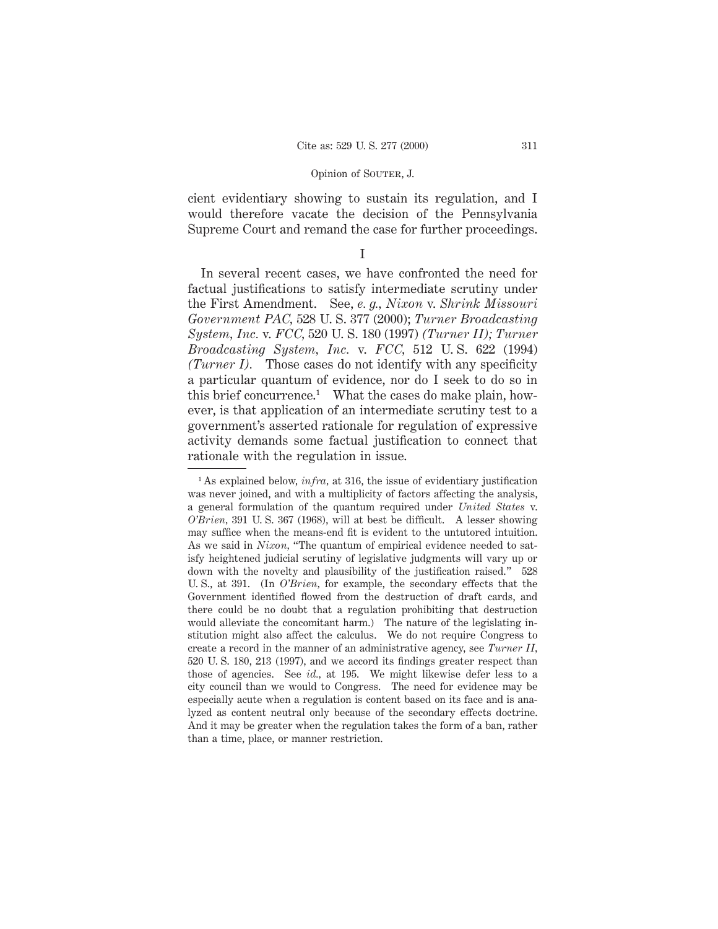cient evidentiary showing to sustain its regulation, and I would therefore vacate the decision of the Pennsylvania Supreme Court and remand the case for further proceedings.

# I

In several recent cases, we have confronted the need for factual justifications to satisfy intermediate scrutiny under the First Amendment. See, *e. g., Nixon* v. *Shrink Missouri Government PAC,* 528 U. S. 377 (2000); *Turner Broadcasting System, Inc.* v. *FCC,* 520 U. S. 180 (1997) *(Turner II); Turner Broadcasting System, Inc.* v. *FCC,* 512 U. S. 622 (1994) *(Turner I).* Those cases do not identify with any specificity a particular quantum of evidence, nor do I seek to do so in this brief concurrence.1 What the cases do make plain, however, is that application of an intermediate scrutiny test to a government's asserted rationale for regulation of expressive activity demands some factual justification to connect that rationale with the regulation in issue.

<sup>&</sup>lt;sup>1</sup> As explained below, *infra*, at 316, the issue of evidentiary justification was never joined, and with a multiplicity of factors affecting the analysis, a general formulation of the quantum required under *United States* v. *O'Brien,* 391 U. S. 367 (1968), will at best be difficult. A lesser showing may suffice when the means-end fit is evident to the untutored intuition. As we said in *Nixon,* "The quantum of empirical evidence needed to satisfy heightened judicial scrutiny of legislative judgments will vary up or down with the novelty and plausibility of the justification raised." 528 U. S., at 391. (In *O'Brien,* for example, the secondary effects that the Government identified flowed from the destruction of draft cards, and there could be no doubt that a regulation prohibiting that destruction would alleviate the concomitant harm.) The nature of the legislating institution might also affect the calculus. We do not require Congress to create a record in the manner of an administrative agency, see *Turner II,* 520 U. S. 180, 213 (1997), and we accord its findings greater respect than those of agencies. See *id.,* at 195. We might likewise defer less to a city council than we would to Congress. The need for evidence may be especially acute when a regulation is content based on its face and is analyzed as content neutral only because of the secondary effects doctrine. And it may be greater when the regulation takes the form of a ban, rather than a time, place, or manner restriction.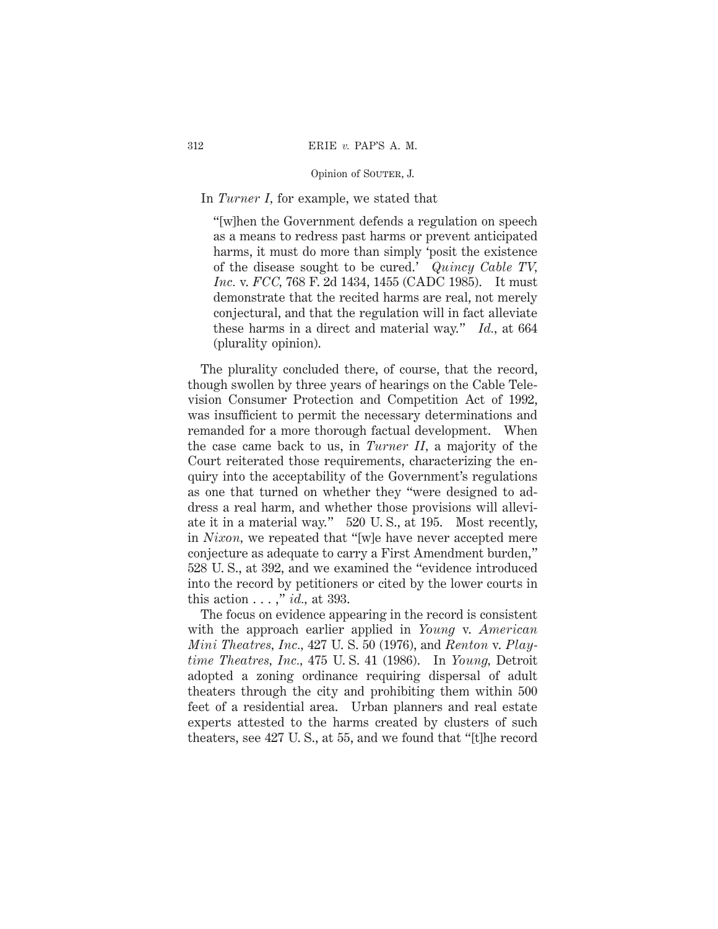### In *Turner I,* for example, we stated that

"[w]hen the Government defends a regulation on speech as a means to redress past harms or prevent anticipated harms, it must do more than simply 'posit the existence of the disease sought to be cured.' *Quincy Cable TV, Inc.* v. *FCC,* 768 F. 2d 1434, 1455 (CADC 1985). It must demonstrate that the recited harms are real, not merely conjectural, and that the regulation will in fact alleviate these harms in a direct and material way." *Id.,* at 664 (plurality opinion).

The plurality concluded there, of course, that the record, though swollen by three years of hearings on the Cable Television Consumer Protection and Competition Act of 1992, was insufficient to permit the necessary determinations and remanded for a more thorough factual development. When the case came back to us, in *Turner II,* a majority of the Court reiterated those requirements, characterizing the enquiry into the acceptability of the Government's regulations as one that turned on whether they "were designed to address a real harm, and whether those provisions will alleviate it in a material way." 520 U. S., at 195. Most recently, in *Nixon,* we repeated that "[w]e have never accepted mere conjecture as adequate to carry a First Amendment burden," 528 U. S., at 392, and we examined the "evidence introduced into the record by petitioners or cited by the lower courts in this action . . . ," *id.,* at 393.

The focus on evidence appearing in the record is consistent with the approach earlier applied in *Young* v. *American Mini Theatres, Inc.,* 427 U. S. 50 (1976), and *Renton* v. *Playtime Theatres, Inc.,* 475 U. S. 41 (1986). In *Young,* Detroit adopted a zoning ordinance requiring dispersal of adult theaters through the city and prohibiting them within 500 feet of a residential area. Urban planners and real estate experts attested to the harms created by clusters of such theaters, see 427 U. S., at 55, and we found that "[t]he record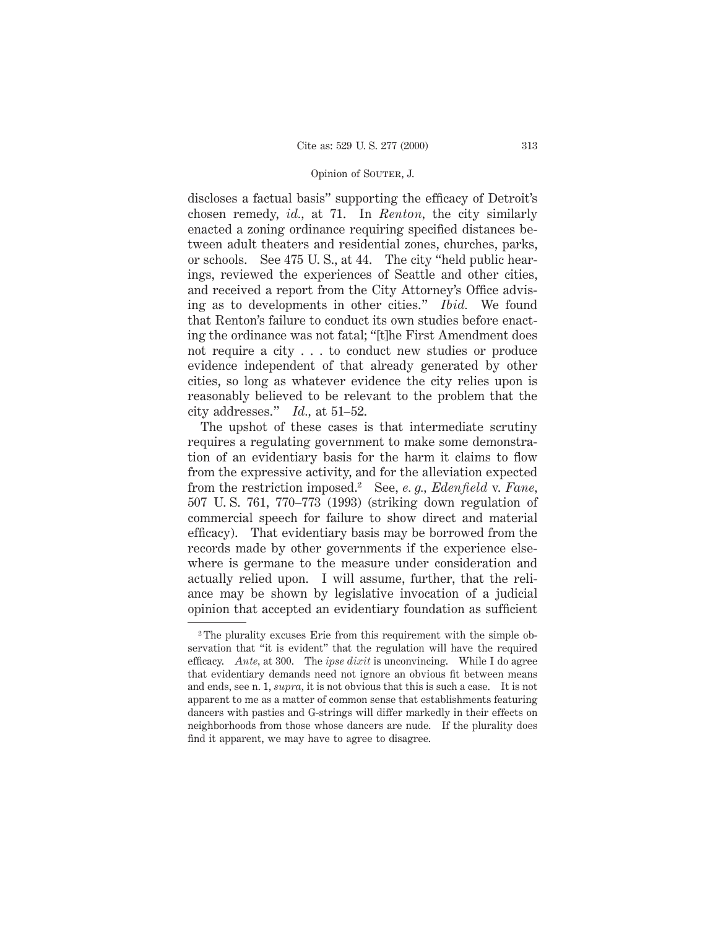discloses a factual basis" supporting the efficacy of Detroit's chosen remedy, *id.,* at 71. In *Renton,* the city similarly enacted a zoning ordinance requiring specified distances between adult theaters and residential zones, churches, parks, or schools. See 475 U. S., at 44. The city "held public hearings, reviewed the experiences of Seattle and other cities, and received a report from the City Attorney's Office advising as to developments in other cities." *Ibid.* We found that Renton's failure to conduct its own studies before enacting the ordinance was not fatal; "[t]he First Amendment does not require a city . . . to conduct new studies or produce evidence independent of that already generated by other cities, so long as whatever evidence the city relies upon is reasonably believed to be relevant to the problem that the city addresses." *Id.,* at 51–52.

The upshot of these cases is that intermediate scrutiny requires a regulating government to make some demonstration of an evidentiary basis for the harm it claims to flow from the expressive activity, and for the alleviation expected from the restriction imposed.2 See, *e. g., Edenfield* v. *Fane,* 507 U. S. 761, 770–773 (1993) (striking down regulation of commercial speech for failure to show direct and material efficacy). That evidentiary basis may be borrowed from the records made by other governments if the experience elsewhere is germane to the measure under consideration and actually relied upon. I will assume, further, that the reliance may be shown by legislative invocation of a judicial opinion that accepted an evidentiary foundation as sufficient

<sup>&</sup>lt;sup>2</sup>The plurality excuses Erie from this requirement with the simple observation that "it is evident" that the regulation will have the required efficacy. *Ante,* at 300. The *ipse dixit* is unconvincing. While I do agree that evidentiary demands need not ignore an obvious fit between means and ends, see n. 1, *supra,* it is not obvious that this is such a case. It is not apparent to me as a matter of common sense that establishments featuring dancers with pasties and G-strings will differ markedly in their effects on neighborhoods from those whose dancers are nude. If the plurality does find it apparent, we may have to agree to disagree.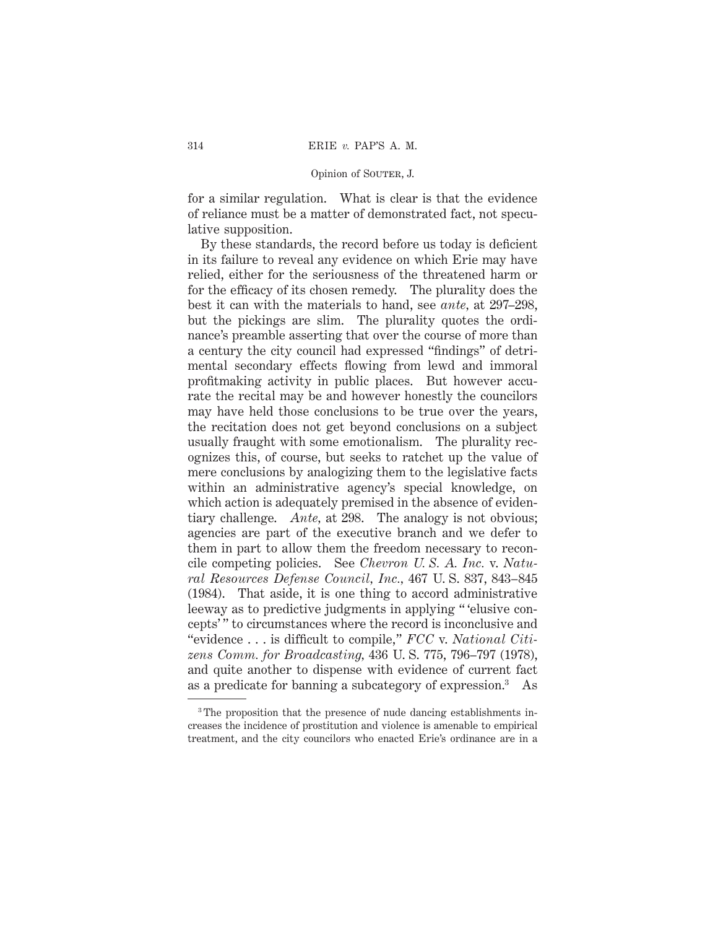for a similar regulation. What is clear is that the evidence of reliance must be a matter of demonstrated fact, not speculative supposition.

By these standards, the record before us today is deficient in its failure to reveal any evidence on which Erie may have relied, either for the seriousness of the threatened harm or for the efficacy of its chosen remedy. The plurality does the best it can with the materials to hand, see *ante,* at 297–298, but the pickings are slim. The plurality quotes the ordinance's preamble asserting that over the course of more than a century the city council had expressed "findings" of detrimental secondary effects flowing from lewd and immoral profitmaking activity in public places. But however accurate the recital may be and however honestly the councilors may have held those conclusions to be true over the years, the recitation does not get beyond conclusions on a subject usually fraught with some emotionalism. The plurality recognizes this, of course, but seeks to ratchet up the value of mere conclusions by analogizing them to the legislative facts within an administrative agency's special knowledge, on which action is adequately premised in the absence of evidentiary challenge. *Ante,* at 298. The analogy is not obvious; agencies are part of the executive branch and we defer to them in part to allow them the freedom necessary to reconcile competing policies. See *Chevron U. S. A. Inc.* v. *Natural Resources Defense Council, Inc.,* 467 U. S. 837, 843–845 (1984). That aside, it is one thing to accord administrative leeway as to predictive judgments in applying " 'elusive concepts' " to circumstances where the record is inconclusive and "evidence . . . is difficult to compile," *FCC* v. *National Citizens Comm. for Broadcasting,* 436 U. S. 775, 796–797 (1978), and quite another to dispense with evidence of current fact as a predicate for banning a subcategory of expression.3 As

<sup>&</sup>lt;sup>3</sup>The proposition that the presence of nude dancing establishments increases the incidence of prostitution and violence is amenable to empirical treatment, and the city councilors who enacted Erie's ordinance are in a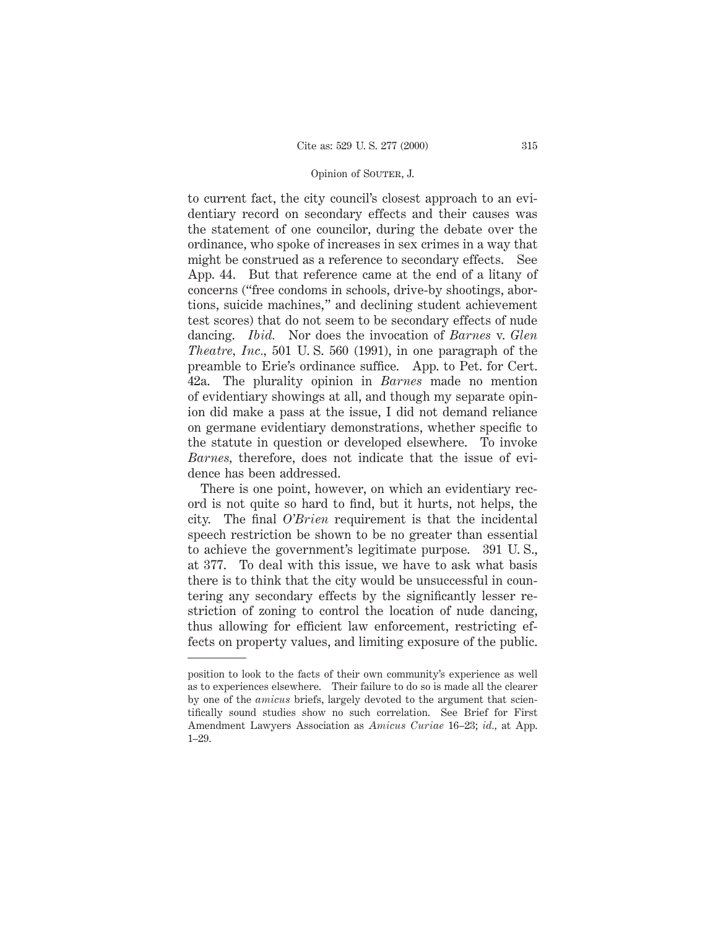to current fact, the city council's closest approach to an evidentiary record on secondary effects and their causes was the statement of one councilor, during the debate over the ordinance, who spoke of increases in sex crimes in a way that might be construed as a reference to secondary effects. See App. 44. But that reference came at the end of a litany of concerns ("free condoms in schools, drive-by shootings, abortions, suicide machines," and declining student achievement test scores) that do not seem to be secondary effects of nude dancing. *Ibid.* Nor does the invocation of *Barnes* v. *Glen Theatre, Inc.,* 501 U. S. 560 (1991), in one paragraph of the preamble to Erie's ordinance suffice. App. to Pet. for Cert. 42a. The plurality opinion in *Barnes* made no mention of evidentiary showings at all, and though my separate opinion did make a pass at the issue, I did not demand reliance on germane evidentiary demonstrations, whether specific to the statute in question or developed elsewhere. To invoke *Barnes,* therefore, does not indicate that the issue of evidence has been addressed.

There is one point, however, on which an evidentiary record is not quite so hard to find, but it hurts, not helps, the city. The final *O'Brien* requirement is that the incidental speech restriction be shown to be no greater than essential to achieve the government's legitimate purpose. 391 U. S., at 377. To deal with this issue, we have to ask what basis there is to think that the city would be unsuccessful in countering any secondary effects by the significantly lesser restriction of zoning to control the location of nude dancing, thus allowing for efficient law enforcement, restricting effects on property values, and limiting exposure of the public.

position to look to the facts of their own community's experience as well as to experiences elsewhere. Their failure to do so is made all the clearer by one of the *amicus* briefs, largely devoted to the argument that scientifically sound studies show no such correlation. See Brief for First Amendment Lawyers Association as *Amicus Curiae* 16–23; *id.,* at App. 1–29.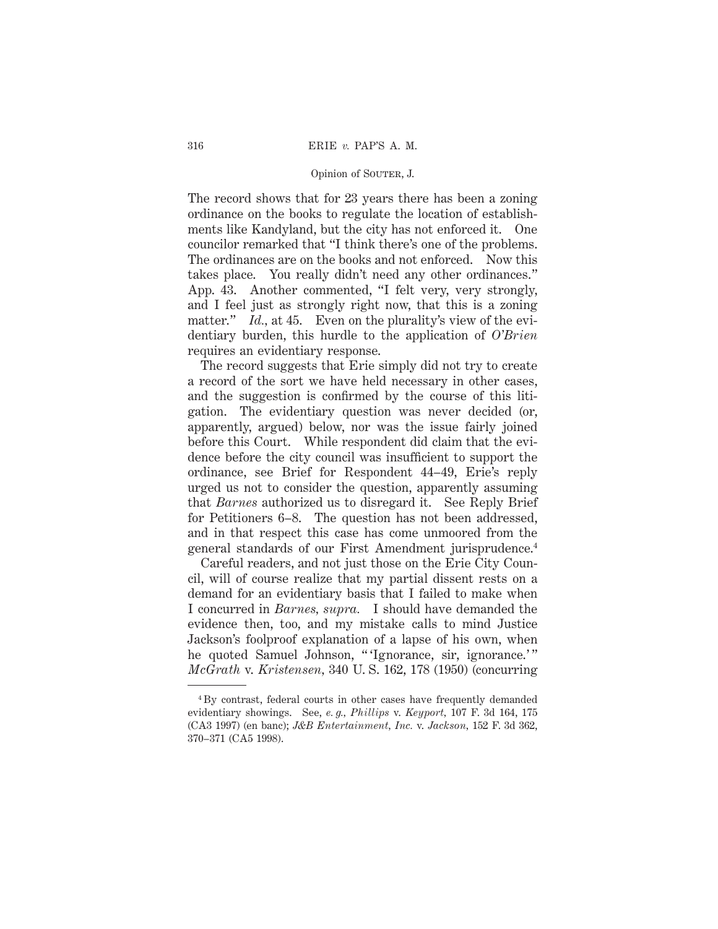The record shows that for 23 years there has been a zoning ordinance on the books to regulate the location of establishments like Kandyland, but the city has not enforced it. One councilor remarked that "I think there's one of the problems. The ordinances are on the books and not enforced. Now this takes place. You really didn't need any other ordinances." App. 43. Another commented, "I felt very, very strongly, and I feel just as strongly right now, that this is a zoning matter." *Id.*, at 45. Even on the plurality's view of the evidentiary burden, this hurdle to the application of *O'Brien* requires an evidentiary response.

The record suggests that Erie simply did not try to create a record of the sort we have held necessary in other cases, and the suggestion is confirmed by the course of this litigation. The evidentiary question was never decided (or, apparently, argued) below, nor was the issue fairly joined before this Court. While respondent did claim that the evidence before the city council was insufficient to support the ordinance, see Brief for Respondent 44–49, Erie's reply urged us not to consider the question, apparently assuming that *Barnes* authorized us to disregard it. See Reply Brief for Petitioners 6–8. The question has not been addressed, and in that respect this case has come unmoored from the general standards of our First Amendment jurisprudence.4

Careful readers, and not just those on the Erie City Council, will of course realize that my partial dissent rests on a demand for an evidentiary basis that I failed to make when I concurred in *Barnes, supra.* I should have demanded the evidence then, too, and my mistake calls to mind Justice Jackson's foolproof explanation of a lapse of his own, when he quoted Samuel Johnson, "'Ignorance, sir, ignorance.'" *McGrath* v. *Kristensen,* 340 U. S. 162, 178 (1950) (concurring

<sup>4</sup> By contrast, federal courts in other cases have frequently demanded evidentiary showings. See, *e. g., Phillips* v. *Keyport,* 107 F. 3d 164, 175 (CA3 1997) (en banc); *J&B Entertainment, Inc.* v. *Jackson,* 152 F. 3d 362, 370–371 (CA5 1998).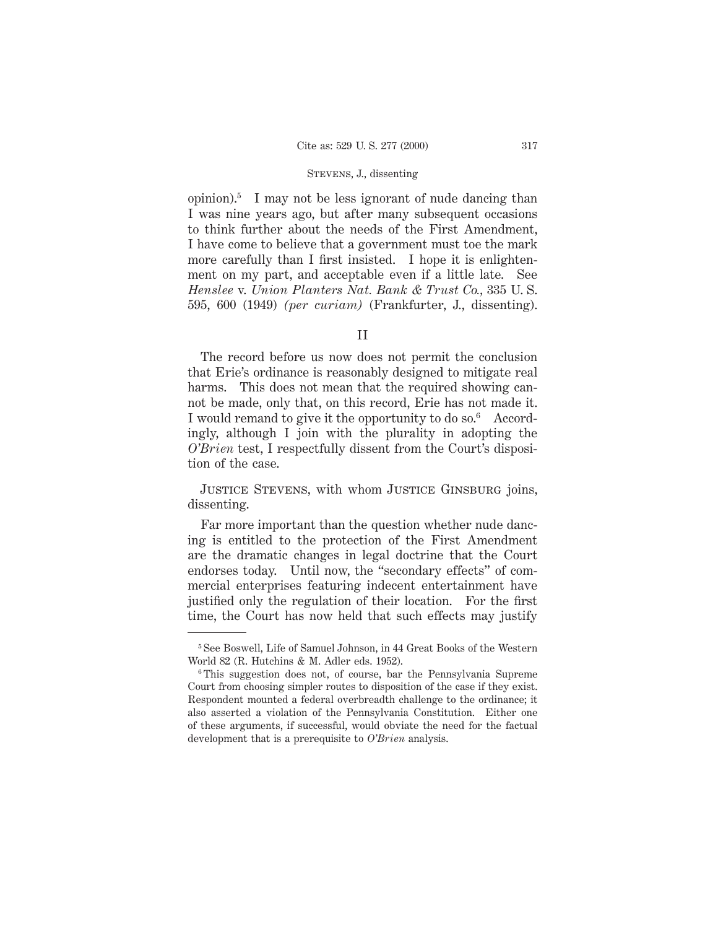opinion).5 I may not be less ignorant of nude dancing than I was nine years ago, but after many subsequent occasions to think further about the needs of the First Amendment, I have come to believe that a government must toe the mark more carefully than I first insisted. I hope it is enlightenment on my part, and acceptable even if a little late. See *Henslee* v. *Union Planters Nat. Bank & Trust Co.,* 335 U. S. 595, 600 (1949) *(per curiam)* (Frankfurter, J., dissenting).

II

The record before us now does not permit the conclusion that Erie's ordinance is reasonably designed to mitigate real harms. This does not mean that the required showing cannot be made, only that, on this record, Erie has not made it. I would remand to give it the opportunity to do so.6 Accordingly, although I join with the plurality in adopting the *O'Brien* test, I respectfully dissent from the Court's disposition of the case.

Justice Stevens, with whom Justice Ginsburg joins, dissenting.

Far more important than the question whether nude dancing is entitled to the protection of the First Amendment are the dramatic changes in legal doctrine that the Court endorses today. Until now, the "secondary effects" of commercial enterprises featuring indecent entertainment have justified only the regulation of their location. For the first time, the Court has now held that such effects may justify

<sup>5</sup> See Boswell, Life of Samuel Johnson, in 44 Great Books of the Western World 82 (R. Hutchins & M. Adler eds. 1952).

<sup>&</sup>lt;sup>6</sup>This suggestion does not, of course, bar the Pennsylvania Supreme Court from choosing simpler routes to disposition of the case if they exist. Respondent mounted a federal overbreadth challenge to the ordinance; it also asserted a violation of the Pennsylvania Constitution. Either one of these arguments, if successful, would obviate the need for the factual development that is a prerequisite to *O'Brien* analysis.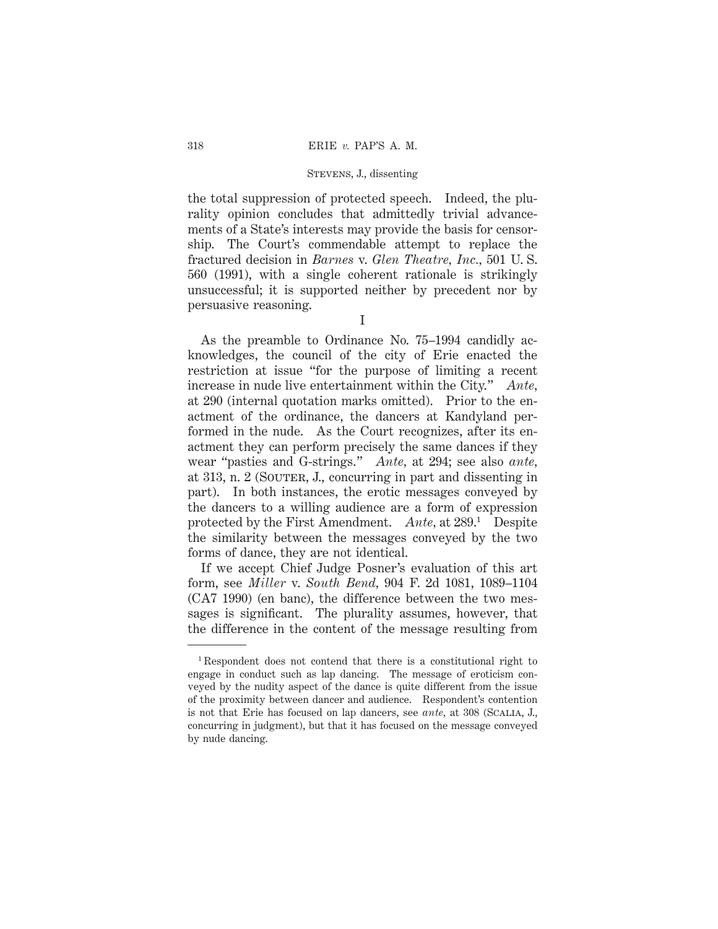the total suppression of protected speech. Indeed, the plurality opinion concludes that admittedly trivial advancements of a State's interests may provide the basis for censorship. The Court's commendable attempt to replace the fractured decision in *Barnes* v. *Glen Theatre, Inc.,* 501 U. S. 560 (1991), with a single coherent rationale is strikingly unsuccessful; it is supported neither by precedent nor by persuasive reasoning.

I

As the preamble to Ordinance No. 75–1994 candidly acknowledges, the council of the city of Erie enacted the restriction at issue "for the purpose of limiting a recent increase in nude live entertainment within the City." *Ante,* at 290 (internal quotation marks omitted). Prior to the enactment of the ordinance, the dancers at Kandyland performed in the nude. As the Court recognizes, after its enactment they can perform precisely the same dances if they wear "pasties and G-strings." *Ante,* at 294; see also *ante,* at 313, n. 2 (Souter, J., concurring in part and dissenting in part). In both instances, the erotic messages conveyed by the dancers to a willing audience are a form of expression protected by the First Amendment. *Ante,* at 289.1 Despite the similarity between the messages conveyed by the two forms of dance, they are not identical.

If we accept Chief Judge Posner's evaluation of this art form, see *Miller* v. *South Bend,* 904 F. 2d 1081, 1089–1104 (CA7 1990) (en banc), the difference between the two messages is significant. The plurality assumes, however, that the difference in the content of the message resulting from

<sup>1</sup> Respondent does not contend that there is a constitutional right to engage in conduct such as lap dancing. The message of eroticism conveyed by the nudity aspect of the dance is quite different from the issue of the proximity between dancer and audience. Respondent's contention is not that Erie has focused on lap dancers, see *ante,* at 308 (Scalia, J., concurring in judgment), but that it has focused on the message conveyed by nude dancing.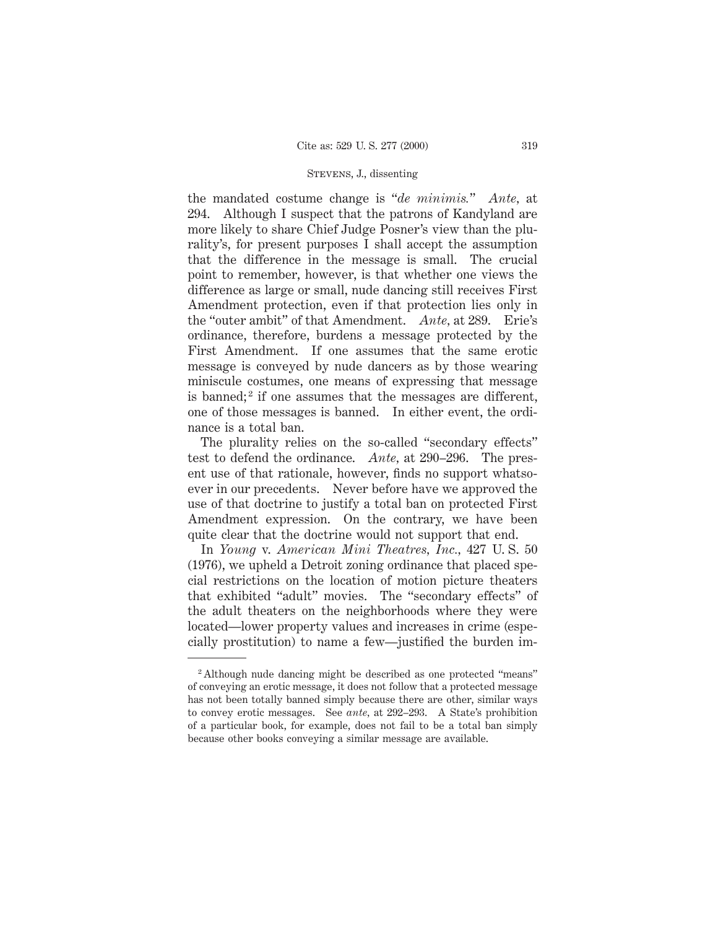the mandated costume change is "*de minimis.*" *Ante,* at 294. Although I suspect that the patrons of Kandyland are more likely to share Chief Judge Posner's view than the plurality's, for present purposes I shall accept the assumption that the difference in the message is small. The crucial point to remember, however, is that whether one views the difference as large or small, nude dancing still receives First Amendment protection, even if that protection lies only in the "outer ambit" of that Amendment. *Ante,* at 289. Erie's ordinance, therefore, burdens a message protected by the First Amendment. If one assumes that the same erotic message is conveyed by nude dancers as by those wearing miniscule costumes, one means of expressing that message is banned; $2$  if one assumes that the messages are different, one of those messages is banned. In either event, the ordinance is a total ban.

The plurality relies on the so-called "secondary effects" test to defend the ordinance. *Ante,* at 290–296. The present use of that rationale, however, finds no support whatsoever in our precedents. Never before have we approved the use of that doctrine to justify a total ban on protected First Amendment expression. On the contrary, we have been quite clear that the doctrine would not support that end.

In *Young* v. *American Mini Theatres, Inc.,* 427 U. S. 50 (1976), we upheld a Detroit zoning ordinance that placed special restrictions on the location of motion picture theaters that exhibited "adult" movies. The "secondary effects" of the adult theaters on the neighborhoods where they were located—lower property values and increases in crime (especially prostitution) to name a few—justified the burden im-

<sup>2</sup> Although nude dancing might be described as one protected "means" of conveying an erotic message, it does not follow that a protected message has not been totally banned simply because there are other, similar ways to convey erotic messages. See *ante,* at 292–293. A State's prohibition of a particular book, for example, does not fail to be a total ban simply because other books conveying a similar message are available.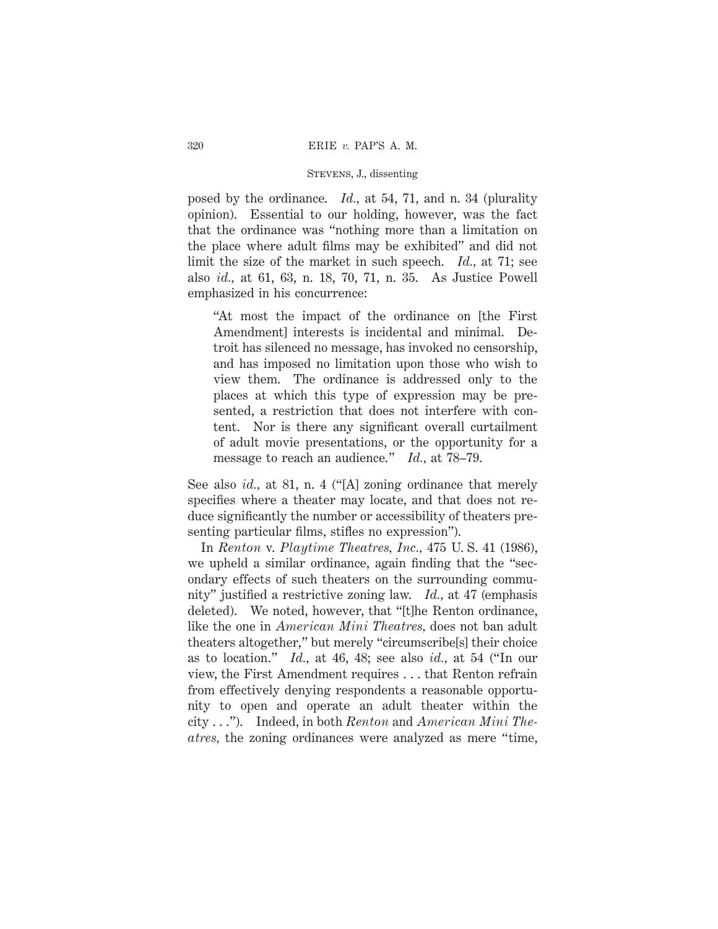posed by the ordinance. *Id.,* at 54, 71, and n. 34 (plurality opinion). Essential to our holding, however, was the fact that the ordinance was "nothing more than a limitation on the place where adult films may be exhibited" and did not limit the size of the market in such speech. *Id.,* at 71; see also *id.,* at 61, 63, n. 18, 70, 71, n. 35. As Justice Powell emphasized in his concurrence:

"At most the impact of the ordinance on [the First Amendment] interests is incidental and minimal. Detroit has silenced no message, has invoked no censorship, and has imposed no limitation upon those who wish to view them. The ordinance is addressed only to the places at which this type of expression may be presented, a restriction that does not interfere with content. Nor is there any significant overall curtailment of adult movie presentations, or the opportunity for a message to reach an audience." *Id.,* at 78–79.

See also *id.,* at 81, n. 4 ("[A] zoning ordinance that merely specifies where a theater may locate, and that does not reduce significantly the number or accessibility of theaters presenting particular films, stifles no expression").

In *Renton* v. *Playtime Theatres, Inc.,* 475 U. S. 41 (1986), we upheld a similar ordinance, again finding that the "secondary effects of such theaters on the surrounding community" justified a restrictive zoning law. *Id.,* at 47 (emphasis deleted). We noted, however, that "[t]he Renton ordinance, like the one in *American Mini Theatres,* does not ban adult theaters altogether," but merely "circumscribe[s] their choice as to location." *Id.,* at 46, 48; see also *id.,* at 54 ("In our view, the First Amendment requires... that Renton refrain from effectively denying respondents a reasonable opportunity to open and operate an adult theater within the city . . ."). Indeed, in both *Renton* and *American Mini Theatres,* the zoning ordinances were analyzed as mere "time,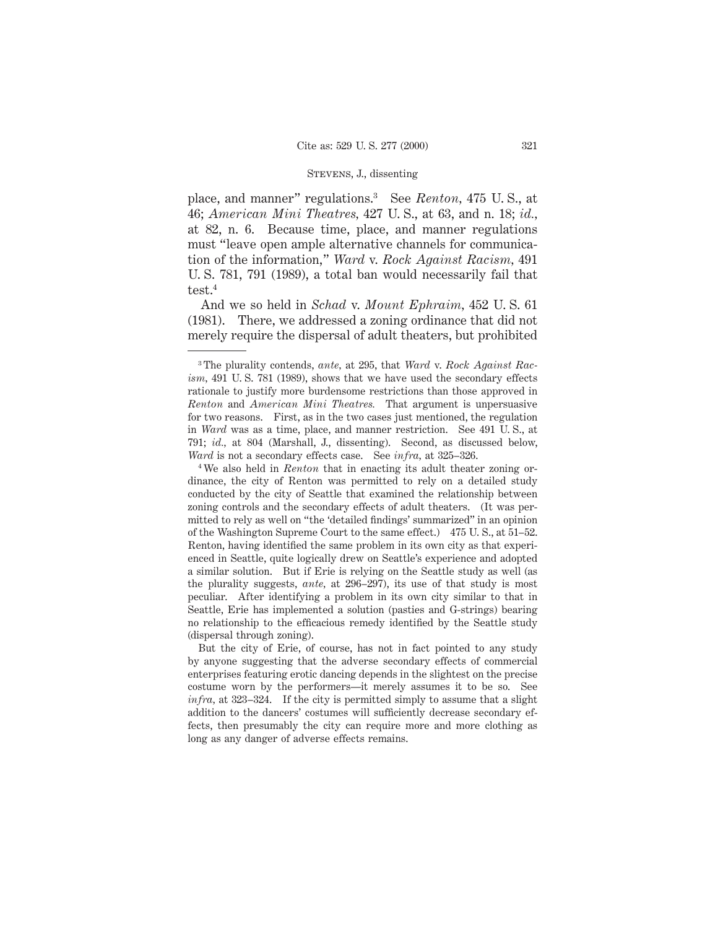place, and manner" regulations.3 See *Renton,* 475 U. S., at 46; *American Mini Theatres,* 427 U. S., at 63, and n. 18; *id.,* at 82, n. 6. Because time, place, and manner regulations must "leave open ample alternative channels for communication of the information," *Ward* v. *Rock Against Racism,* 491 U. S. 781, 791 (1989), a total ban would necessarily fail that test.4

And we so held in *Schad* v. *Mount Ephraim,* 452 U. S. 61 (1981). There, we addressed a zoning ordinance that did not merely require the dispersal of adult theaters, but prohibited

<sup>3</sup> The plurality contends, *ante,* at 295, that *Ward* v. *Rock Against Racism,* 491 U. S. 781 (1989), shows that we have used the secondary effects rationale to justify more burdensome restrictions than those approved in *Renton* and *American Mini Theatres.* That argument is unpersuasive for two reasons. First, as in the two cases just mentioned, the regulation in *Ward* was as a time, place, and manner restriction. See 491 U. S., at 791; *id.,* at 804 (Marshall, J., dissenting). Second, as discussed below, *Ward* is not a secondary effects case. See *infra,* at 325–326.

<sup>4</sup> We also held in *Renton* that in enacting its adult theater zoning ordinance, the city of Renton was permitted to rely on a detailed study conducted by the city of Seattle that examined the relationship between zoning controls and the secondary effects of adult theaters. (It was permitted to rely as well on "the 'detailed findings' summarized" in an opinion of the Washington Supreme Court to the same effect.) 475 U. S., at 51–52. Renton, having identified the same problem in its own city as that experienced in Seattle, quite logically drew on Seattle's experience and adopted a similar solution. But if Erie is relying on the Seattle study as well (as the plurality suggests, *ante,* at 296–297), its use of that study is most peculiar. After identifying a problem in its own city similar to that in Seattle, Erie has implemented a solution (pasties and G-strings) bearing no relationship to the efficacious remedy identified by the Seattle study (dispersal through zoning).

But the city of Erie, of course, has not in fact pointed to any study by anyone suggesting that the adverse secondary effects of commercial enterprises featuring erotic dancing depends in the slightest on the precise costume worn by the performers—it merely assumes it to be so. See *infra,* at 323–324. If the city is permitted simply to assume that a slight addition to the dancers' costumes will sufficiently decrease secondary effects, then presumably the city can require more and more clothing as long as any danger of adverse effects remains.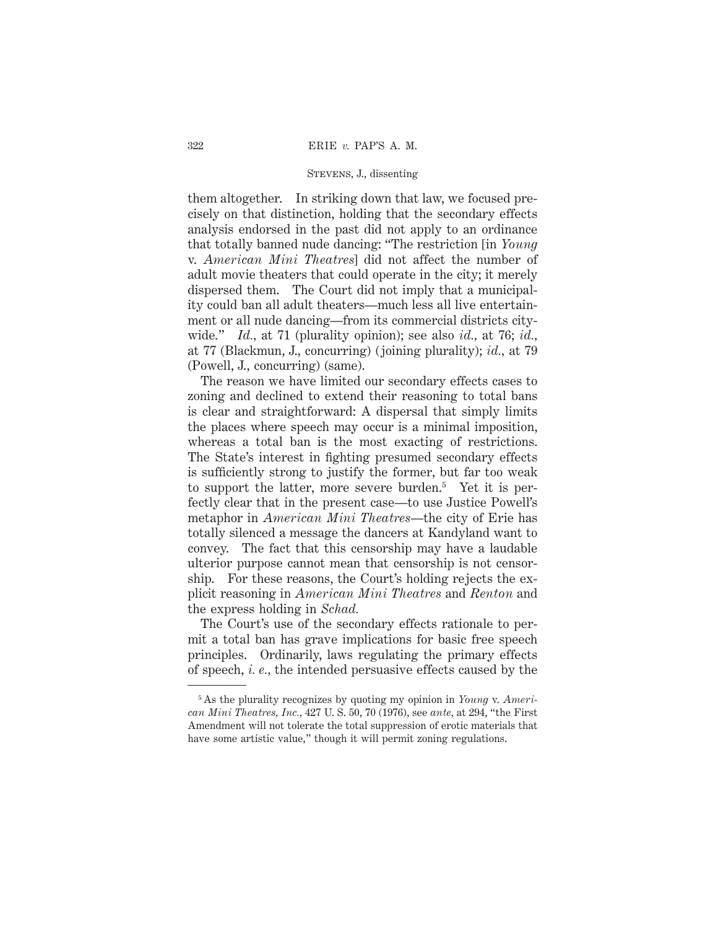them altogether. In striking down that law, we focused precisely on that distinction, holding that the secondary effects analysis endorsed in the past did not apply to an ordinance that totally banned nude dancing: "The restriction [in *Young* v. *American Mini Theatres*] did not affect the number of adult movie theaters that could operate in the city; it merely dispersed them. The Court did not imply that a municipality could ban all adult theaters—much less all live entertainment or all nude dancing—from its commercial districts citywide." *Id.,* at 71 (plurality opinion); see also *id.,* at 76; *id.,* at 77 (Blackmun, J., concurring) (joining plurality); *id.,* at 79 (Powell, J., concurring) (same).

The reason we have limited our secondary effects cases to zoning and declined to extend their reasoning to total bans is clear and straightforward: A dispersal that simply limits the places where speech may occur is a minimal imposition, whereas a total ban is the most exacting of restrictions. The State's interest in fighting presumed secondary effects is sufficiently strong to justify the former, but far too weak to support the latter, more severe burden.5 Yet it is perfectly clear that in the present case—to use Justice Powell's metaphor in *American Mini Theatres*—the city of Erie has totally silenced a message the dancers at Kandyland want to convey. The fact that this censorship may have a laudable ulterior purpose cannot mean that censorship is not censorship. For these reasons, the Court's holding rejects the explicit reasoning in *American Mini Theatres* and *Renton* and the express holding in *Schad.*

The Court's use of the secondary effects rationale to permit a total ban has grave implications for basic free speech principles. Ordinarily, laws regulating the primary effects of speech, *i. e.,* the intended persuasive effects caused by the

<sup>5</sup> As the plurality recognizes by quoting my opinion in *Young* v. *American Mini Theatres, Inc.,* 427 U. S. 50, 70 (1976), see *ante,* at 294, "the First Amendment will not tolerate the total suppression of erotic materials that have some artistic value," though it will permit zoning regulations.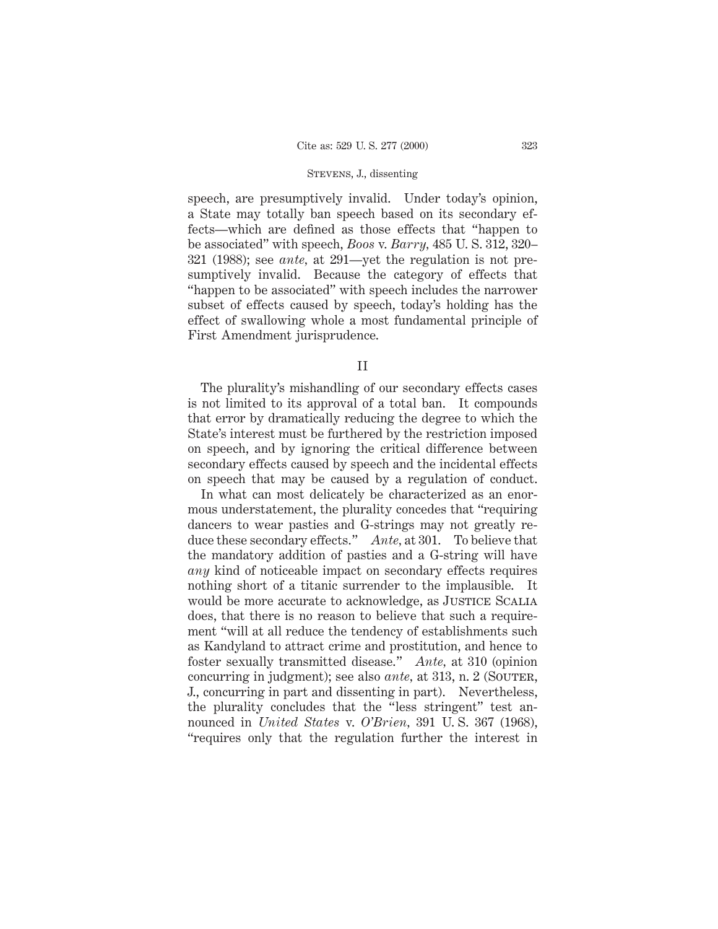speech, are presumptively invalid. Under today's opinion, a State may totally ban speech based on its secondary effects—which are defined as those effects that "happen to be associated" with speech, *Boos* v. *Barry,* 485 U. S. 312, 320– 321 (1988); see *ante,* at 291—yet the regulation is not presumptively invalid. Because the category of effects that "happen to be associated" with speech includes the narrower subset of effects caused by speech, today's holding has the effect of swallowing whole a most fundamental principle of First Amendment jurisprudence.

II

The plurality's mishandling of our secondary effects cases is not limited to its approval of a total ban. It compounds that error by dramatically reducing the degree to which the State's interest must be furthered by the restriction imposed on speech, and by ignoring the critical difference between secondary effects caused by speech and the incidental effects on speech that may be caused by a regulation of conduct.

In what can most delicately be characterized as an enormous understatement, the plurality concedes that "requiring dancers to wear pasties and G-strings may not greatly reduce these secondary effects." *Ante,* at 301. To believe that the mandatory addition of pasties and a G-string will have *any* kind of noticeable impact on secondary effects requires nothing short of a titanic surrender to the implausible. It would be more accurate to acknowledge, as JUSTICE SCALIA does, that there is no reason to believe that such a requirement "will at all reduce the tendency of establishments such as Kandyland to attract crime and prostitution, and hence to foster sexually transmitted disease." *Ante,* at 310 (opinion concurring in judgment); see also *ante*, at 313, n. 2 (SOUTER, J., concurring in part and dissenting in part). Nevertheless, the plurality concludes that the "less stringent" test announced in *United States* v. *O'Brien,* 391 U. S. 367 (1968), "requires only that the regulation further the interest in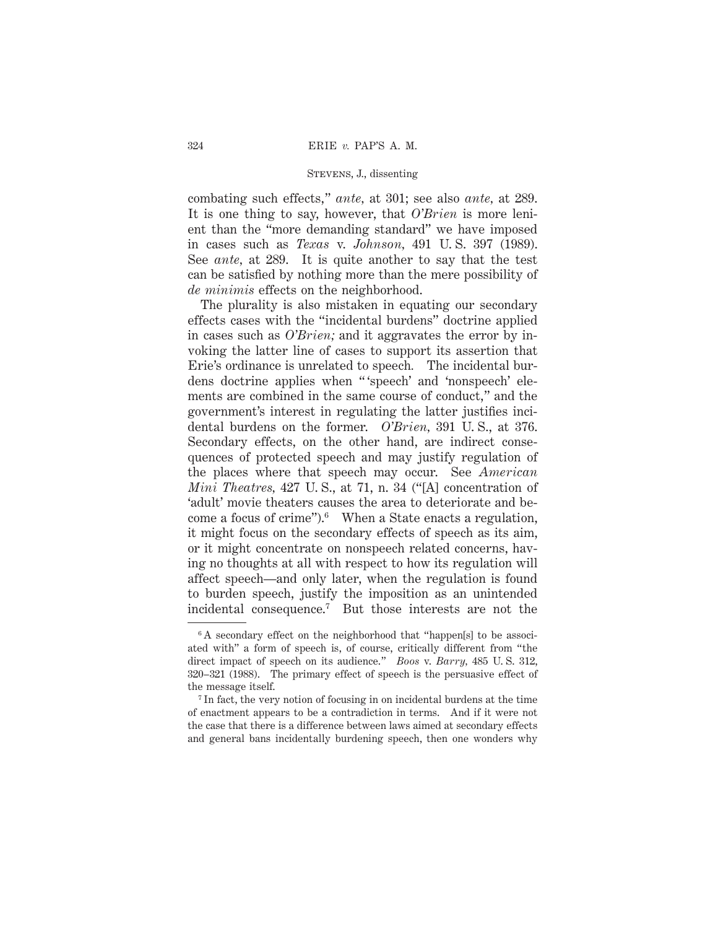combating such effects," *ante,* at 301; see also *ante,* at 289. It is one thing to say, however, that *O'Brien* is more lenient than the "more demanding standard" we have imposed in cases such as *Texas* v. *Johnson,* 491 U. S. 397 (1989). See *ante,* at 289. It is quite another to say that the test can be satisfied by nothing more than the mere possibility of *de minimis* effects on the neighborhood.

The plurality is also mistaken in equating our secondary effects cases with the "incidental burdens" doctrine applied in cases such as *O'Brien;* and it aggravates the error by invoking the latter line of cases to support its assertion that Erie's ordinance is unrelated to speech*.* The incidental burdens doctrine applies when "'speech' and 'nonspeech' elements are combined in the same course of conduct," and the government's interest in regulating the latter justifies incidental burdens on the former. *O'Brien,* 391 U. S., at 376. Secondary effects, on the other hand, are indirect consequences of protected speech and may justify regulation of the places where that speech may occur. See *American Mini Theatres,* 427 U. S., at 71, n. 34 ("[A] concentration of 'adult' movie theaters causes the area to deteriorate and become a focus of crime"). $6$  When a State enacts a regulation, it might focus on the secondary effects of speech as its aim, or it might concentrate on nonspeech related concerns, having no thoughts at all with respect to how its regulation will affect speech—and only later, when the regulation is found to burden speech, justify the imposition as an unintended incidental consequence.7 But those interests are not the

<sup>&</sup>lt;sup>6</sup> A secondary effect on the neighborhood that "happen[s] to be associated with" a form of speech is, of course, critically different from "the direct impact of speech on its audience." *Boos* v. *Barry,* 485 U. S. 312, 320–321 (1988). The primary effect of speech is the persuasive effect of the message itself.

<sup>&</sup>lt;sup>7</sup> In fact, the very notion of focusing in on incidental burdens at the time of enactment appears to be a contradiction in terms. And if it were not the case that there is a difference between laws aimed at secondary effects and general bans incidentally burdening speech, then one wonders why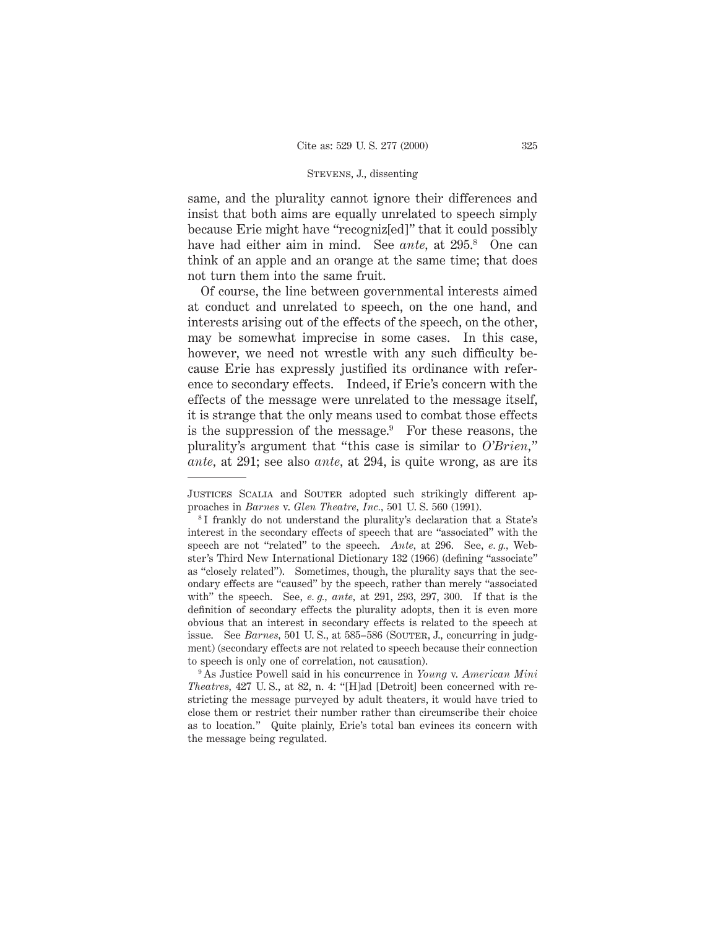same, and the plurality cannot ignore their differences and insist that both aims are equally unrelated to speech simply because Erie might have "recogniz[ed]" that it could possibly have had either aim in mind. See *ante*, at 295.<sup>8</sup> One can think of an apple and an orange at the same time; that does not turn them into the same fruit.

Of course, the line between governmental interests aimed at conduct and unrelated to speech, on the one hand, and interests arising out of the effects of the speech, on the other, may be somewhat imprecise in some cases. In this case, however, we need not wrestle with any such difficulty because Erie has expressly justified its ordinance with reference to secondary effects. Indeed, if Erie's concern with the effects of the message were unrelated to the message itself, it is strange that the only means used to combat those effects is the suppression of the message.9 For these reasons, the plurality's argument that "this case is similar to *O'Brien,*" *ante,* at 291; see also *ante,* at 294, is quite wrong, as are its

JUSTICES SCALIA and SOUTER adopted such strikingly different approaches in *Barnes* v. *Glen Theatre, Inc.,* 501 U. S. 560 (1991).

<sup>8</sup> I frankly do not understand the plurality's declaration that a State's interest in the secondary effects of speech that are "associated" with the speech are not "related" to the speech. *Ante,* at 296. See, *e. g.,* Webster's Third New International Dictionary 132 (1966) (defining "associate" as "closely related"). Sometimes, though, the plurality says that the secondary effects are "caused" by the speech, rather than merely "associated with" the speech. See, *e. g., ante,* at 291, 293, 297, 300. If that is the definition of secondary effects the plurality adopts, then it is even more obvious that an interest in secondary effects is related to the speech at issue. See *Barnes,* 501 U. S., at 585–586 (Souter, J., concurring in judgment) (secondary effects are not related to speech because their connection to speech is only one of correlation, not causation).

<sup>9</sup> As Justice Powell said in his concurrence in *Young* v. *American Mini Theatres,* 427 U. S., at 82, n. 4: "[H]ad [Detroit] been concerned with restricting the message purveyed by adult theaters, it would have tried to close them or restrict their number rather than circumscribe their choice as to location." Quite plainly, Erie's total ban evinces its concern with the message being regulated.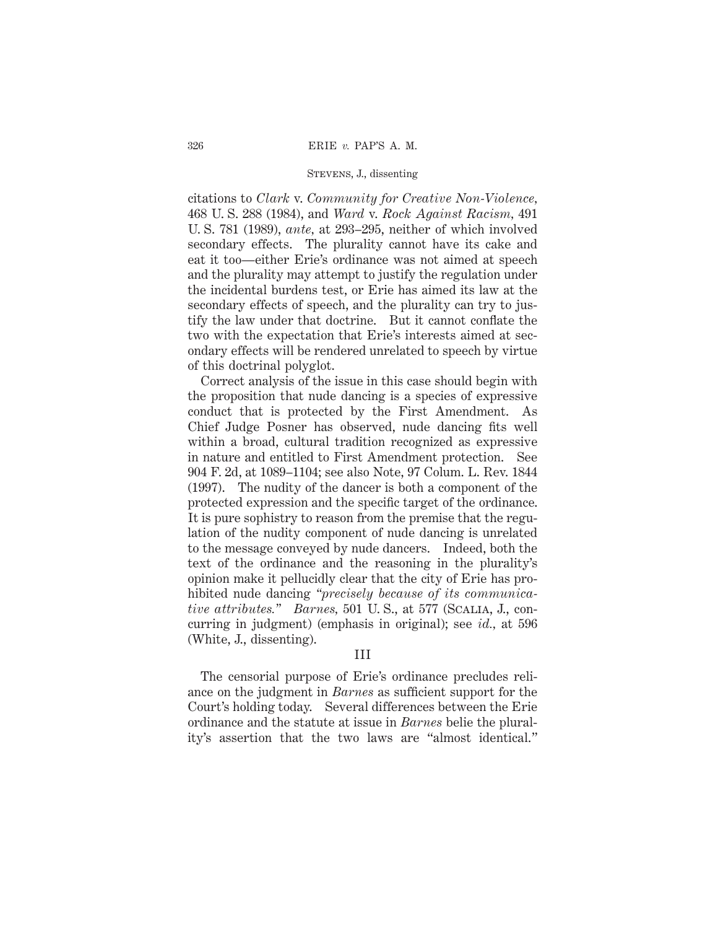citations to *Clark* v. *Community for Creative Non-Violence,* 468 U. S. 288 (1984), and *Ward* v. *Rock Against Racism,* 491 U. S. 781 (1989), *ante,* at 293–295, neither of which involved secondary effects. The plurality cannot have its cake and eat it too—either Erie's ordinance was not aimed at speech and the plurality may attempt to justify the regulation under the incidental burdens test, or Erie has aimed its law at the secondary effects of speech, and the plurality can try to justify the law under that doctrine. But it cannot conflate the two with the expectation that Erie's interests aimed at secondary effects will be rendered unrelated to speech by virtue of this doctrinal polyglot.

Correct analysis of the issue in this case should begin with the proposition that nude dancing is a species of expressive conduct that is protected by the First Amendment. As Chief Judge Posner has observed, nude dancing fits well within a broad, cultural tradition recognized as expressive in nature and entitled to First Amendment protection. See 904 F. 2d, at 1089–1104; see also Note, 97 Colum. L. Rev. 1844 (1997). The nudity of the dancer is both a component of the protected expression and the specific target of the ordinance. It is pure sophistry to reason from the premise that the regulation of the nudity component of nude dancing is unrelated to the message conveyed by nude dancers. Indeed, both the text of the ordinance and the reasoning in the plurality's opinion make it pellucidly clear that the city of Erie has prohibited nude dancing *"precisely because of its communicative attributes." Barnes,* 501 U. S., at 577 (Scalia, J., concurring in judgment) (emphasis in original); see *id.,* at 596 (White, J., dissenting).

### III

The censorial purpose of Erie's ordinance precludes reliance on the judgment in *Barnes* as sufficient support for the Court's holding today. Several differences between the Erie ordinance and the statute at issue in *Barnes* belie the plurality's assertion that the two laws are "almost identical."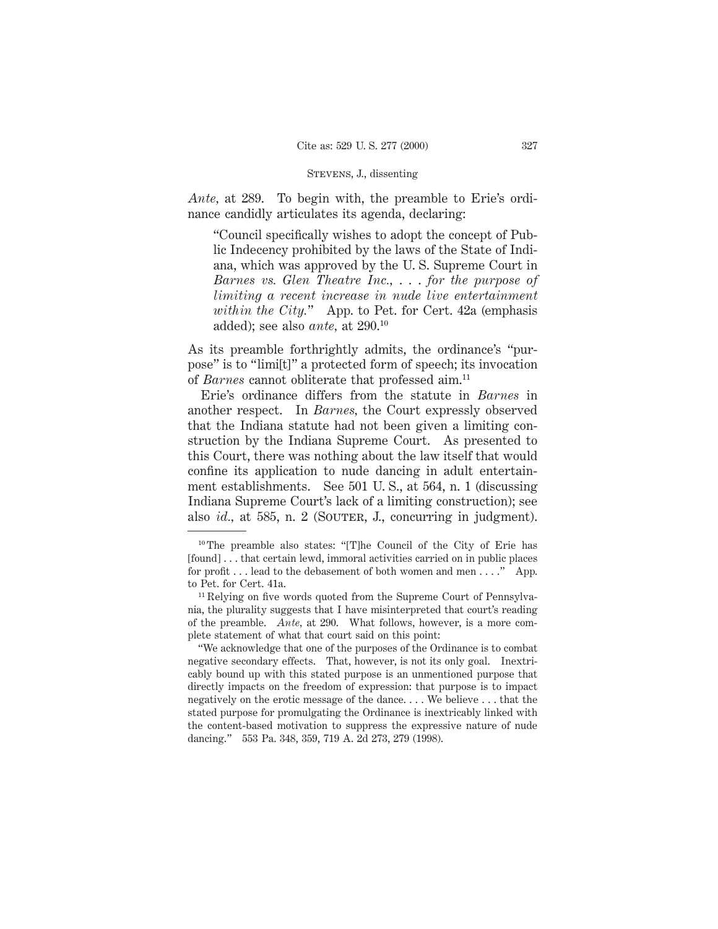*Ante,* at 289. To begin with, the preamble to Erie's ordinance candidly articulates its agenda, declaring:

"Council specifically wishes to adopt the concept of Public Indecency prohibited by the laws of the State of Indiana, which was approved by the U. S. Supreme Court in *Barnes vs. Glen Theatre Inc.,* ... *for the purpose of limiting a recent increase in nude live entertainment within the City.*" App. to Pet. for Cert. 42a (emphasis added); see also *ante,* at 290.10

As its preamble forthrightly admits, the ordinance's "purpose" is to "limi[t]" a protected form of speech; its invocation of *Barnes* cannot obliterate that professed aim.11

Erie's ordinance differs from the statute in *Barnes* in another respect. In *Barnes,* the Court expressly observed that the Indiana statute had not been given a limiting construction by the Indiana Supreme Court. As presented to this Court, there was nothing about the law itself that would confine its application to nude dancing in adult entertainment establishments. See 501 U. S., at 564, n. 1 (discussing Indiana Supreme Court's lack of a limiting construction); see also *id.*, at 585, n. 2 (SOUTER, J., concurring in judgment).

<sup>10</sup> The preamble also states: "[T]he Council of the City of Erie has [found]... that certain lewd, immoral activities carried on in public places for profit . . . lead to the debasement of both women and men . . . ." App. to Pet. for Cert. 41a.

<sup>&</sup>lt;sup>11</sup> Relying on five words quoted from the Supreme Court of Pennsylvania, the plurality suggests that I have misinterpreted that court's reading of the preamble. *Ante,* at 290. What follows, however, is a more complete statement of what that court said on this point:

<sup>&</sup>quot;We acknowledge that one of the purposes of the Ordinance is to combat negative secondary effects. That, however, is not its only goal. Inextricably bound up with this stated purpose is an unmentioned purpose that directly impacts on the freedom of expression: that purpose is to impact negatively on the erotic message of the dance. . . . We believe . . . that the stated purpose for promulgating the Ordinance is inextricably linked with the content-based motivation to suppress the expressive nature of nude dancing." 553 Pa. 348, 359, 719 A. 2d 273, 279 (1998).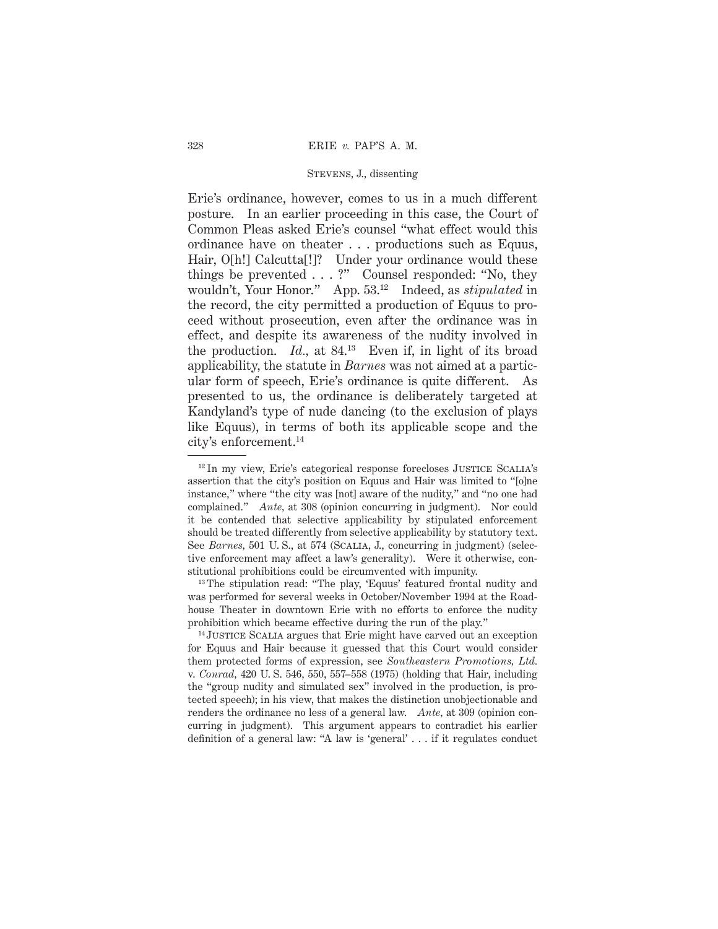Erie's ordinance, however, comes to us in a much different posture. In an earlier proceeding in this case, the Court of Common Pleas asked Erie's counsel "what effect would this ordinance have on theater . . . productions such as Equus, Hair, O[h!] Calcutta[!]? Under your ordinance would these things be prevented . . . ?" Counsel responded: "No, they wouldn't, Your Honor." App. 53.12 Indeed, as *stipulated* in the record, the city permitted a production of Equus to proceed without prosecution, even after the ordinance was in effect, and despite its awareness of the nudity involved in the production. *Id.,* at 84.13 Even if, in light of its broad applicability, the statute in *Barnes* was not aimed at a particular form of speech, Erie's ordinance is quite different. As presented to us, the ordinance is deliberately targeted at Kandyland's type of nude dancing (to the exclusion of plays like Equus), in terms of both its applicable scope and the city's enforcement.14

<sup>13</sup> The stipulation read: "The play, 'Equus' featured frontal nudity and was performed for several weeks in October/November 1994 at the Roadhouse Theater in downtown Erie with no efforts to enforce the nudity prohibition which became effective during the run of the play."

<sup>14</sup> JUSTICE SCALIA argues that Erie might have carved out an exception for Equus and Hair because it guessed that this Court would consider them protected forms of expression, see *Southeastern Promotions, Ltd.* v. *Conrad,* 420 U. S. 546, 550, 557–558 (1975) (holding that Hair, including the "group nudity and simulated sex" involved in the production, is protected speech); in his view, that makes the distinction unobjectionable and renders the ordinance no less of a general law. *Ante,* at 309 (opinion concurring in judgment). This argument appears to contradict his earlier definition of a general law: "A law is 'general' . . . if it regulates conduct

 $12$  In my view, Erie's categorical response forecloses JUSTICE SCALIA's assertion that the city's position on Equus and Hair was limited to "[o]ne instance," where "the city was [not] aware of the nudity," and "no one had complained." *Ante,* at 308 (opinion concurring in judgment). Nor could it be contended that selective applicability by stipulated enforcement should be treated differently from selective applicability by statutory text. See *Barnes,* 501 U. S., at 574 (Scalia, J., concurring in judgment) (selective enforcement may affect a law's generality). Were it otherwise, constitutional prohibitions could be circumvented with impunity.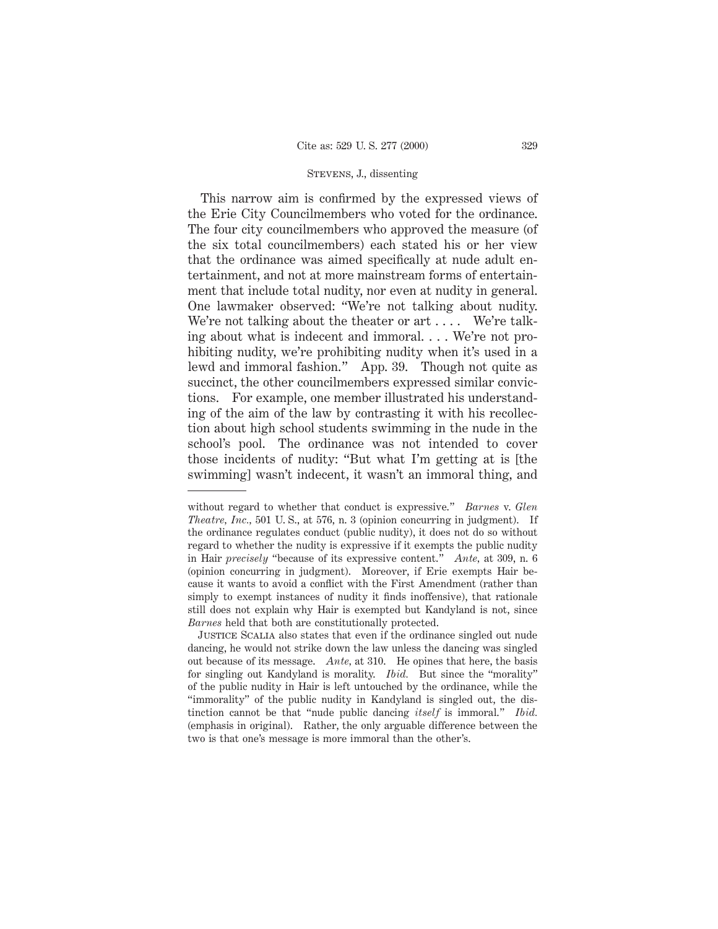This narrow aim is confirmed by the expressed views of the Erie City Councilmembers who voted for the ordinance. The four city councilmembers who approved the measure (of the six total councilmembers) each stated his or her view that the ordinance was aimed specifically at nude adult entertainment, and not at more mainstream forms of entertainment that include total nudity, nor even at nudity in general. One lawmaker observed: "We're not talking about nudity. We're not talking about the theater or  $art \ldots$ . We're talking about what is indecent and immoral. . . . We're not prohibiting nudity, we're prohibiting nudity when it's used in a lewd and immoral fashion." App. 39. Though not quite as succinct, the other councilmembers expressed similar convictions. For example, one member illustrated his understanding of the aim of the law by contrasting it with his recollection about high school students swimming in the nude in the school's pool. The ordinance was not intended to cover those incidents of nudity: "But what I'm getting at is [the swimming] wasn't indecent, it wasn't an immoral thing, and

without regard to whether that conduct is expressive." *Barnes* v. *Glen Theatre, Inc.,* 501 U.S., at 576, n. 3 (opinion concurring in judgment). If the ordinance regulates conduct (public nudity), it does not do so without regard to whether the nudity is expressive if it exempts the public nudity in Hair *precisely* "because of its expressive content." *Ante,* at 309, n. 6 (opinion concurring in judgment). Moreover, if Erie exempts Hair because it wants to avoid a conflict with the First Amendment (rather than simply to exempt instances of nudity it finds inoffensive), that rationale still does not explain why Hair is exempted but Kandyland is not, since *Barnes* held that both are constitutionally protected.

Justice Scalia also states that even if the ordinance singled out nude dancing, he would not strike down the law unless the dancing was singled out because of its message. *Ante,* at 310. He opines that here, the basis for singling out Kandyland is morality. *Ibid.* But since the "morality" of the public nudity in Hair is left untouched by the ordinance, while the "immorality" of the public nudity in Kandyland is singled out, the distinction cannot be that "nude public dancing *itself* is immoral." *Ibid.* (emphasis in original). Rather, the only arguable difference between the two is that one's message is more immoral than the other's.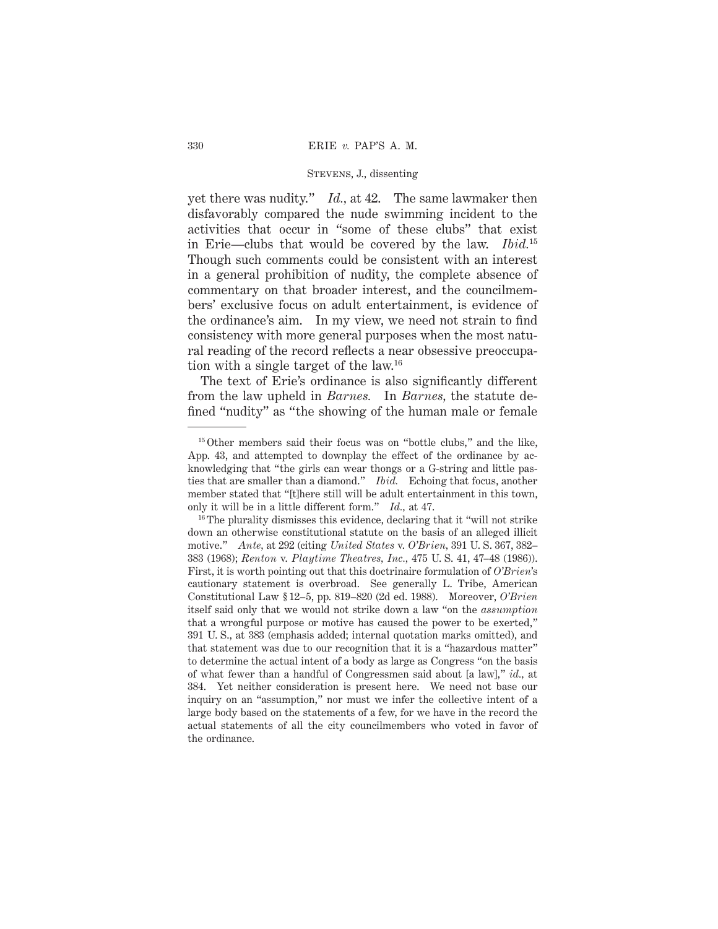yet there was nudity." *Id.,* at 42. The same lawmaker then disfavorably compared the nude swimming incident to the activities that occur in "some of these clubs" that exist in Erie—clubs that would be covered by the law. *Ibid.*<sup>15</sup> Though such comments could be consistent with an interest in a general prohibition of nudity, the complete absence of commentary on that broader interest, and the councilmembers' exclusive focus on adult entertainment, is evidence of the ordinance's aim. In my view, we need not strain to find consistency with more general purposes when the most natural reading of the record reflects a near obsessive preoccupation with a single target of the law.16

The text of Erie's ordinance is also significantly different from the law upheld in *Barnes.* In *Barnes,* the statute defined "nudity" as "the showing of the human male or female

<sup>&</sup>lt;sup>15</sup> Other members said their focus was on "bottle clubs," and the like, App. 43, and attempted to downplay the effect of the ordinance by acknowledging that "the girls can wear thongs or a G-string and little pasties that are smaller than a diamond." *Ibid.* Echoing that focus, another member stated that "[t]here still will be adult entertainment in this town, only it will be in a little different form." *Id.,* at 47.

<sup>&</sup>lt;sup>16</sup> The plurality dismisses this evidence, declaring that it "will not strike" down an otherwise constitutional statute on the basis of an alleged illicit motive." *Ante,* at 292 (citing *United States* v. *O'Brien,* 391 U. S. 367, 382– 383 (1968); *Renton* v. *Playtime Theatres, Inc.,* 475 U. S. 41, 47–48 (1986)). First, it is worth pointing out that this doctrinaire formulation of *O'Brien*'s cautionary statement is overbroad. See generally L. Tribe, American Constitutional Law § 12–5, pp. 819–820 (2d ed. 1988). Moreover, *O'Brien* itself said only that we would not strike down a law "on the *assumption* that a wrongful purpose or motive has caused the power to be exerted," 391 U. S., at 383 (emphasis added; internal quotation marks omitted), and that statement was due to our recognition that it is a "hazardous matter" to determine the actual intent of a body as large as Congress "on the basis of what fewer than a handful of Congressmen said about [a law]," *id.,* at 384. Yet neither consideration is present here. We need not base our inquiry on an "assumption," nor must we infer the collective intent of a large body based on the statements of a few, for we have in the record the actual statements of all the city councilmembers who voted in favor of the ordinance.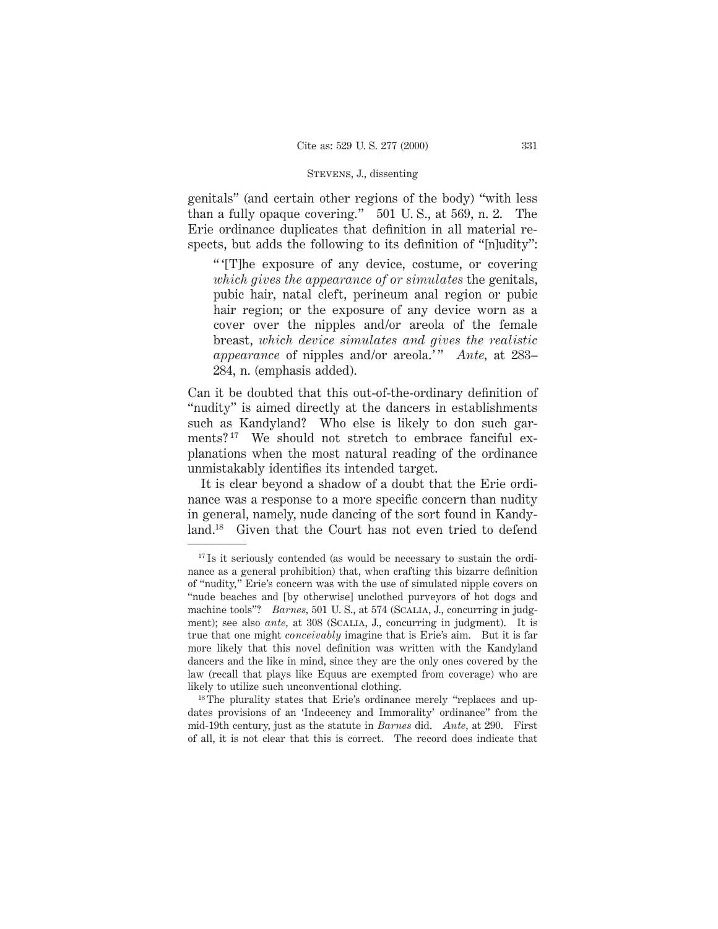genitals" (and certain other regions of the body) "with less than a fully opaque covering." 501 U. S., at 569, n. 2. The Erie ordinance duplicates that definition in all material respects, but adds the following to its definition of "[n]udity":

" '[T]he exposure of any device, costume, or covering *which gives the appearance of or simulates* the genitals, pubic hair, natal cleft, perineum anal region or pubic hair region; or the exposure of any device worn as a cover over the nipples and/or areola of the female breast, *which device simulates and gives the realistic* appearance of nipples and/or areola.'" Ante, at 283-284, n. (emphasis added).

Can it be doubted that this out-of-the-ordinary definition of "nudity" is aimed directly at the dancers in establishments such as Kandyland? Who else is likely to don such garments? <sup>17</sup> We should not stretch to embrace fanciful explanations when the most natural reading of the ordinance unmistakably identifies its intended target.

It is clear beyond a shadow of a doubt that the Erie ordinance was a response to a more specific concern than nudity in general, namely, nude dancing of the sort found in Kandyland.18 Given that the Court has not even tried to defend

<sup>18</sup> The plurality states that Erie's ordinance merely "replaces and updates provisions of an 'Indecency and Immorality' ordinance" from the mid-19th century, just as the statute in *Barnes* did. *Ante,* at 290. First of all, it is not clear that this is correct. The record does indicate that

<sup>&</sup>lt;sup>17</sup> Is it seriously contended (as would be necessary to sustain the ordinance as a general prohibition) that, when crafting this bizarre definition of "nudity," Erie's concern was with the use of simulated nipple covers on "nude beaches and [by otherwise] unclothed purveyors of hot dogs and machine tools"? *Barnes*, 501 U.S., at 574 (SCALIA, J., concurring in judgment); see also *ante,* at 308 (Scalia, J., concurring in judgment). It is true that one might *conceivably* imagine that is Erie's aim. But it is far more likely that this novel definition was written with the Kandyland dancers and the like in mind, since they are the only ones covered by the law (recall that plays like Equus are exempted from coverage) who are likely to utilize such unconventional clothing.